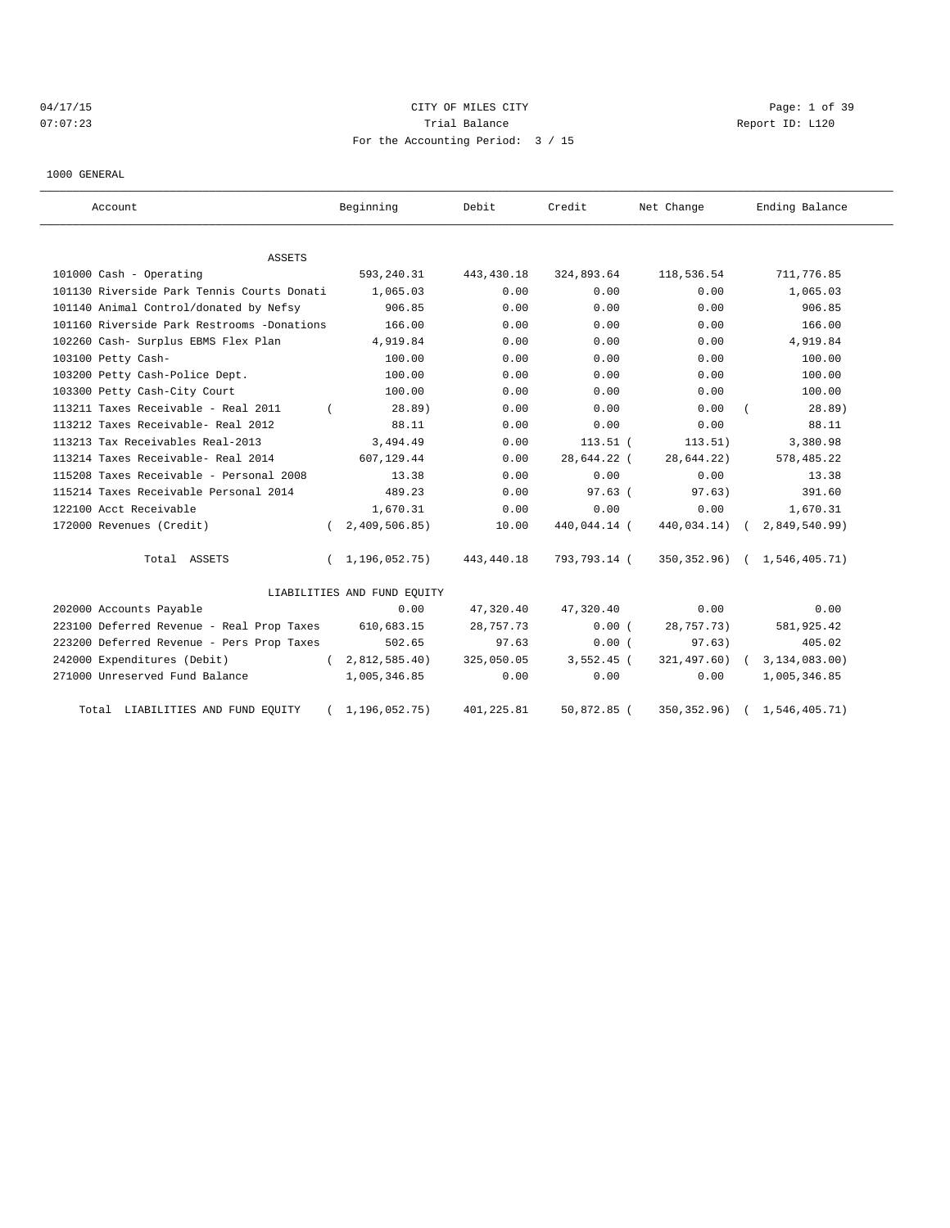# 04/17/15 CITY OF MILES CITY CHARGES CITY CONTROL Page: 1 of 39 07:07:23 Report ID: L120 For the Accounting Period: 3 / 15

1000 GENERAL

| Account                                    |            | Beginning                   | Debit       | Credit       | Net Change     | Ending Balance                 |
|--------------------------------------------|------------|-----------------------------|-------------|--------------|----------------|--------------------------------|
| ASSETS                                     |            |                             |             |              |                |                                |
| 101000 Cash - Operating                    |            | 593,240.31                  | 443, 430.18 | 324,893.64   | 118,536.54     | 711,776.85                     |
| 101130 Riverside Park Tennis Courts Donati |            | 1,065.03                    | 0.00        | 0.00         | 0.00           | 1,065.03                       |
| 101140 Animal Control/donated by Nefsy     |            | 906.85                      | 0.00        | 0.00         | 0.00           | 906.85                         |
| 101160 Riverside Park Restrooms -Donations |            | 166.00                      | 0.00        | 0.00         | 0.00           | 166.00                         |
| 102260 Cash- Surplus EBMS Flex Plan        |            | 4,919.84                    | 0.00        | 0.00         | 0.00           | 4,919.84                       |
| 103100 Petty Cash-                         |            | 100.00                      | 0.00        | 0.00         | 0.00           | 100.00                         |
| 103200 Petty Cash-Police Dept.             |            | 100.00                      | 0.00        | 0.00         | 0.00           | 100.00                         |
| 103300 Petty Cash-City Court               |            | 100.00                      | 0.00        | 0.00         | 0.00           | 100.00                         |
| 113211 Taxes Receivable - Real 2011        |            | 28.89)                      | 0.00        | 0.00         | 0.00           | 28.89)                         |
| 113212 Taxes Receivable- Real 2012         |            | 88.11                       | 0.00        | 0.00         | 0.00           | 88.11                          |
| 113213 Tax Receivables Real-2013           |            | 3,494.49                    | 0.00        | $113.51$ (   | 113.51)        | 3,380.98                       |
| 113214 Taxes Receivable- Real 2014         |            | 607,129.44                  | 0.00        | 28,644.22 (  | 28,644.22)     | 578, 485.22                    |
| 115208 Taxes Receivable - Personal 2008    |            | 13.38                       | 0.00        | 0.00         | 0.00           | 13.38                          |
| 115214 Taxes Receivable Personal 2014      |            | 489.23                      | 0.00        | $97.63$ (    | 97.63)         | 391.60                         |
| 122100 Acct Receivable                     |            | 1,670.31                    | 0.00        | 0.00         | 0.00           | 1,670.31                       |
| 172000 Revenues (Credit)                   | $\left($   | 2,409,506.85                | 10.00       | 440,044.14 ( | 440,034.14) (  | 2,849,540.99)                  |
| Total ASSETS                               | $\left($   | 1,196,052.75)               | 443,440.18  | 793,793.14 ( |                | 350, 352.96) ( 1, 546, 405.71) |
|                                            |            | LIABILITIES AND FUND EQUITY |             |              |                |                                |
| 202000 Accounts Payable                    |            | 0.00                        | 47,320.40   | 47,320.40    | 0.00           | 0.00                           |
| 223100 Deferred Revenue - Real Prop Taxes  |            | 610,683.15                  | 28,757.73   | 0.00(        | 28,757.73)     | 581,925.42                     |
| 223200 Deferred Revenue - Pers Prop Taxes  |            | 502.65                      | 97.63       | 0.00(        | 97.63)         | 405.02                         |
| 242000 Expenditures (Debit)                | $\sqrt{2}$ | 2,812,585.40)               | 325,050.05  | 3,552.45 (   | $321,497.60$ ( | 3,134,083.00)                  |
| 271000 Unreserved Fund Balance             |            | 1,005,346.85                | 0.00        | 0.00         | 0.00           | 1,005,346.85                   |
| Total LIABILITIES AND FUND EQUITY          |            | 1,196,052.75)               | 401,225.81  | 50,872.85 (  | 350, 352.96)   | 1,546,405.71)                  |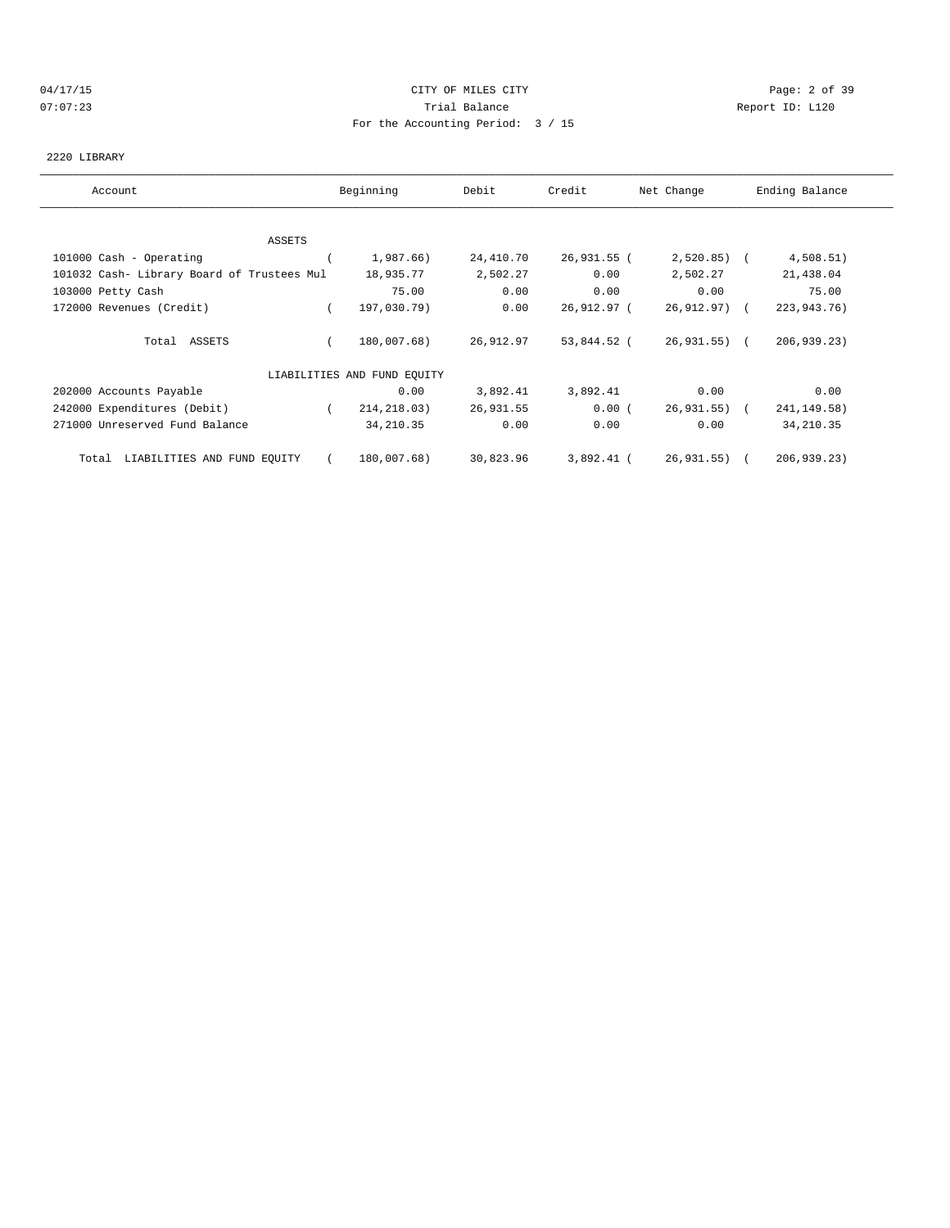#### 04/17/15 CITY OF MILES CITY Page: 2 of 39 07:07:23 Trial Balance Report ID: L120 For the Accounting Period: 3 / 15

#### 2220 LIBRARY

| Account                                    | Beginning                   | Debit     | Credit      | Net Change   | Ending Balance |
|--------------------------------------------|-----------------------------|-----------|-------------|--------------|----------------|
|                                            |                             |           |             |              |                |
| ASSETS                                     |                             |           |             |              |                |
| 101000 Cash - Operating                    | 1,987.66)                   | 24,410.70 | 26,931.55 ( | $2,520.85$ ( | 4,508.51)      |
| 101032 Cash- Library Board of Trustees Mul | 18,935.77                   | 2,502.27  | 0.00        | 2,502.27     | 21,438.04      |
| 103000 Petty Cash                          | 75.00                       | 0.00      | 0.00        | 0.00         | 75.00          |
| 172000 Revenues (Credit)                   | 197,030.79)                 | 0.00      | 26,912.97 ( | 26,912.97) ( | 223,943.76)    |
| Total ASSETS                               | 180,007.68)                 | 26,912.97 | 53,844.52 ( | 26,931.55) ( | 206, 939.23)   |
|                                            | LIABILITIES AND FUND EQUITY |           |             |              |                |
| 202000 Accounts Payable                    | 0.00                        | 3,892.41  | 3,892.41    | 0.00         | 0.00           |
| 242000 Expenditures (Debit)                | 214,218.03)                 | 26,931.55 | 0.00(       | 26,931.55) ( | 241, 149. 58)  |
| 271000 Unreserved Fund Balance             | 34, 210.35                  | 0.00      | 0.00        | 0.00         | 34, 210.35     |
| LIABILITIES AND FUND EQUITY<br>Total       | 180,007.68)                 | 30,823.96 | 3,892.41 (  | 26,931.55) ( | 206,939.23)    |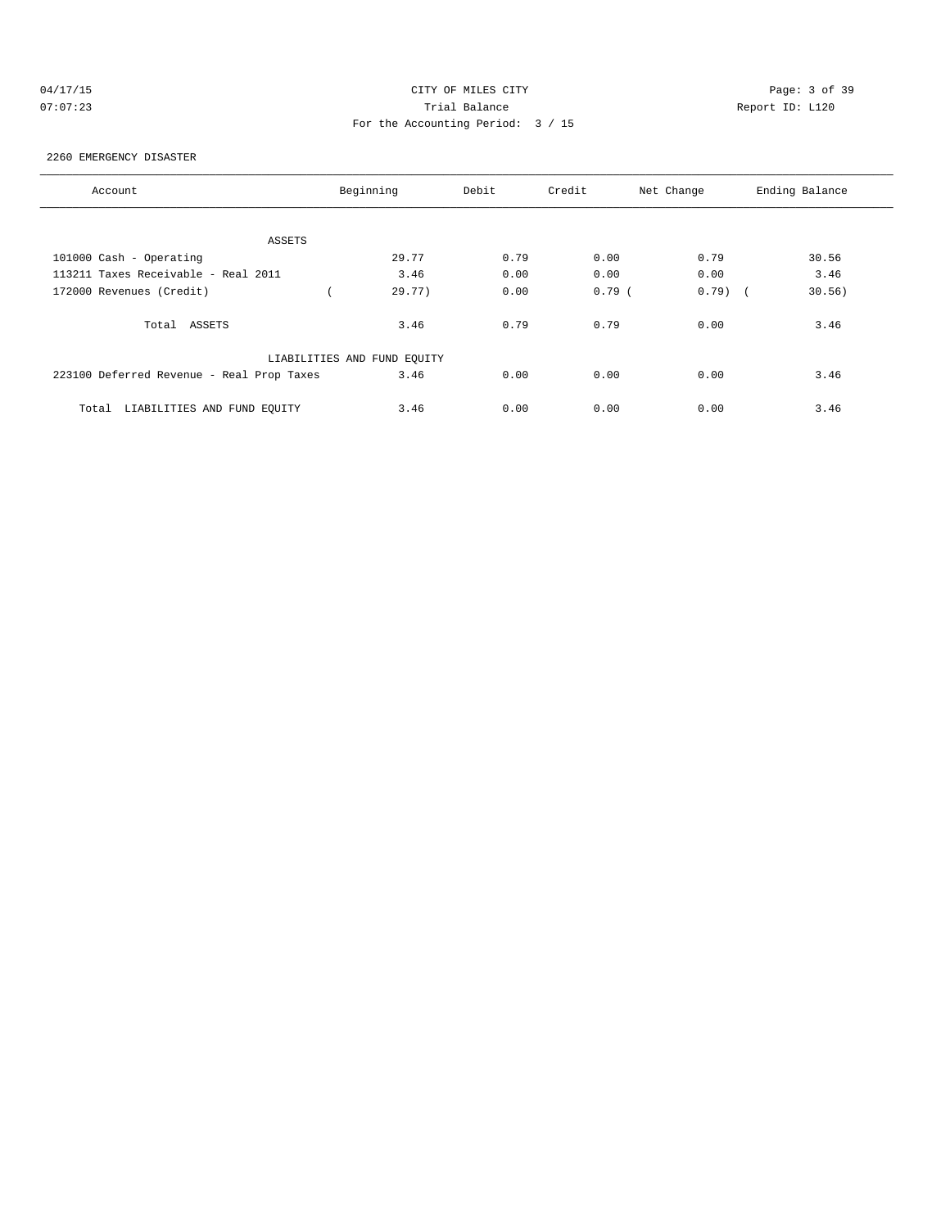| (14) |     | $\prime$ 1 |  |  |
|------|-----|------------|--|--|
|      | . . |            |  |  |

# CITY OF MILES CITY CONTROL CONTROL CONTROL CONTROL CONTROL PAGE: 3 of 39 07:07:23 Trial Balance Report ID: L120 For the Accounting Period: 3 / 15

#### 2260 EMERGENCY DISASTER

| Account                                   | Beginning                   | Debit | Credit   | Net Change | Ending Balance |
|-------------------------------------------|-----------------------------|-------|----------|------------|----------------|
|                                           |                             |       |          |            |                |
| ASSETS                                    |                             |       |          |            |                |
| 101000 Cash - Operating                   | 29.77                       | 0.79  | 0.00     | 0.79       | 30.56          |
| 113211 Taxes Receivable - Real 2011       | 3.46                        | 0.00  | 0.00     | 0.00       | 3.46           |
| 172000 Revenues (Credit)                  | 29.77)                      | 0.00  | $0.79$ ( | $0.79$ (   | 30.56)         |
| Total ASSETS                              | 3.46                        | 0.79  | 0.79     | 0.00       | 3.46           |
|                                           | LIABILITIES AND FUND EQUITY |       |          |            |                |
| 223100 Deferred Revenue - Real Prop Taxes | 3.46                        | 0.00  | 0.00     | 0.00       | 3.46           |
| LIABILITIES AND FUND EOUITY<br>Total      | 3.46                        | 0.00  | 0.00     | 0.00       | 3.46           |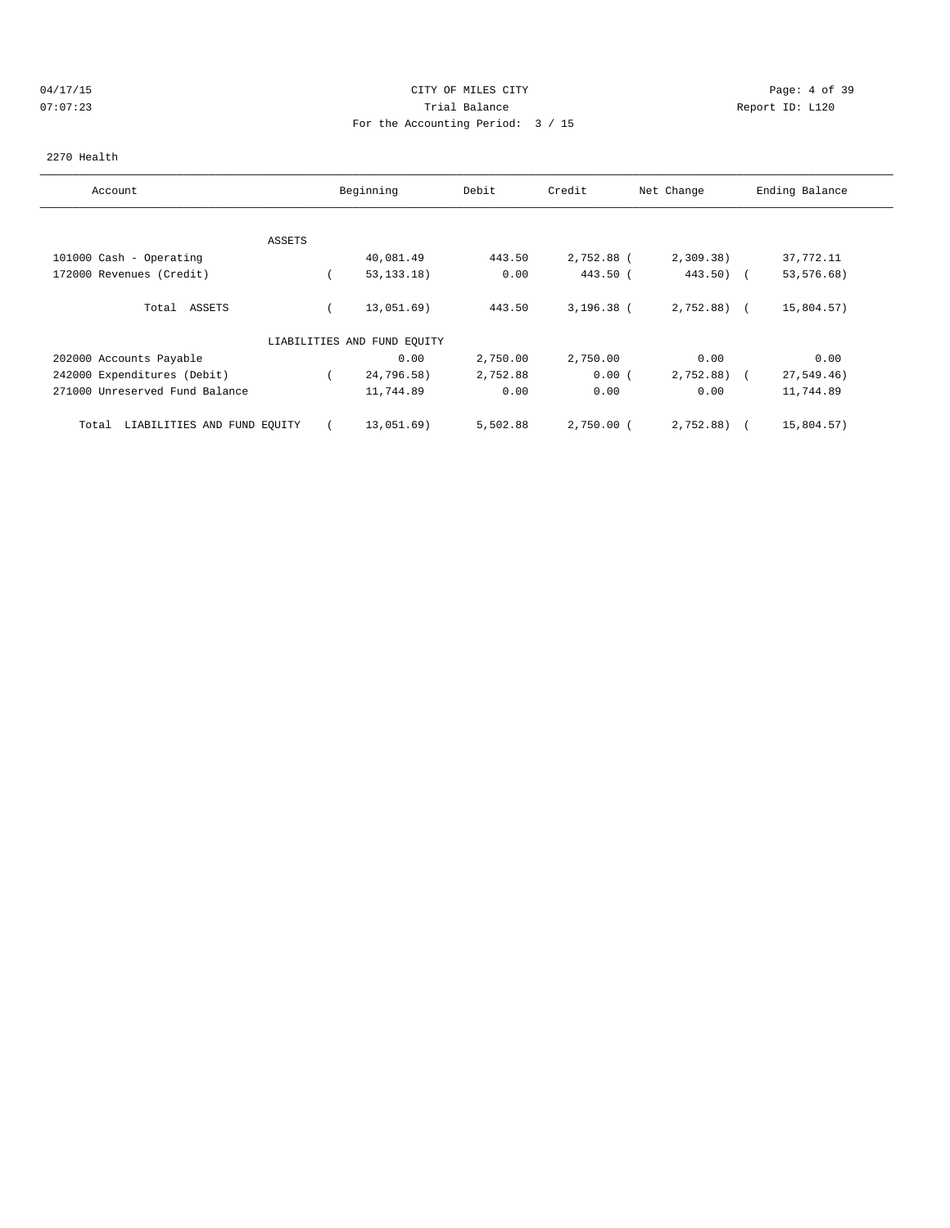# 04/17/15 CITY OF MILES CITY Page: 4 of 39 07:07:23 Trial Balance Report ID: L120 For the Accounting Period: 3 / 15

#### 2270 Health

| Account                              | Beginning                   | Debit    | Credit       | Net Change   | Ending Balance |
|--------------------------------------|-----------------------------|----------|--------------|--------------|----------------|
|                                      |                             |          |              |              |                |
| ASSETS                               |                             |          |              |              |                |
| 101000 Cash - Operating              | 40,081.49                   | 443.50   | 2,752.88 (   | 2,309.38)    | 37,772.11      |
| 172000 Revenues (Credit)             | 53, 133.18)                 | 0.00     | 443.50 (     | $443.50$ (   | 53, 576. 68)   |
| ASSETS<br>Total                      | 13,051.69)                  | 443.50   | $3,196.38$ ( | $2,752.88$ ( | 15,804.57)     |
|                                      | LIABILITIES AND FUND EQUITY |          |              |              |                |
| 202000 Accounts Payable              | 0.00                        | 2,750.00 | 2,750.00     | 0.00         | 0.00           |
| 242000 Expenditures (Debit)          | 24,796.58)                  | 2,752.88 | 0.00(        | 2,752.88     | 27, 549.46)    |
| 271000 Unreserved Fund Balance       | 11,744.89                   | 0.00     | 0.00         | 0.00         | 11,744.89      |
| LIABILITIES AND FUND EQUITY<br>Total | 13,051.69)                  | 5,502.88 | $2,750.00$ ( | 2,752.88)    | 15,804.57)     |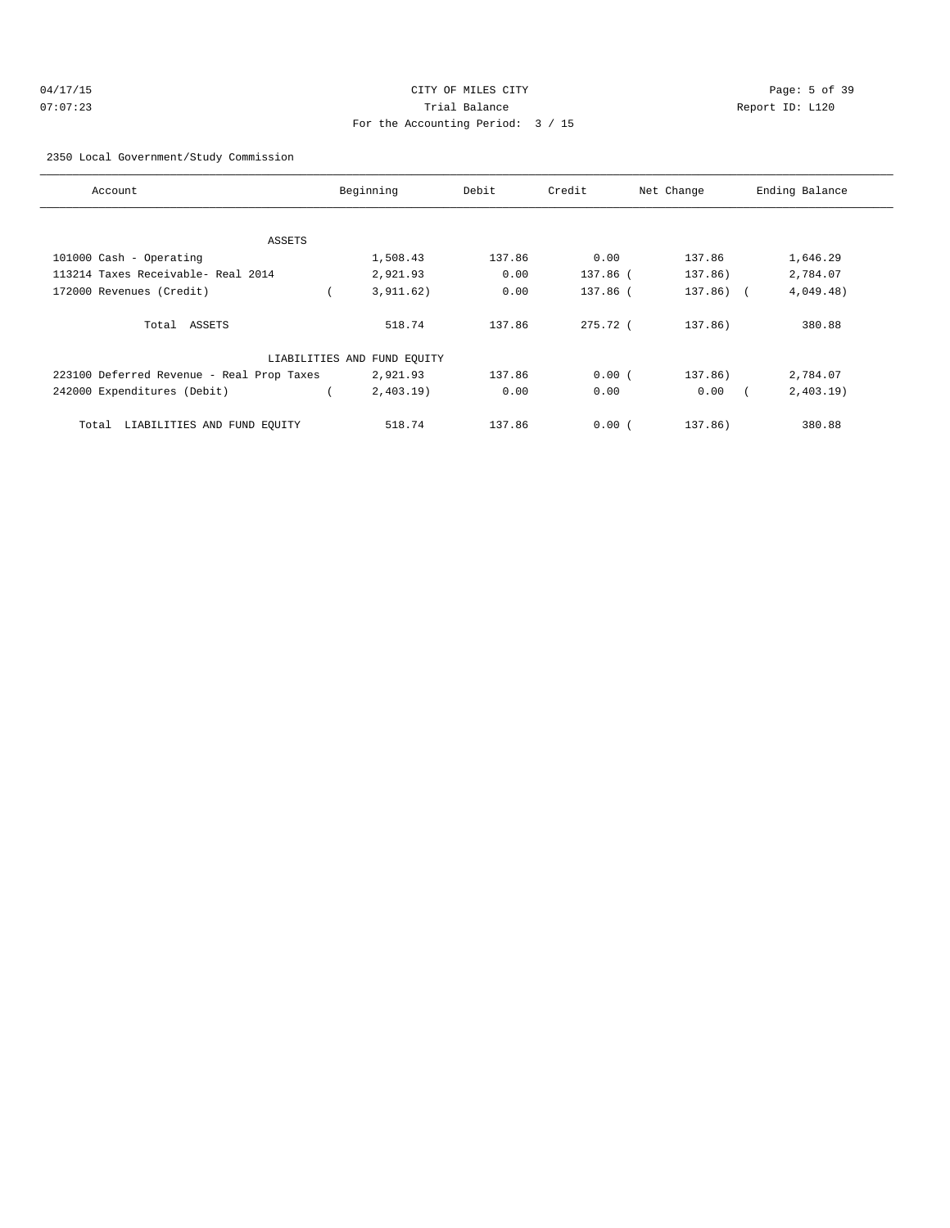| 04/17/15 | CITY OF MILES CITY                | Page: 5 of 39   |
|----------|-----------------------------------|-----------------|
| 07:07:23 | Trial Balance                     | Report ID: L120 |
|          | For the Accounting Period: 3 / 15 |                 |

2350 Local Government/Study Commission

| Account                                   | Beginning                   | Debit  | Credit     | Net Change   | Ending Balance |
|-------------------------------------------|-----------------------------|--------|------------|--------------|----------------|
|                                           |                             |        |            |              |                |
| ASSETS                                    |                             |        |            |              |                |
| 101000 Cash - Operating                   | 1,508.43                    | 137.86 | 0.00       | 137.86       | 1,646.29       |
| 113214 Taxes Receivable- Real 2014        | 2,921.93                    | 0.00   | 137.86 (   | 137.86)      | 2,784.07       |
| 172000 Revenues (Credit)                  | 3, 911.62)                  | 0.00   | 137.86 (   | $137.86$ ) ( | 4,049.48)      |
| Total ASSETS                              | 518.74                      | 137.86 | $275.72$ ( | 137.86)      | 380.88         |
|                                           | LIABILITIES AND FUND EQUITY |        |            |              |                |
| 223100 Deferred Revenue - Real Prop Taxes | 2,921.93                    | 137.86 | 0.00(      | 137.86)      | 2,784.07       |
| 242000 Expenditures (Debit)               | 2,403.19                    | 0.00   | 0.00       | 0.00         | 2,403.19       |
| LIABILITIES AND FUND EQUITY<br>Total      | 518.74                      | 137.86 | 0.00(      | 137.86)      | 380.88         |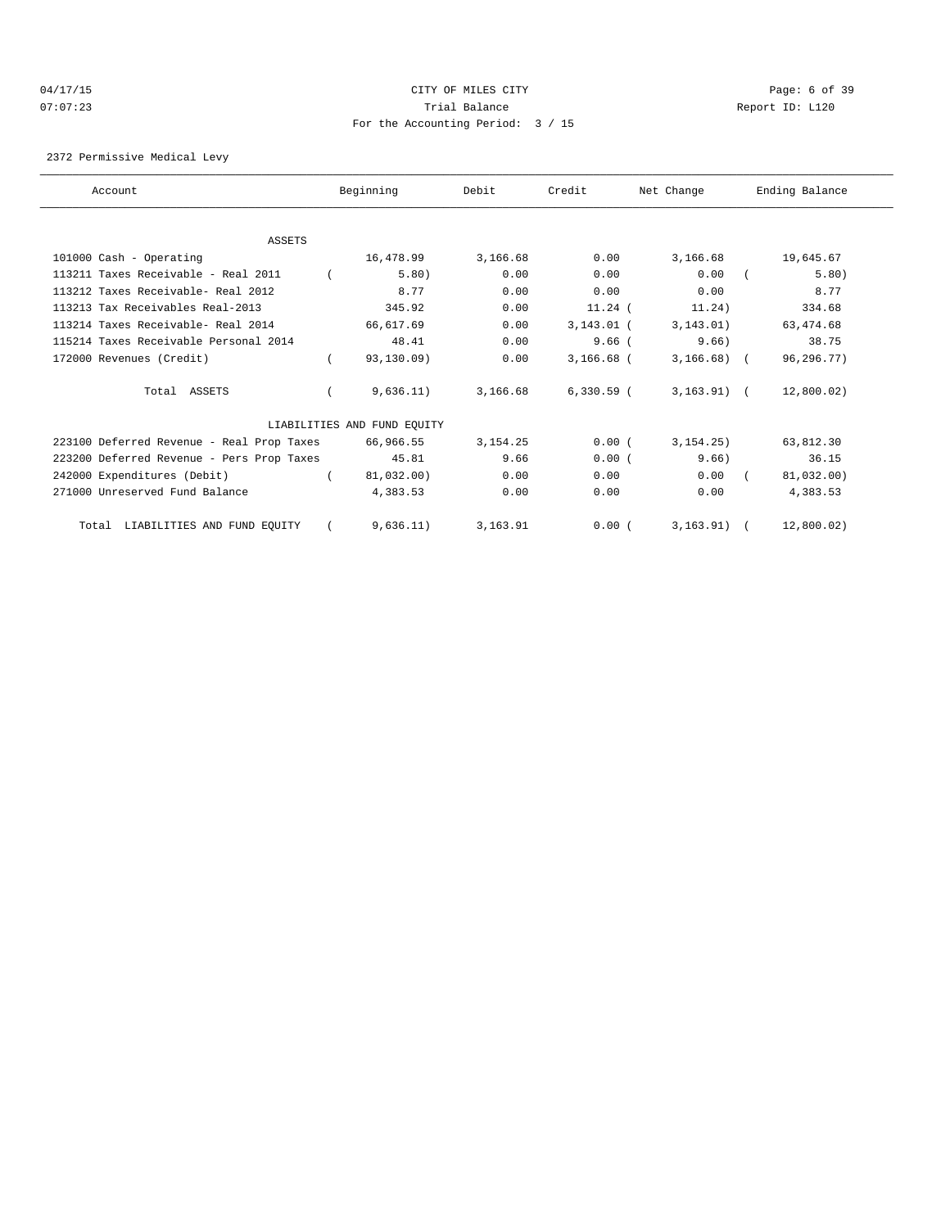#### 04/17/15 CITY OF MILES CITY Page: 6 of 39 07:07:23 Trial Balance Report ID: L120 For the Accounting Period: 3 / 15

2372 Permissive Medical Levy

| Account                                   | Beginning                   | Debit      | Credit       | Net Change     | Ending Balance |
|-------------------------------------------|-----------------------------|------------|--------------|----------------|----------------|
|                                           |                             |            |              |                |                |
| ASSETS                                    |                             |            |              |                |                |
| 101000 Cash - Operating                   | 16,478.99                   | 3,166.68   | 0.00         | 3,166.68       | 19,645.67      |
| 113211 Taxes Receivable - Real 2011       | 5.80)                       | 0.00       | 0.00         | 0.00           | 5.80)          |
| 113212 Taxes Receivable- Real 2012        | 8.77                        | 0.00       | 0.00         | 0.00           | 8.77           |
| 113213 Tax Receivables Real-2013          | 345.92                      | 0.00       | $11.24$ (    | 11.24)         | 334.68         |
| 113214 Taxes Receivable- Real 2014        | 66,617.69                   | 0.00       | $3,143.01$ ( | 3, 143.01)     | 63, 474.68     |
| 115214 Taxes Receivable Personal 2014     | 48.41                       | 0.00       | $9.66$ (     | 9.66           | 38.75          |
| 172000 Revenues (Credit)                  | 93,130.09)                  | 0.00       | $3,166.68$ ( | $3,166.68$ ) ( | 96,296.77)     |
| Total ASSETS                              | 9,636.11)                   | 3,166.68   | $6,330.59$ ( | $3,163.91$ (   | 12,800.02)     |
|                                           | LIABILITIES AND FUND EQUITY |            |              |                |                |
| 223100 Deferred Revenue - Real Prop Taxes | 66,966.55                   | 3, 154. 25 | 0.00(        | 3.154.25       | 63,812.30      |
| 223200 Deferred Revenue - Pers Prop Taxes | 45.81                       | 9.66       | 0.00(        | 9.66)          | 36.15          |
| 242000 Expenditures (Debit)               | 81,032.00)                  | 0.00       | 0.00         | 0.00           | 81,032.00)     |
| 271000 Unreserved Fund Balance            | 4,383.53                    | 0.00       | 0.00         | 0.00           | 4,383.53       |
| LIABILITIES AND FUND EQUITY<br>Total      | 9.636.11)                   | 3, 163, 91 | 0.00(        | $3.163.91$ (   | 12,800.02)     |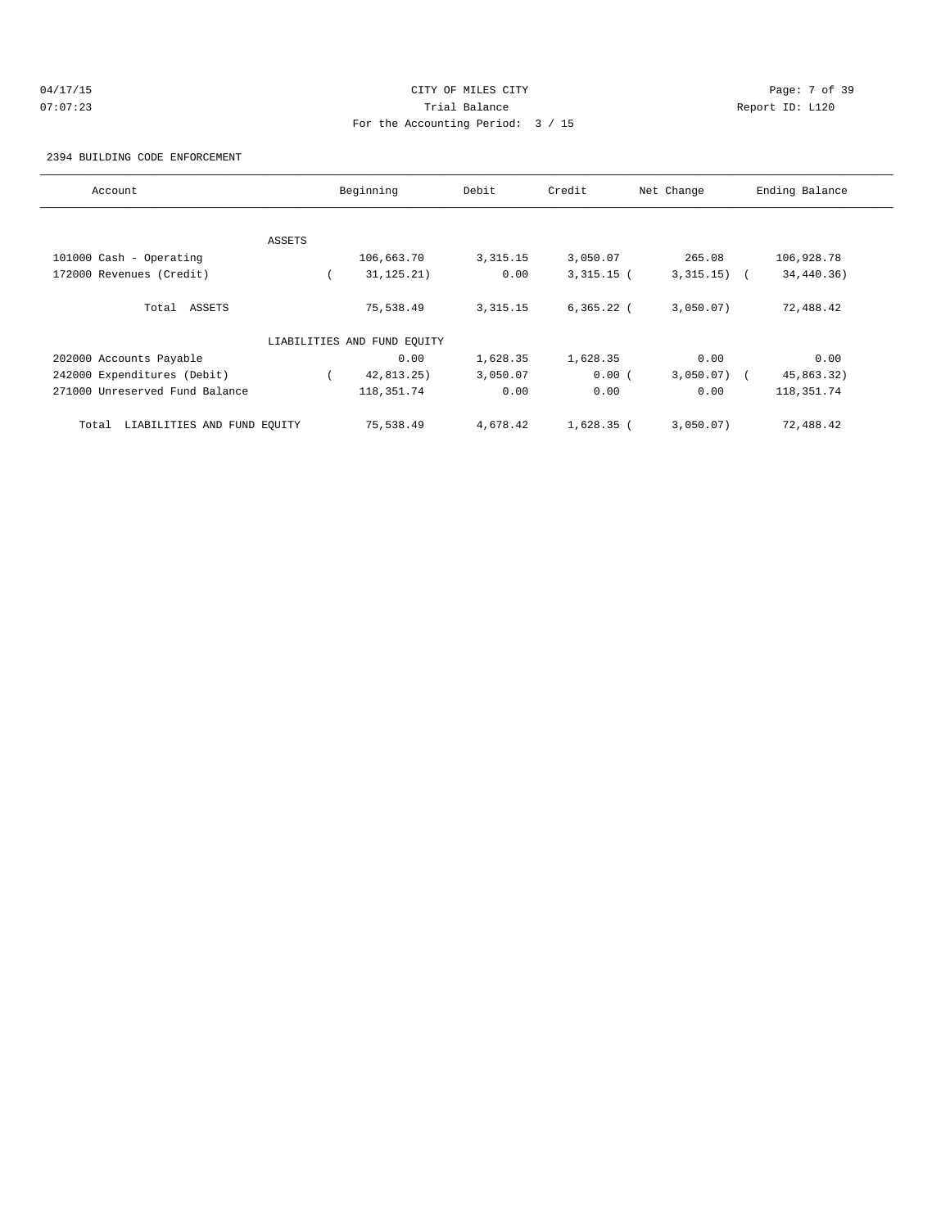# 04/17/15 CITY OF MILES CITY Page: 7 of 39 07:07:23 Trial Balance Report ID: L120 For the Accounting Period: 3 / 15

2394 BUILDING CODE ENFORCEMENT

| Account                              |        | Beginning                   | Debit      | Credit       | Net Change    | Ending Balance |
|--------------------------------------|--------|-----------------------------|------------|--------------|---------------|----------------|
|                                      |        |                             |            |              |               |                |
|                                      | ASSETS |                             |            |              |               |                |
| 101000 Cash - Operating              |        | 106,663.70                  | 3, 315. 15 | 3,050.07     | 265.08        | 106,928.78     |
| 172000 Revenues (Credit)             |        | 31, 125.21)                 | 0.00       | $3,315.15$ ( | $3,315.15)$ ( | 34,440.36)     |
| Total ASSETS                         |        | 75,538.49                   | 3, 315. 15 | $6,365.22$ ( | 3,050.07)     | 72,488.42      |
|                                      |        | LIABILITIES AND FUND EOUITY |            |              |               |                |
| 202000 Accounts Payable              |        | 0.00                        | 1,628.35   | 1,628.35     | 0.00          | 0.00           |
| 242000 Expenditures (Debit)          |        | 42,813.25)                  | 3,050.07   | 0.00(        | $3,050.07$ (  | 45,863.32)     |
| 271000 Unreserved Fund Balance       |        | 118, 351.74                 | 0.00       | 0.00         | 0.00          | 118,351.74     |
| LIABILITIES AND FUND EQUITY<br>Total |        | 75,538.49                   | 4,678.42   | $1,628.35$ ( | 3,050.07)     | 72,488.42      |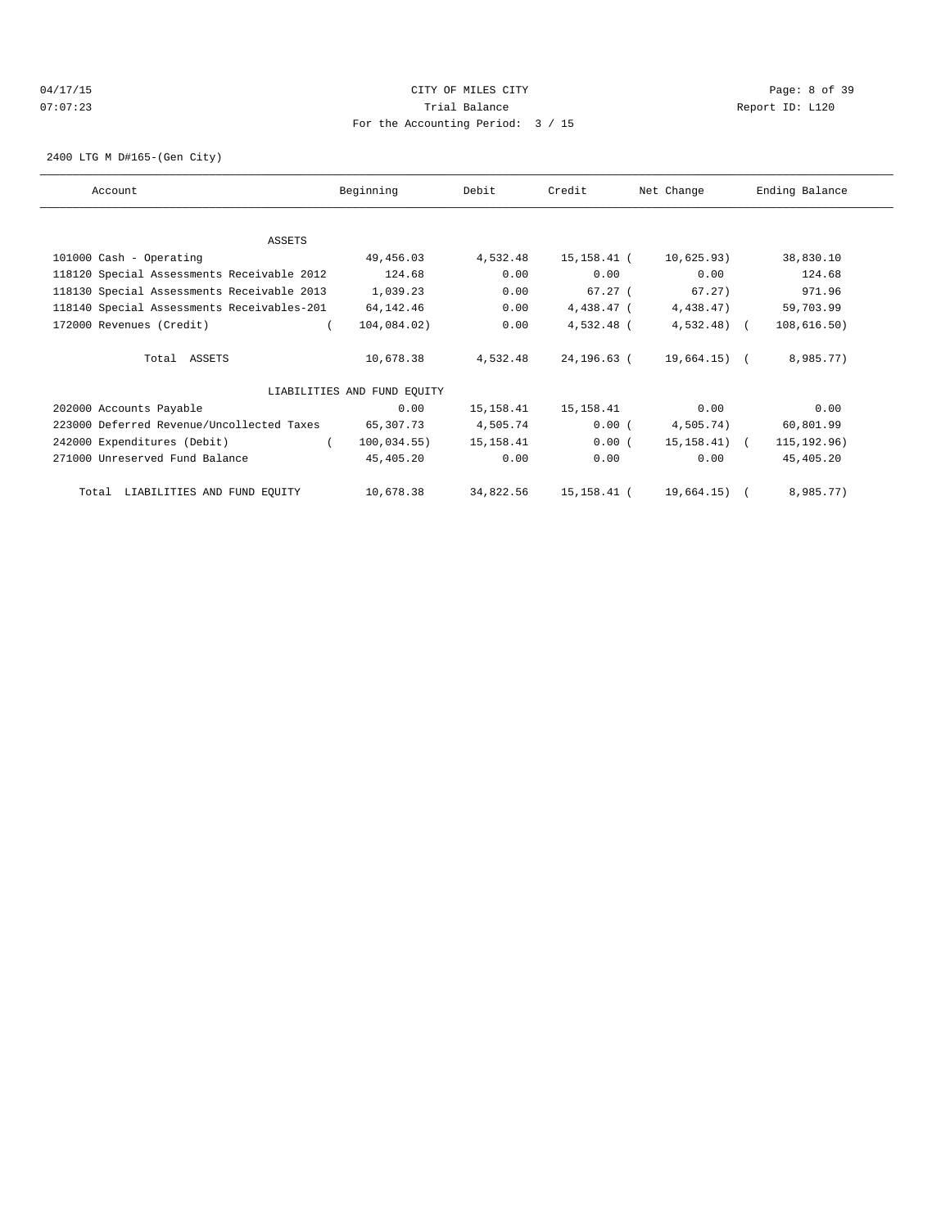# 04/17/15 CITY OF MILES CITY Page: 8 of 39 07:07:23 Trial Balance Report ID: L120 For the Accounting Period: 3 / 15

2400 LTG M D#165-(Gen City)

| Account                                    | Beginning                   | Debit     | Credit      | Net Change   | Ending Balance |
|--------------------------------------------|-----------------------------|-----------|-------------|--------------|----------------|
| ASSETS                                     |                             |           |             |              |                |
| 101000 Cash - Operating                    | 49,456.03                   | 4,532.48  | 15,158.41 ( | 10,625.93)   | 38,830.10      |
| 118120 Special Assessments Receivable 2012 | 124.68                      | 0.00      | 0.00        | 0.00         | 124.68         |
| 118130 Special Assessments Receivable 2013 | 1,039.23                    | 0.00      | 67.27 (     | 67.27)       | 971.96         |
| 118140 Special Assessments Receivables-201 | 64, 142. 46                 | 0.00      | 4,438.47 (  | 4,438.47)    | 59,703.99      |
| 172000 Revenues (Credit)                   | 104,084.02)                 | 0.00      | 4,532.48 (  | $4,532.48$ ( | 108,616.50)    |
| Total ASSETS                               | 10,678.38                   | 4,532.48  | 24,196.63 ( | 19,664.15) ( | 8,985.77)      |
|                                            | LIABILITIES AND FUND EQUITY |           |             |              |                |
| 202000 Accounts Payable                    | 0.00                        | 15,158.41 | 15,158.41   | 0.00         | 0.00           |
| 223000 Deferred Revenue/Uncollected Taxes  | 65,307.73                   | 4,505.74  | 0.00(       | 4,505.74)    | 60,801.99      |
| 242000 Expenditures (Debit)                | 100,034.55)<br>$\sqrt{2}$   | 15,158.41 | 0.00(       | 15,158.41) ( | 115, 192.96)   |
| 271000 Unreserved Fund Balance             | 45,405.20                   | 0.00      | 0.00        | 0.00         | 45,405.20      |
| Total LIABILITIES AND FUND EQUITY          | 10,678.38                   | 34,822.56 | 15,158.41 ( | 19,664.15) ( | 8,985.77)      |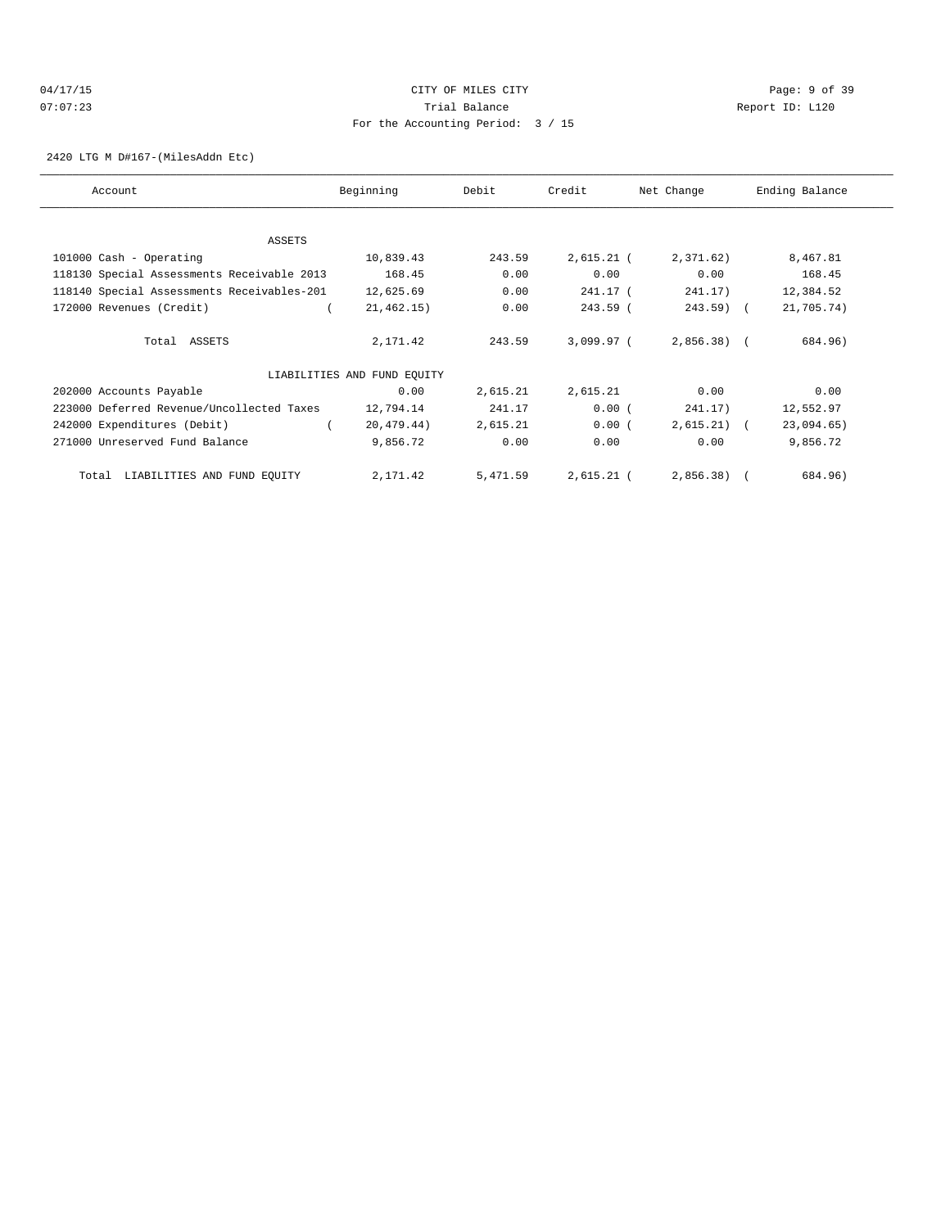# 04/17/15 Page: 9 of 39 07:07:23 Trial Balance Report ID: L120 For the Accounting Period: 3 / 15

2420 LTG M D#167-(MilesAddn Etc)

| Account                                    | Beginning                   | Debit    | Credit       | Net Change   | Ending Balance |
|--------------------------------------------|-----------------------------|----------|--------------|--------------|----------------|
|                                            |                             |          |              |              |                |
| ASSETS                                     |                             |          |              |              |                |
| 101000 Cash - Operating                    | 10,839.43                   | 243.59   | $2,615.21$ ( | 2,371.62)    | 8,467.81       |
| 118130 Special Assessments Receivable 2013 | 168.45                      | 0.00     | 0.00         | 0.00         | 168.45         |
| 118140 Special Assessments Receivables-201 | 12,625.69                   | 0.00     | 241.17 (     | 241.17)      | 12,384.52      |
| 172000 Revenues (Credit)                   | 21, 462.15)                 | 0.00     | $243.59$ (   | $243.59$ (   | 21,705.74)     |
| Total ASSETS                               | 2,171.42                    | 243.59   | 3,099.97 (   | $2,856.38$ ( | 684.96)        |
|                                            | LIABILITIES AND FUND EQUITY |          |              |              |                |
| 202000 Accounts Payable                    | 0.00                        | 2,615.21 | 2,615.21     | 0.00         | 0.00           |
| 223000 Deferred Revenue/Uncollected Taxes  | 12,794.14                   | 241.17   | 0.00(        | 241.17)      | 12,552.97      |
| 242000 Expenditures (Debit)                | 20,479.44)                  | 2,615.21 | 0.00(        | 2,615.21)    | 23,094.65)     |
| 271000 Unreserved Fund Balance             | 9,856.72                    | 0.00     | 0.00         | 0.00         | 9,856.72       |
| LIABILITIES AND FUND EQUITY<br>Total       | 2,171.42                    | 5,471.59 | $2,615.21$ ( | 2,856.38)    | 684.96)        |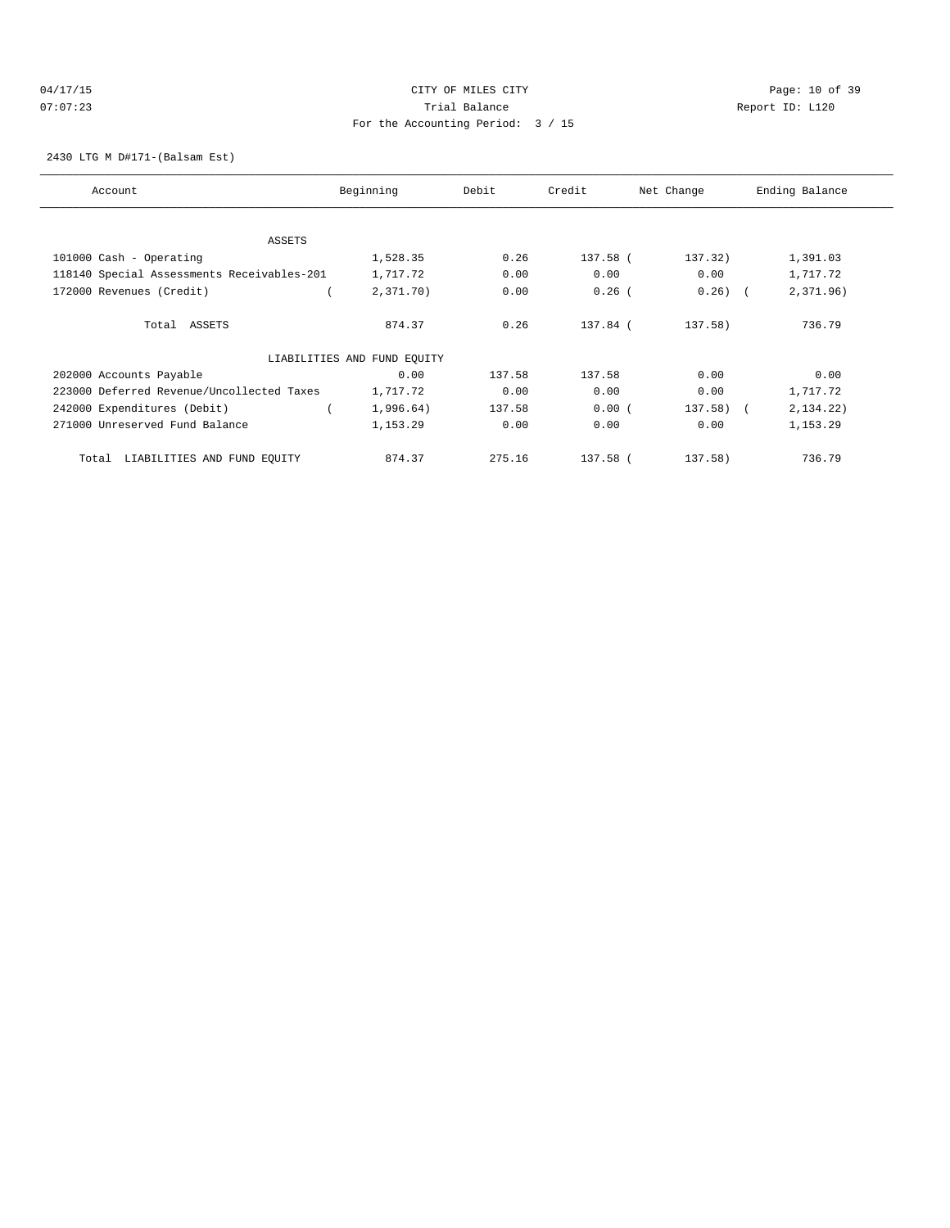# 04/17/15 Page: 10 of 39 07:07:23 Trial Balance Report ID: L120 For the Accounting Period: 3 / 15

2430 LTG M D#171-(Balsam Est)

| Account                                    | Beginning                   | Debit  | Credit   | Net Change   | Ending Balance |
|--------------------------------------------|-----------------------------|--------|----------|--------------|----------------|
|                                            |                             |        |          |              |                |
| ASSETS                                     |                             |        |          |              |                |
| 101000 Cash - Operating                    | 1,528.35                    | 0.26   | 137.58 ( | 137.32)      | 1,391.03       |
| 118140 Special Assessments Receivables-201 | 1,717.72                    | 0.00   | 0.00     | 0.00         | 1,717.72       |
| 172000 Revenues (Credit)                   | 2,371.70)                   | 0.00   | $0.26$ ( | $0.26)$ (    | 2,371.96)      |
| Total ASSETS                               | 874.37                      | 0.26   | 137.84 ( | $137.58$ )   | 736.79         |
|                                            | LIABILITIES AND FUND EQUITY |        |          |              |                |
| 202000 Accounts Payable                    | 0.00                        | 137.58 | 137.58   | 0.00         | 0.00           |
| 223000 Deferred Revenue/Uncollected Taxes  | 1,717.72                    | 0.00   | 0.00     | 0.00         | 1,717.72       |
| 242000 Expenditures (Debit)                | 1,996.64)                   | 137.58 | 0.00(    | $137.58$ ) ( | 2,134.22)      |
| 271000 Unreserved Fund Balance             | 1,153.29                    | 0.00   | 0.00     | 0.00         | 1,153.29       |
| LIABILITIES AND FUND EQUITY<br>Total       | 874.37                      | 275.16 | 137.58 ( | 137.58)      | 736.79         |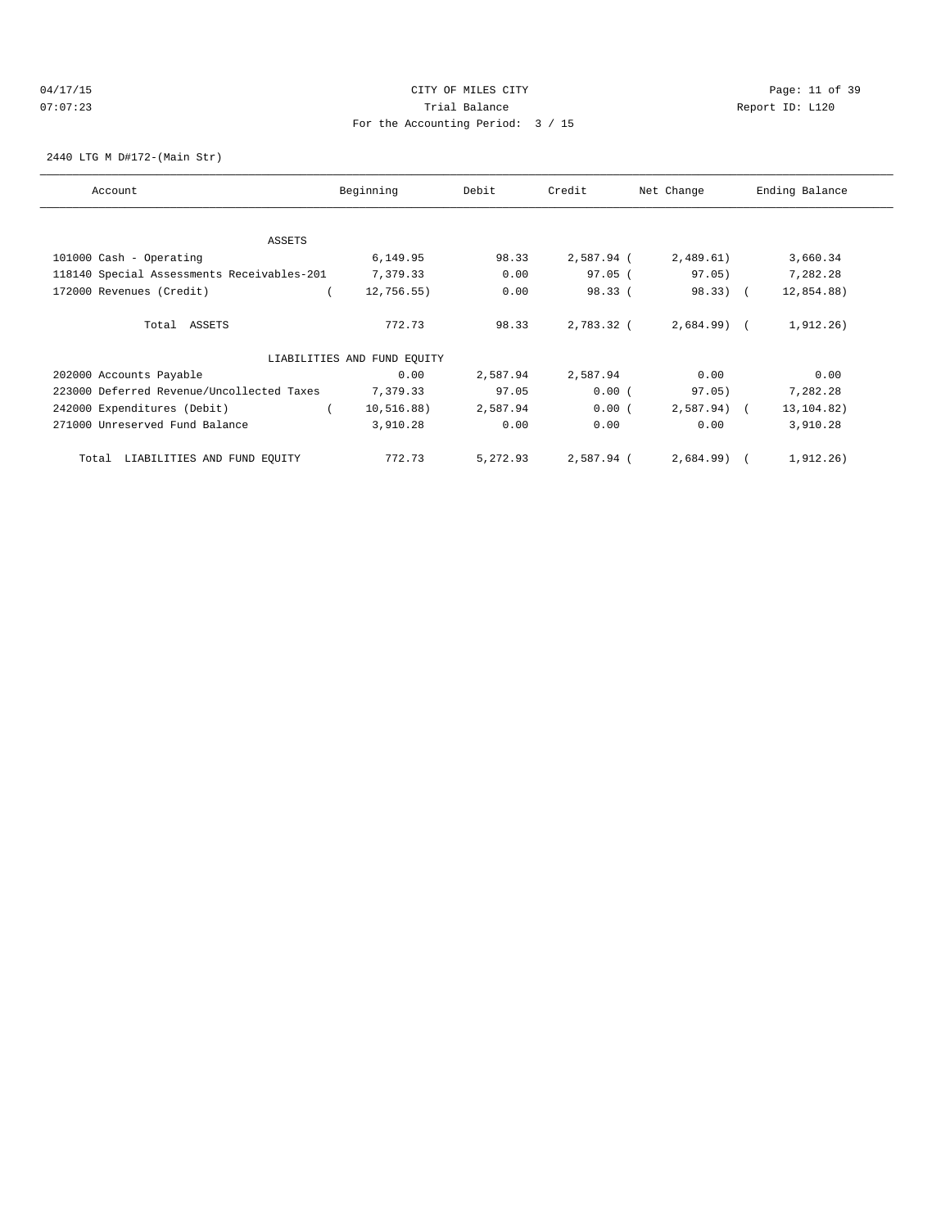# 04/17/15 Page: 11 of 39 07:07:23 Trial Balance Report ID: L120 For the Accounting Period: 3 / 15

2440 LTG M D#172-(Main Str)

| Account                                    | Beginning                   | Debit    | Credit     | Net Change   | Ending Balance |
|--------------------------------------------|-----------------------------|----------|------------|--------------|----------------|
|                                            |                             |          |            |              |                |
| ASSETS                                     | 6,149.95                    | 98.33    | 2,587.94 ( | 2,489.61)    | 3,660.34       |
| 101000 Cash - Operating                    |                             |          |            |              |                |
| 118140 Special Assessments Receivables-201 | 7,379.33                    | 0.00     | $97.05$ (  | 97.05)       | 7,282.28       |
| 172000 Revenues (Credit)                   | $12,756.55$ )               | 0.00     | 98.33(     | $98.33)$ (   | 12,854.88)     |
| Total ASSETS                               | 772.73                      | 98.33    | 2,783.32 ( | $2,684.99$ ( | 1,912.26)      |
|                                            | LIABILITIES AND FUND EQUITY |          |            |              |                |
| 202000 Accounts Payable                    | 0.00                        | 2,587.94 | 2,587.94   | 0.00         | 0.00           |
| 223000 Deferred Revenue/Uncollected Taxes  | 7,379.33                    | 97.05    | 0.00(      | 97.05)       | 7,282.28       |
| 242000 Expenditures (Debit)                | 10, 516.88)                 | 2,587.94 | 0.00(      | $2,587.94$ ( | 13, 104.82)    |
| 271000 Unreserved Fund Balance             | 3,910.28                    | 0.00     | 0.00       | 0.00         | 3,910.28       |
| LIABILITIES AND FUND EQUITY<br>Total       | 772.73                      | 5,272.93 | 2,587.94 ( | $2,684.99$ ( | 1,912.26)      |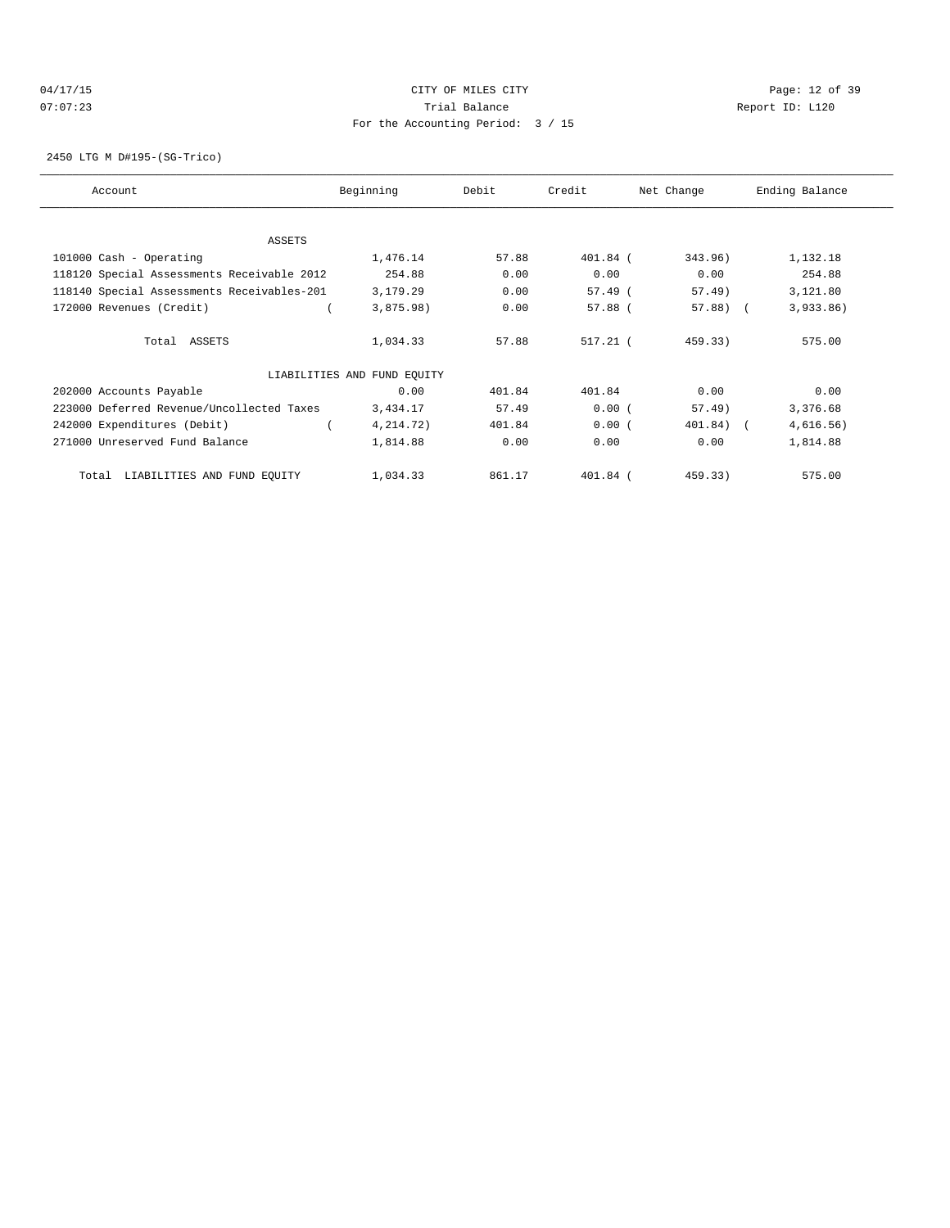# 04/17/15 Page: 12 of 39 07:07:23 Trial Balance Report ID: L120 For the Accounting Period: 3 / 15

2450 LTG M D#195-(SG-Trico)

| Account                                    | Beginning                   | Debit  | Credit     | Net Change  | Ending Balance |
|--------------------------------------------|-----------------------------|--------|------------|-------------|----------------|
|                                            |                             |        |            |             |                |
| ASSETS                                     | 1,476.14                    | 57.88  | $401.84$ ( | 343.96)     | 1,132.18       |
| 101000 Cash - Operating                    |                             |        |            |             |                |
| 118120 Special Assessments Receivable 2012 | 254.88                      | 0.00   | 0.00       | 0.00        | 254.88         |
| 118140 Special Assessments Receivables-201 | 3,179.29                    | 0.00   | $57.49$ (  | 57.49)      | 3,121.80       |
| 172000 Revenues (Credit)                   | 3,875.98)                   | 0.00   | 57.88 (    | $57.88$ (   | 3,933.86)      |
| Total ASSETS                               | 1,034.33                    | 57.88  | $517.21$ ( | 459.33)     | 575.00         |
|                                            | LIABILITIES AND FUND EQUITY |        |            |             |                |
| 202000 Accounts Payable                    | 0.00                        | 401.84 | 401.84     | 0.00        | 0.00           |
| 223000 Deferred Revenue/Uncollected Taxes  | 3,434.17                    | 57.49  | 0.00(      | 57.49)      | 3,376.68       |
| 242000 Expenditures (Debit)                | 4, 214.72)                  | 401.84 | 0.00(      | $401.84)$ ( | 4,616.56)      |
| 271000 Unreserved Fund Balance             | 1,814.88                    | 0.00   | 0.00       | 0.00        | 1,814.88       |
| LIABILITIES AND FUND EQUITY<br>Total       | 1,034.33                    | 861.17 | 401.84 (   | 459.33)     | 575.00         |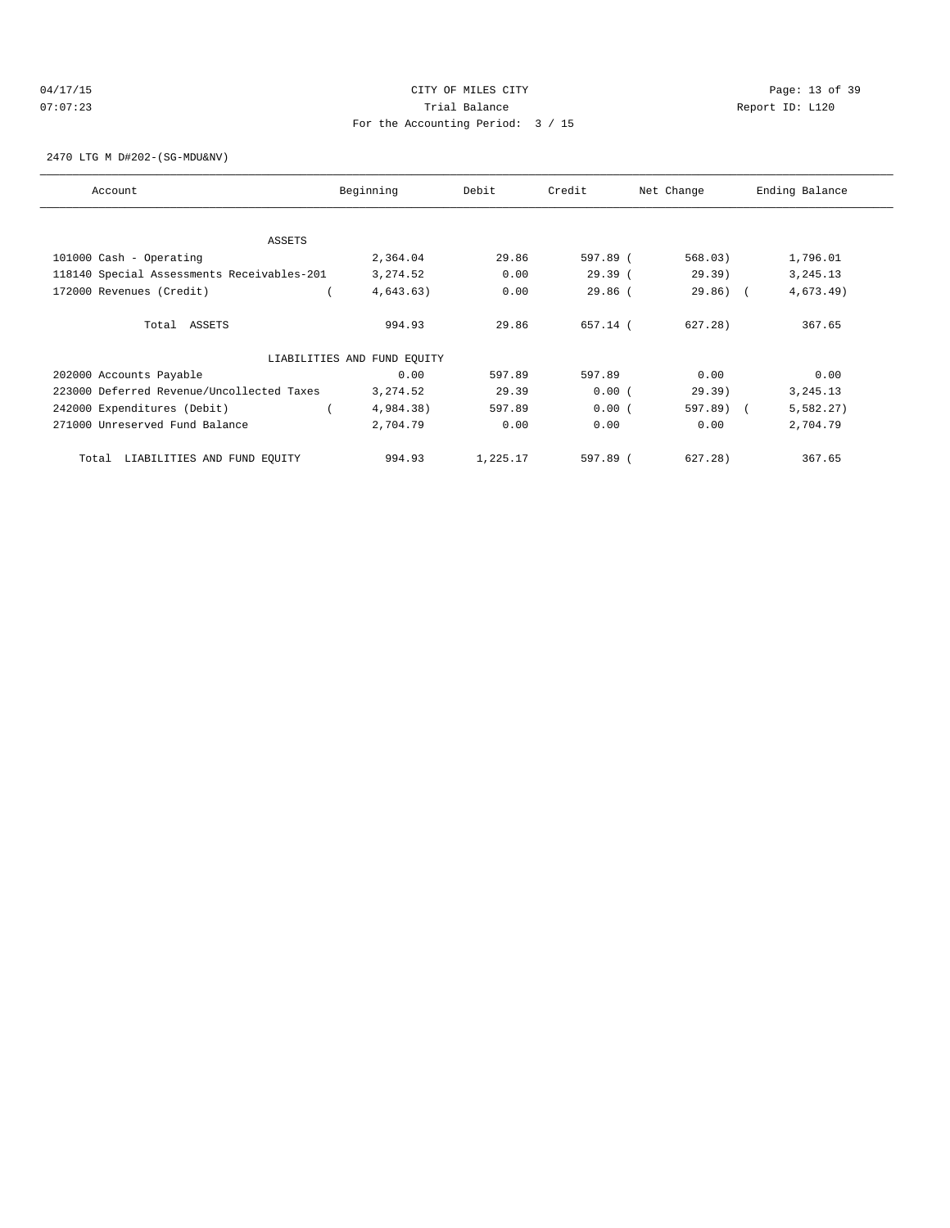# 04/17/15 Page: 13 of 39 07:07:23 Trial Balance Report ID: L120 For the Accounting Period: 3 / 15

2470 LTG M D#202-(SG-MDU&NV)

| Account                                    | Beginning                   | Debit    | Credit    | Net Change  | Ending Balance |
|--------------------------------------------|-----------------------------|----------|-----------|-------------|----------------|
|                                            |                             |          |           |             |                |
| ASSETS                                     |                             |          |           |             |                |
| 101000 Cash - Operating                    | 2,364.04                    | 29.86    | 597.89 (  | 568.03)     | 1,796.01       |
| 118140 Special Assessments Receivables-201 | 3,274.52                    | 0.00     | 29.39(    | 29.39)      | 3, 245. 13     |
| 172000 Revenues (Credit)                   | 4,643.63)                   | 0.00     | $29.86$ ( | $29.86$ ) ( | 4,673.49       |
| Total ASSETS                               | 994.93                      | 29.86    | 657.14 (  | 627.28)     | 367.65         |
|                                            | LIABILITIES AND FUND EQUITY |          |           |             |                |
| 202000 Accounts Payable                    | 0.00                        | 597.89   | 597.89    | 0.00        | 0.00           |
| 223000 Deferred Revenue/Uncollected Taxes  | 3,274.52                    | 29.39    | 0.00(     | 29.39)      | 3, 245. 13     |
| 242000 Expenditures (Debit)                | 4,984.38)                   | 597.89   | 0.00(     | 597.89) (   | 5,582.27)      |
| 271000 Unreserved Fund Balance             | 2,704.79                    | 0.00     | 0.00      | 0.00        | 2,704.79       |
| LIABILITIES AND FUND EQUITY<br>Total       | 994.93                      | 1,225.17 | 597.89 (  | 627.28)     | 367.65         |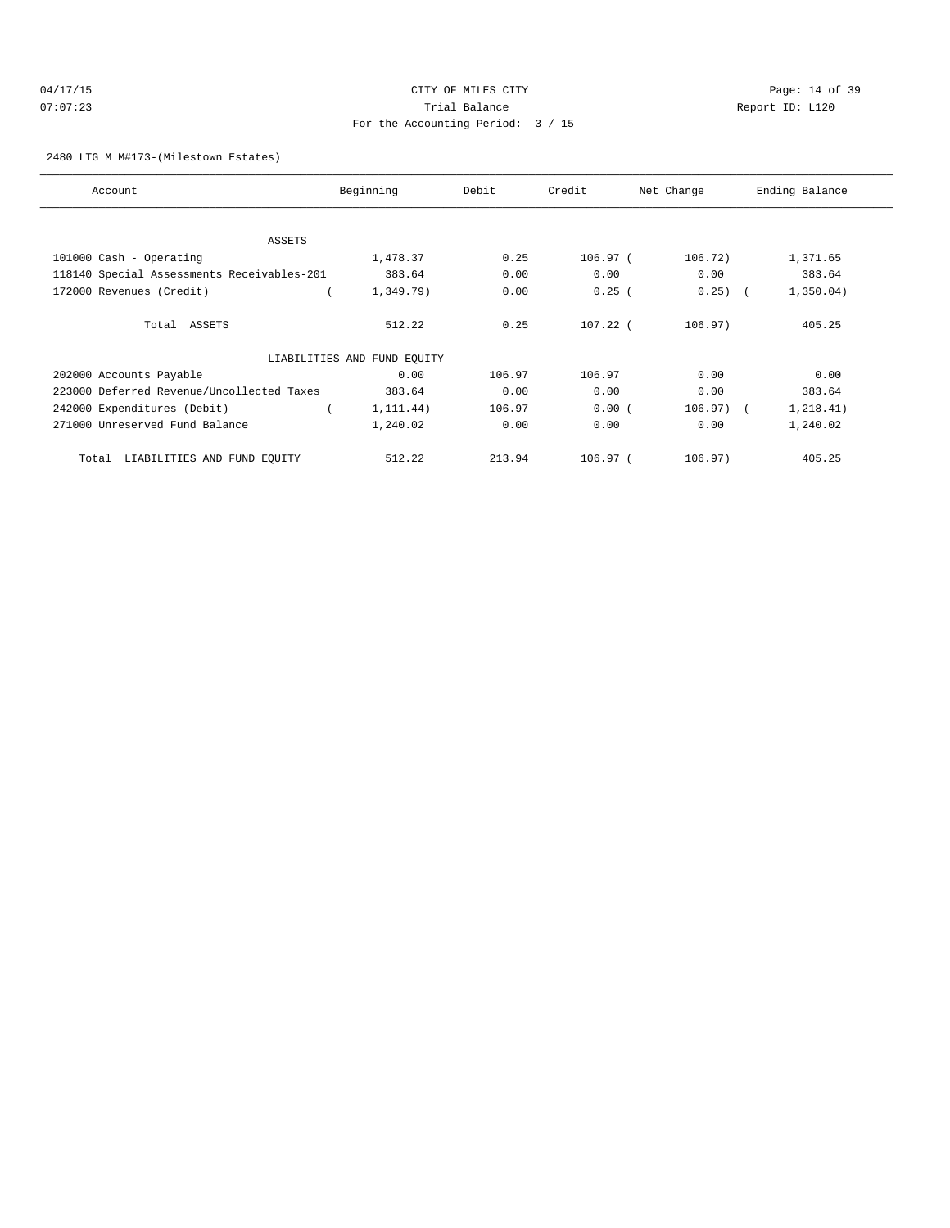#### 04/17/15 Page: 14 of 39 07:07:23 Trial Balance Report ID: L120 For the Accounting Period: 3 / 15

#### 2480 LTG M M#173-(Milestown Estates)

| Account                                    | Beginning                   | Debit  | Credit     | Net Change   | Ending Balance |
|--------------------------------------------|-----------------------------|--------|------------|--------------|----------------|
|                                            |                             |        |            |              |                |
| ASSETS                                     |                             |        |            |              |                |
| 101000 Cash - Operating                    | 1,478.37                    | 0.25   | 106.97(    | 106.72)      | 1,371.65       |
| 118140 Special Assessments Receivables-201 | 383.64                      | 0.00   | 0.00       | 0.00         | 383.64         |
| 172000 Revenues (Credit)                   | 1,349.79)                   | 0.00   | 0.25(      | $0.25)$ (    | 1,350.04)      |
| Total ASSETS                               | 512.22                      | 0.25   | $107.22$ ( | 106.97)      | 405.25         |
|                                            | LIABILITIES AND FUND EQUITY |        |            |              |                |
| 202000 Accounts Payable                    | 0.00                        | 106.97 | 106.97     | 0.00         | 0.00           |
| 223000 Deferred Revenue/Uncollected Taxes  | 383.64                      | 0.00   | 0.00       | 0.00         | 383.64         |
| 242000 Expenditures (Debit)                | 1, 111.44)                  | 106.97 | 0.00(      | $106.97$ ) ( | 1, 218.41)     |
| 271000 Unreserved Fund Balance             | 1,240.02                    | 0.00   | 0.00       | 0.00         | 1,240.02       |
| LIABILITIES AND FUND EQUITY<br>Total       | 512.22                      | 213.94 | $106.97-1$ | 106.97)      | 405.25         |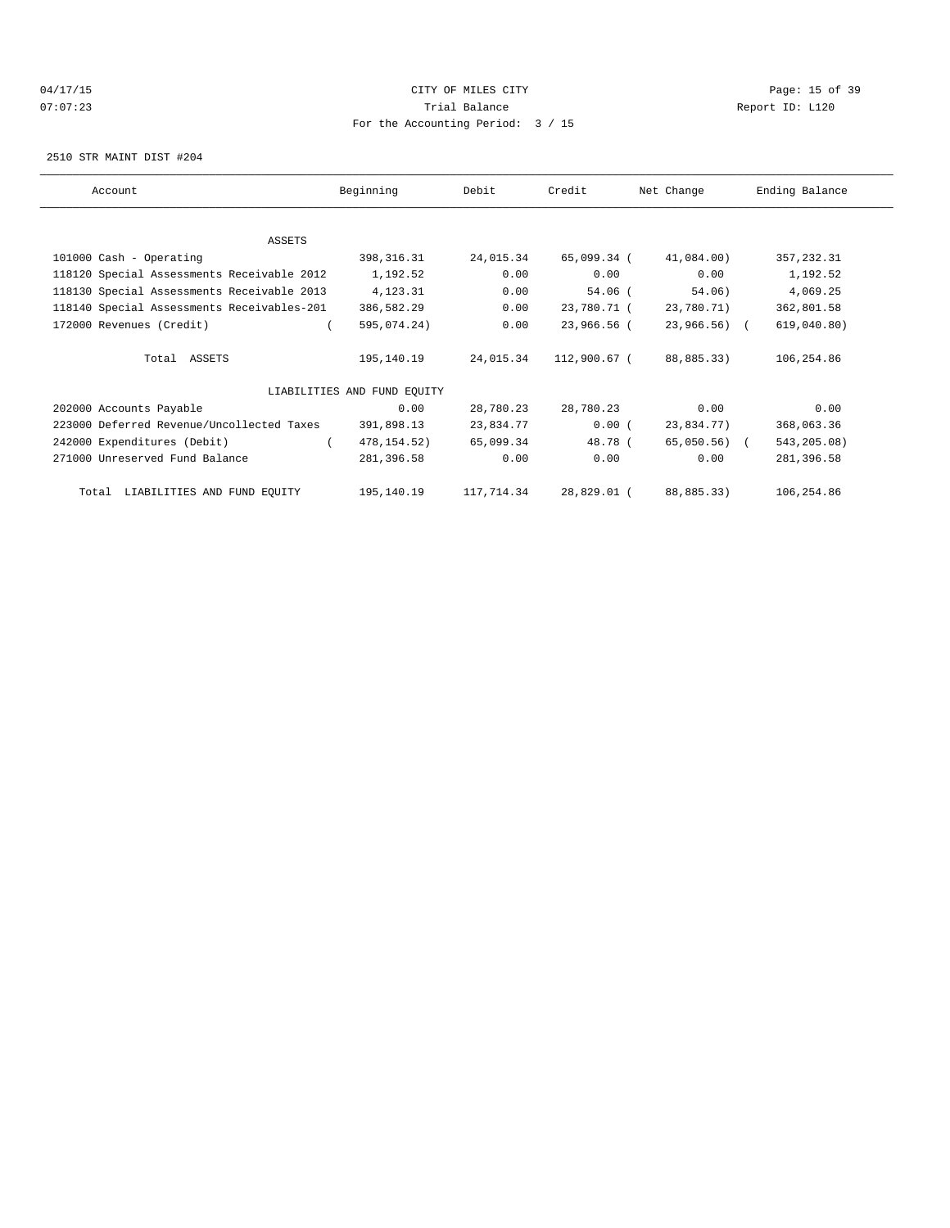# 04/17/15 Page: 15 of 39 07:07:23 Trial Balance Report ID: L120 For the Accounting Period: 3 / 15

2510 STR MAINT DIST #204

| Account                                    | Beginning                   | Debit      | Credit       | Net Change      | Ending Balance |
|--------------------------------------------|-----------------------------|------------|--------------|-----------------|----------------|
|                                            |                             |            |              |                 |                |
| ASSETS                                     |                             |            |              |                 |                |
| 101000 Cash - Operating                    | 398, 316. 31                | 24,015.34  | 65,099.34 (  | 41,084.00)      | 357, 232.31    |
| 118120 Special Assessments Receivable 2012 | 1,192.52                    | 0.00       | 0.00         | 0.00            | 1,192.52       |
| 118130 Special Assessments Receivable 2013 | 4,123.31                    | 0.00       | 54.06 (      | 54.06)          | 4,069.25       |
| 118140 Special Assessments Receivables-201 | 386,582.29                  | 0.00       | 23,780.71 (  | 23,780.71)      | 362,801.58     |
| 172000 Revenues (Credit)                   | 595,074.24)                 | 0.00       | 23,966.56 (  | $23,966.56$ ) ( | 619,040.80)    |
| Total ASSETS                               | 195,140.19                  | 24,015.34  | 112,900.67 ( | 88,885.33)      | 106,254.86     |
|                                            | LIABILITIES AND FUND EQUITY |            |              |                 |                |
| 202000 Accounts Payable                    | 0.00                        | 28,780.23  | 28,780.23    | 0.00            | 0.00           |
| 223000 Deferred Revenue/Uncollected Taxes  | 391,898.13                  | 23,834.77  | 0.00(        | 23,834.77)      | 368,063.36     |
| 242000 Expenditures (Debit)                | 478, 154.52)                | 65,099.34  | 48.78 (      | 65,050.56) (    | 543,205.08)    |
| 271000 Unreserved Fund Balance             | 281,396.58                  | 0.00       | 0.00         | 0.00            | 281,396.58     |
| Total LIABILITIES AND FUND EQUITY          | 195,140.19                  | 117,714.34 | 28,829.01 (  | 88,885.33)      | 106,254.86     |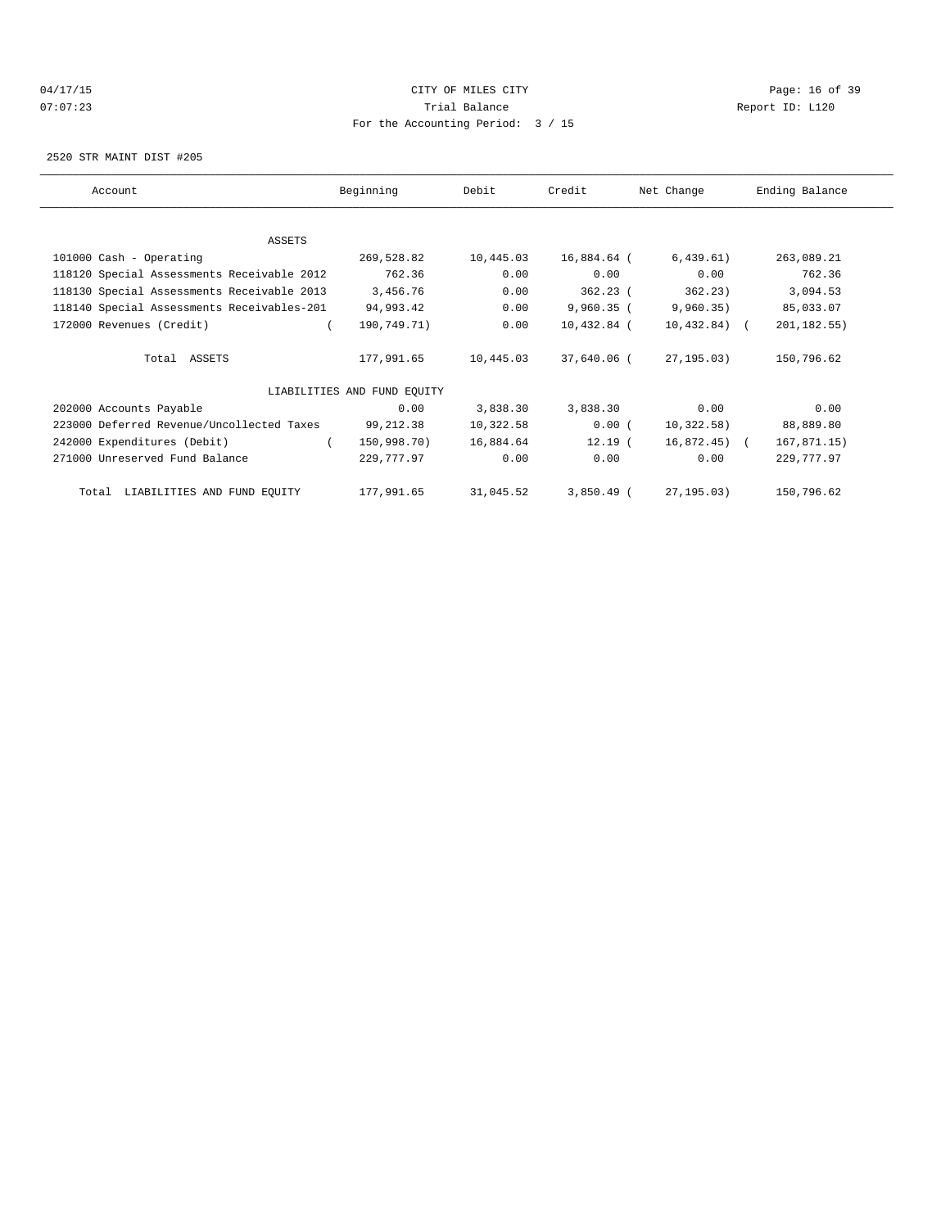# 04/17/15 Page: 16 of 39 07:07:23 Trial Balance Report ID: L120 For the Accounting Period: 3 / 15

2520 STR MAINT DIST #205

| Account                                    | Beginning                   | Debit     | Credit       | Net Change      | Ending Balance |
|--------------------------------------------|-----------------------------|-----------|--------------|-----------------|----------------|
|                                            |                             |           |              |                 |                |
| ASSETS                                     |                             |           |              |                 |                |
| 101000 Cash - Operating                    | 269,528.82                  | 10,445.03 | 16,884.64 (  | 6,439.61)       | 263,089.21     |
| 118120 Special Assessments Receivable 2012 | 762.36                      | 0.00      | 0.00         | 0.00            | 762.36         |
| 118130 Special Assessments Receivable 2013 | 3,456.76                    | 0.00      | $362.23$ (   | 362.23)         | 3,094.53       |
| 118140 Special Assessments Receivables-201 | 94,993.42                   | 0.00      | $9,960.35$ ( | 9,960.35)       | 85,033.07      |
| 172000 Revenues (Credit)                   | 190,749.71)                 | 0.00      | 10,432.84 (  | $10,432.84$ ) ( | 201, 182.55)   |
| Total ASSETS                               | 177,991.65                  | 10,445.03 | 37,640.06 (  | 27,195.03)      | 150,796.62     |
|                                            | LIABILITIES AND FUND EQUITY |           |              |                 |                |
| 202000 Accounts Payable                    | 0.00                        | 3,838.30  | 3,838.30     | 0.00            | 0.00           |
| 223000 Deferred Revenue/Uncollected Taxes  | 99,212.38                   | 10,322.58 | 0.00(        | 10,322.58)      | 88,889.80      |
| 242000 Expenditures (Debit)<br>$\left($    | 150,998.70)                 | 16,884.64 | 12.19 (      | 16,872.45) (    | 167,871.15)    |
| 271000 Unreserved Fund Balance             | 229,777.97                  | 0.00      | 0.00         | 0.00            | 229,777.97     |
| Total LIABILITIES AND FUND EQUITY          | 177,991.65                  | 31,045.52 | $3,850.49$ ( | 27,195.03)      | 150,796.62     |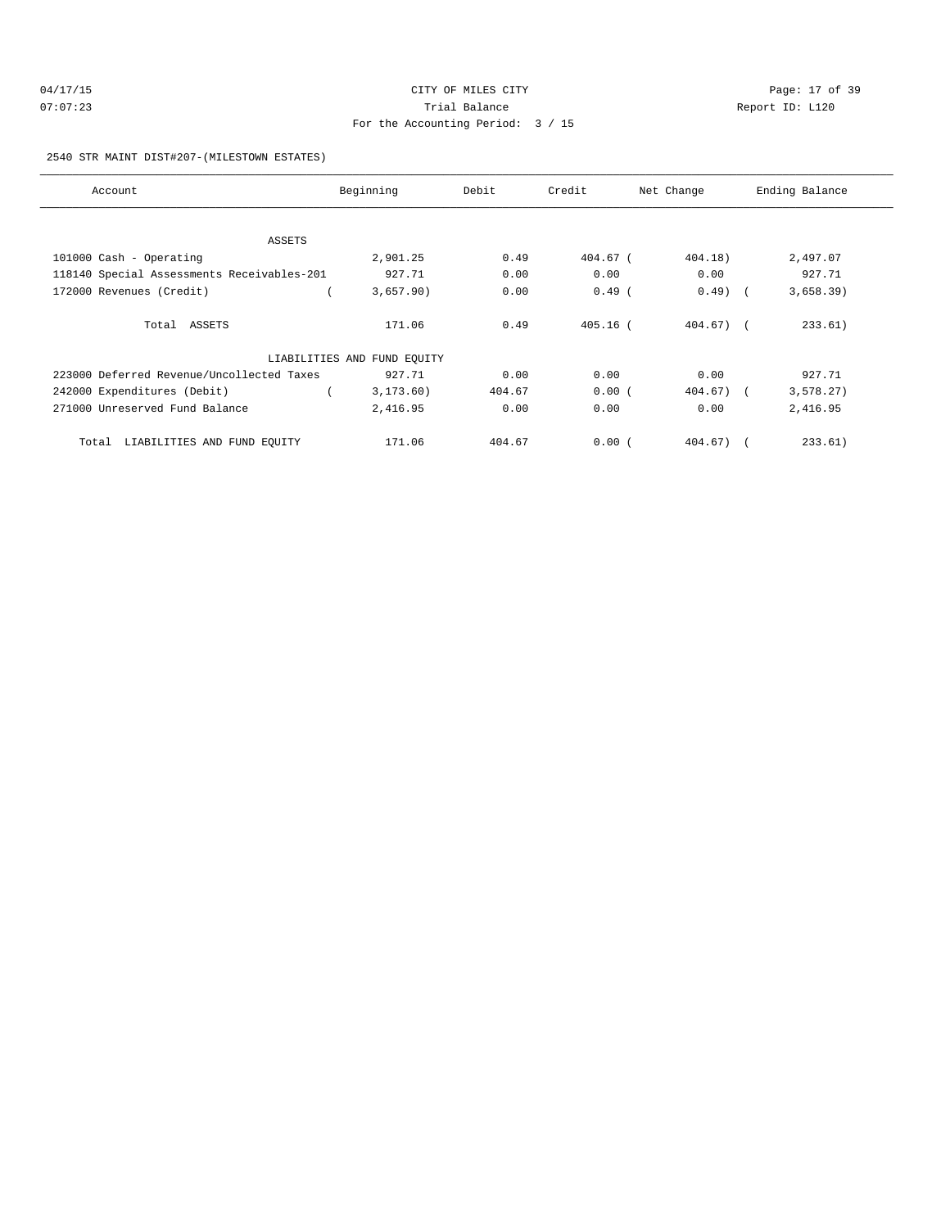| 04/17/15 | CITY OF MILES CITY                | Page: 17 of 39  |
|----------|-----------------------------------|-----------------|
| 07:07:23 | Trial Balance                     | Report ID: L120 |
|          | For the Accounting Period: 3 / 15 |                 |

2540 STR MAINT DIST#207-(MILESTOWN ESTATES)

| Account                                    | Beginning                   | Debit  | Credit     | Net Change   | Ending Balance |
|--------------------------------------------|-----------------------------|--------|------------|--------------|----------------|
|                                            |                             |        |            |              |                |
| ASSETS                                     |                             |        |            |              |                |
| 101000 Cash - Operating                    | 2,901.25                    | 0.49   | 404.67 (   | 404.18)      | 2,497.07       |
| 118140 Special Assessments Receivables-201 | 927.71                      | 0.00   | 0.00       | 0.00         | 927.71         |
| 172000 Revenues (Credit)                   | 3,657.90)                   | 0.00   | $0.49$ (   | $0.49$ (     | 3,658.39)      |
| Total ASSETS                               | 171.06                      | 0.49   | $405.16$ ( | $404.67$ ) ( | 233.61)        |
|                                            | LIABILITIES AND FUND EQUITY |        |            |              |                |
| 223000 Deferred Revenue/Uncollected Taxes  | 927.71                      | 0.00   | 0.00       | 0.00         | 927.71         |
| 242000 Expenditures (Debit)                | 3, 173.60)                  | 404.67 | 0.00(      | $404.67$ ) ( | 3,578.27)      |
| 271000 Unreserved Fund Balance             | 2,416.95                    | 0.00   | 0.00       | 0.00         | 2,416.95       |
| LIABILITIES AND FUND EQUITY<br>Total       | 171.06                      | 404.67 | 0.00(      | $404.67$ ) ( | 233.61)        |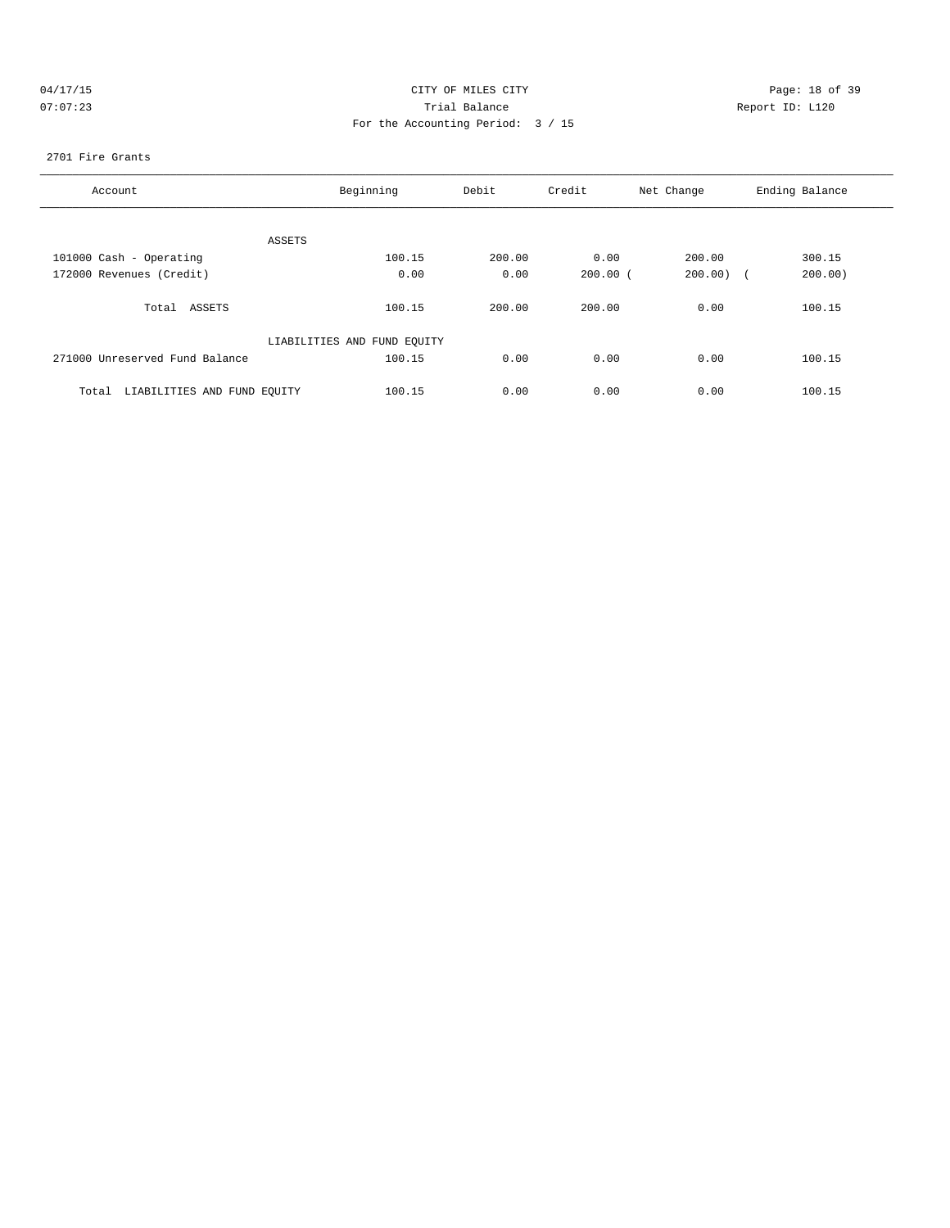| (14) |     | $\prime$ 1 |  |  |
|------|-----|------------|--|--|
|      | . . |            |  |  |

# CITY OF MILES CITY CONTROL CONTROL CONTROL CONTROL CITY 07:07:23 Trial Balance Report ID: L120 For the Accounting Period: 3 / 15

#### 2701 Fire Grants

| Account                              | Beginning                   | Debit  | Credit       | Net Change | Ending Balance       |
|--------------------------------------|-----------------------------|--------|--------------|------------|----------------------|
|                                      |                             |        |              |            |                      |
| ASSETS                               |                             |        |              |            |                      |
| 101000 Cash - Operating              | 100.15                      | 200.00 | 0.00         | 200.00     | 300.15               |
| 172000 Revenues (Credit)             | 0.00                        | 0.00   | $200.00$ $($ | 200.00)    | 200.00<br>$\sqrt{2}$ |
| Total ASSETS                         | 100.15                      | 200.00 | 200.00       | 0.00       | 100.15               |
|                                      | LIABILITIES AND FUND EQUITY |        |              |            |                      |
| 271000 Unreserved Fund Balance       | 100.15                      | 0.00   | 0.00         | 0.00       | 100.15               |
| LIABILITIES AND FUND EQUITY<br>Total | 100.15                      | 0.00   | 0.00         | 0.00       | 100.15               |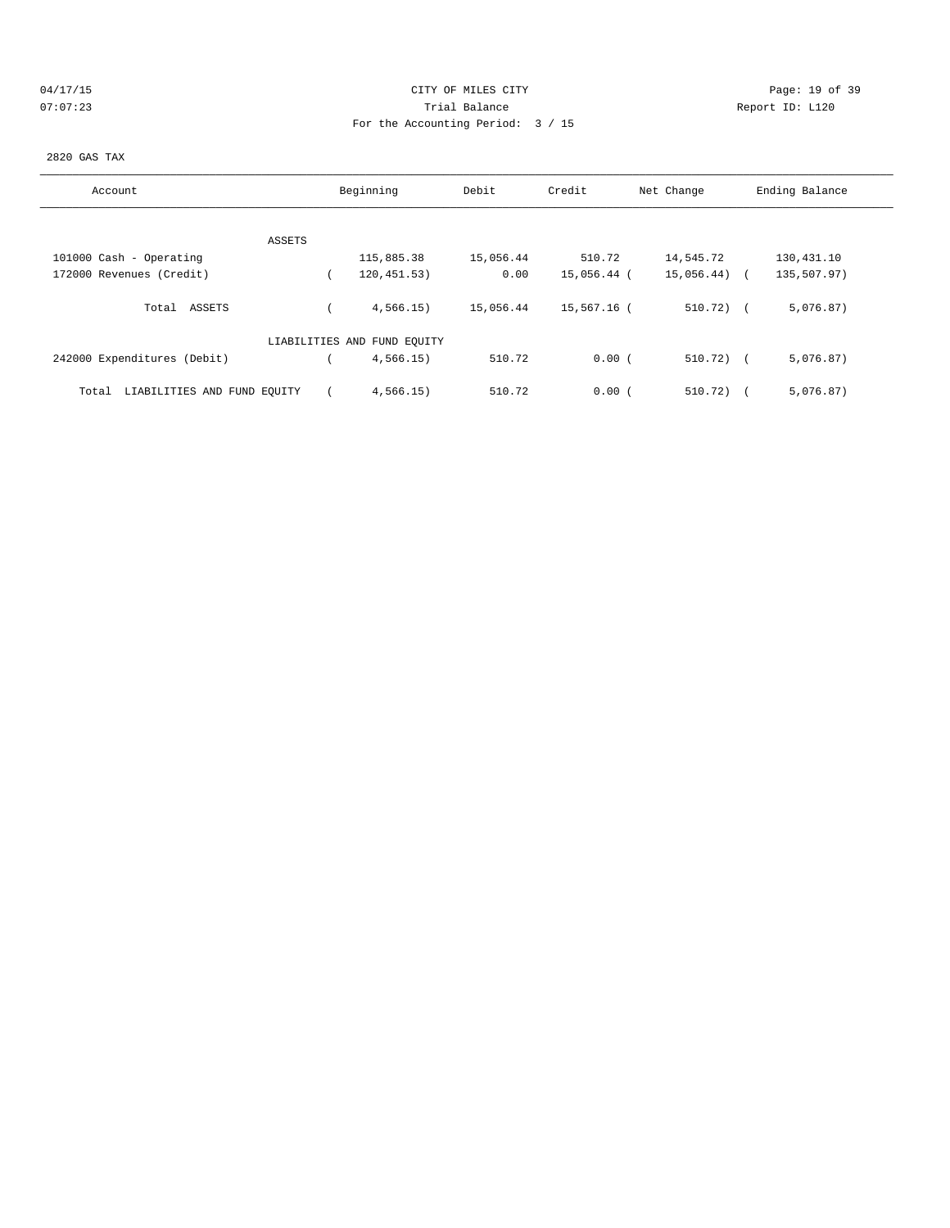# 04/17/15 Page: 19 of 39 07:07:23 Trial Balance Report ID: L120 For the Accounting Period: 3 / 15

#### 2820 GAS TAX

| Account                              | Beginning                   | Debit     | Credit      | Net Change   | Ending Balance |  |
|--------------------------------------|-----------------------------|-----------|-------------|--------------|----------------|--|
|                                      |                             |           |             |              |                |  |
| ASSETS                               |                             |           |             |              |                |  |
| 101000 Cash - Operating              | 115,885.38                  | 15,056.44 | 510.72      | 14,545.72    | 130,431.10     |  |
| 172000 Revenues (Credit)             | 120, 451.53)                | 0.00      | 15,056.44 ( | 15,056.44)   | 135,507.97)    |  |
| Total ASSETS                         | 4,566.15)                   | 15,056.44 | 15,567.16 ( | $510.72$ ) ( | 5,076.87)      |  |
|                                      | LIABILITIES AND FUND EQUITY |           |             |              |                |  |
| 242000 Expenditures (Debit)          | 4,566.15)                   | 510.72    | 0.00(       | $510.72)$ (  | 5,076.87)      |  |
| LIABILITIES AND FUND EQUITY<br>Total | 4.566.15                    | 510.72    | 0.00(       | 510.72)      | 5,076.87)      |  |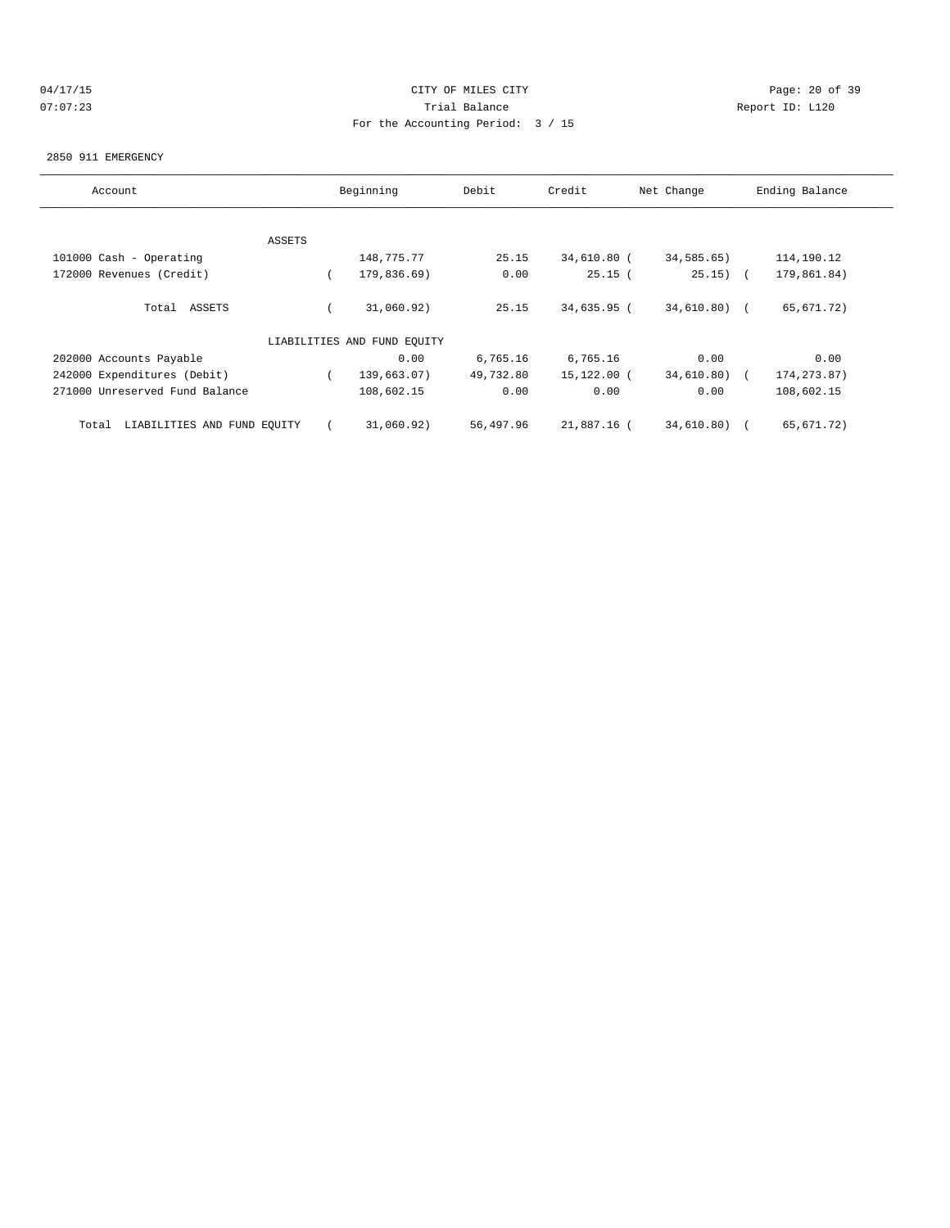# 04/17/15 Page: 20 of 39 07:07:23 Trial Balance Report ID: L120 For the Accounting Period: 3 / 15

#### 2850 911 EMERGENCY

| Account                              |        | Beginning                   | Debit     | Credit      | Net Change    | Ending Balance |
|--------------------------------------|--------|-----------------------------|-----------|-------------|---------------|----------------|
|                                      |        |                             |           |             |               |                |
|                                      | ASSETS |                             |           |             |               |                |
| 101000 Cash - Operating              |        | 148,775.77                  | 25.15     | 34,610.80 ( | 34,585.65)    | 114,190.12     |
| 172000 Revenues (Credit)             |        | 179,836.69)                 | 0.00      | 25.15(      | $25.15)$ (    | 179,861.84)    |
| Total ASSETS                         |        | 31,060.92)                  | 25.15     | 34,635.95 ( | $34,610.80$ ( | 65,671.72)     |
|                                      |        | LIABILITIES AND FUND EOUITY |           |             |               |                |
| 202000 Accounts Payable              |        | 0.00                        | 6,765.16  | 6,765.16    | 0.00          | 0.00           |
| 242000 Expenditures (Debit)          |        | 139,663.07)                 | 49,732.80 | 15,122.00 ( | 34,610.80)    | 174, 273.87)   |
| 271000 Unreserved Fund Balance       |        | 108,602.15                  | 0.00      | 0.00        | 0.00          | 108,602.15     |
| LIABILITIES AND FUND EQUITY<br>Total |        | 31,060.92)                  | 56,497.96 | 21,887.16 ( | 34,610.80)    | 65,671.72)     |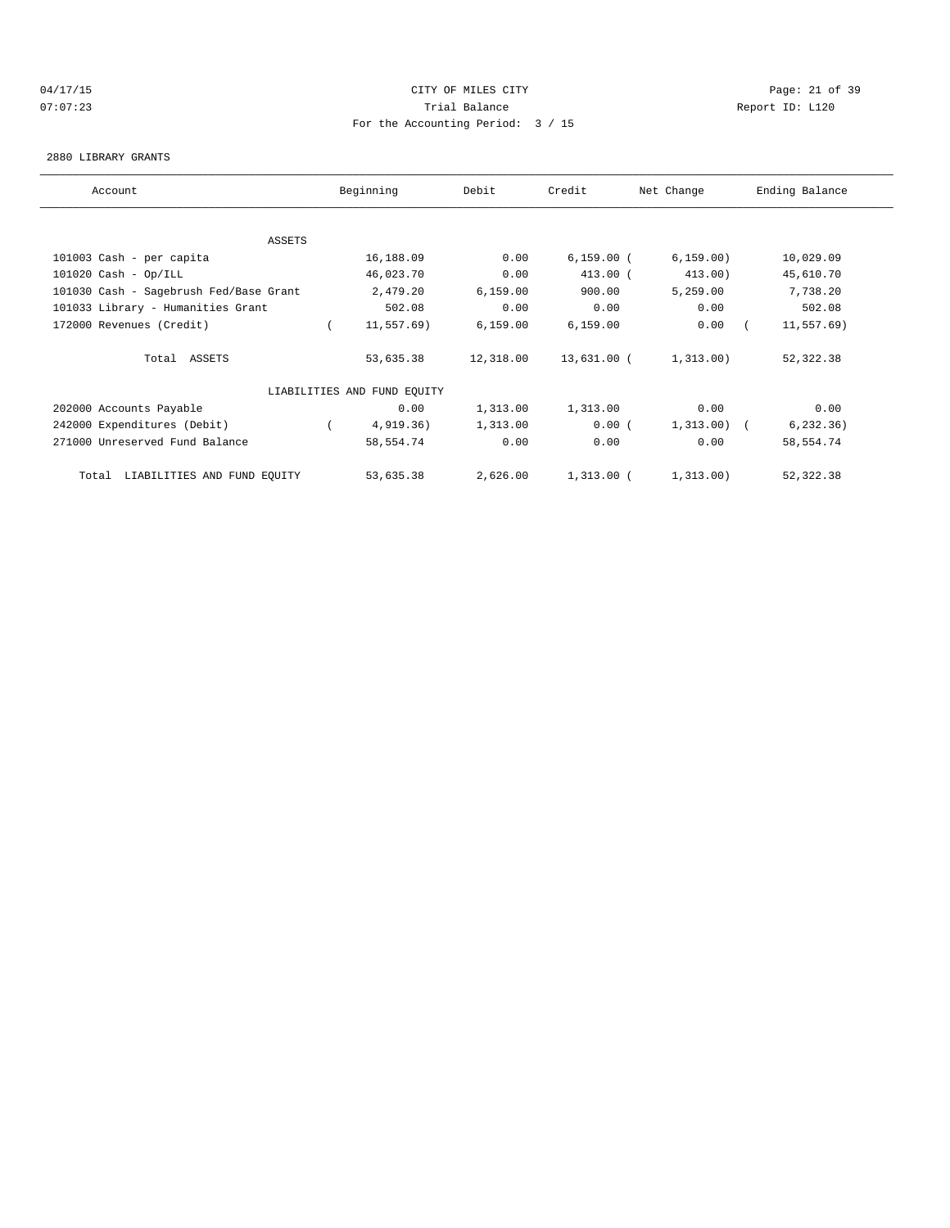# 04/17/15 Page: 21 of 39 07:07:23 Trial Balance Report ID: L120 For the Accounting Period: 3 / 15

#### 2880 LIBRARY GRANTS

| Account                                | Beginning                   | Debit     | Credit       | Net Change   | Ending Balance |
|----------------------------------------|-----------------------------|-----------|--------------|--------------|----------------|
|                                        |                             |           |              |              |                |
| ASSETS                                 |                             |           |              |              |                |
| 101003 Cash - per capita               | 16,188.09                   | 0.00      | $6,159.00$ ( | 6, 159.00)   | 10,029.09      |
| $101020$ Cash - Op/ILL                 | 46,023.70                   | 0.00      | 413.00 (     | 413.00)      | 45,610.70      |
| 101030 Cash - Sagebrush Fed/Base Grant | 2,479.20                    | 6, 159.00 | 900.00       | 5,259.00     | 7,738.20       |
| 101033 Library - Humanities Grant      | 502.08                      | 0.00      | 0.00         | 0.00         | 502.08         |
| 172000 Revenues (Credit)               | 11,557.69)                  | 6, 159.00 | 6, 159.00    | 0.00         | 11, 557.69)    |
| Total ASSETS                           | 53,635.38                   | 12,318.00 | 13,631.00 (  | 1,313.00)    | 52,322.38      |
|                                        | LIABILITIES AND FUND EQUITY |           |              |              |                |
| 202000 Accounts Payable                | 0.00                        | 1,313.00  | 1,313.00     | 0.00         | 0.00           |
| 242000 Expenditures (Debit)            | 4,919.36)                   | 1,313.00  | 0.00(        | $1,313.00$ ( | 6, 232.36)     |
| 271000 Unreserved Fund Balance         | 58,554.74                   | 0.00      | 0.00         | 0.00         | 58,554.74      |
| Total LIABILITIES AND FUND EQUITY      | 53,635.38                   | 2,626.00  | $1,313.00$ ( | 1,313.00)    | 52,322.38      |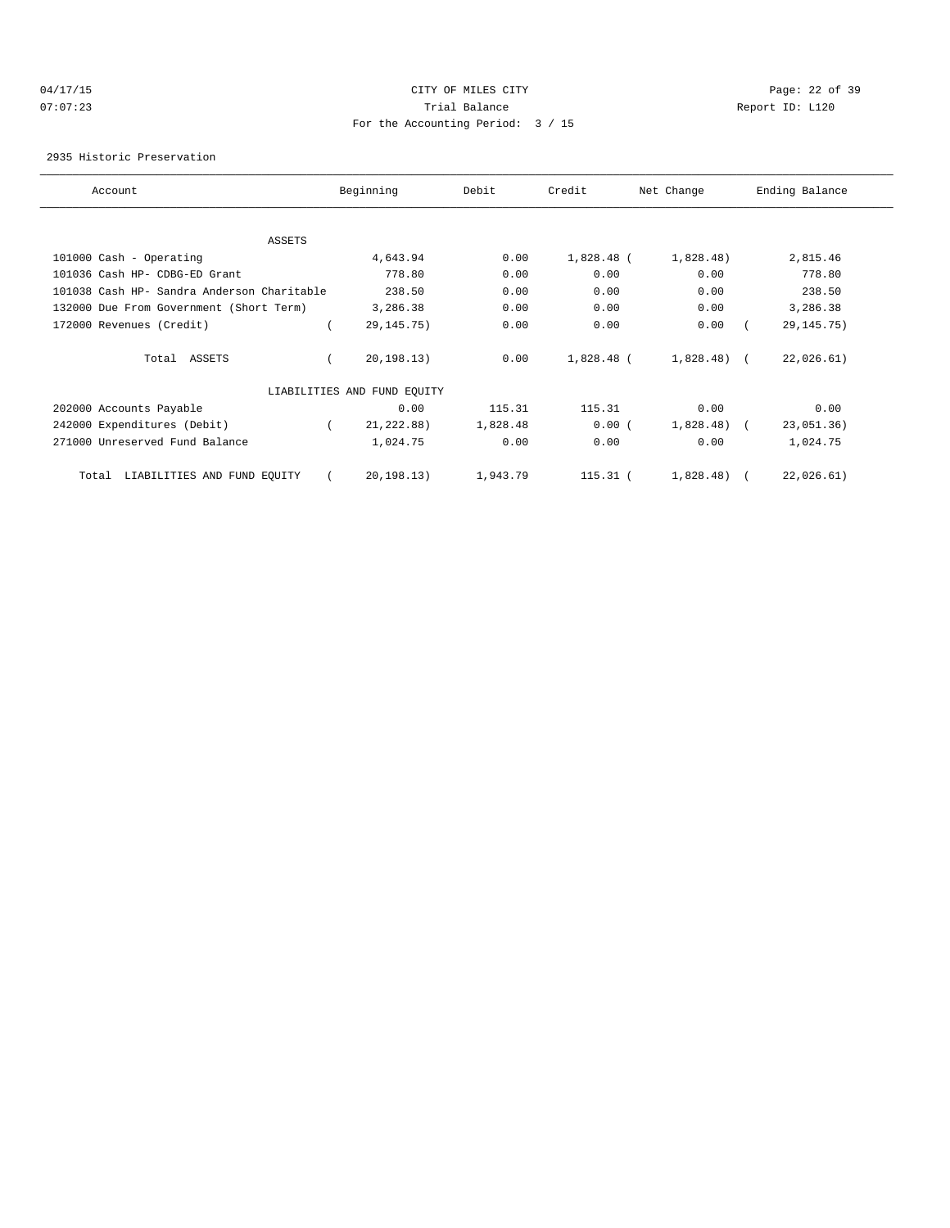# 04/17/15 Page: 22 of 39 07:07:23 Trial Balance Report ID: L120 For the Accounting Period: 3 / 15

2935 Historic Preservation

| Account                                    | Beginning                   | Debit    | Credit       | Net Change   | Ending Balance |
|--------------------------------------------|-----------------------------|----------|--------------|--------------|----------------|
|                                            |                             |          |              |              |                |
| <b>ASSETS</b>                              |                             |          |              |              |                |
| 101000 Cash - Operating                    | 4,643.94                    | 0.00     | $1,828.48$ ( | 1,828.48)    | 2,815.46       |
| 101036 Cash HP- CDBG-ED Grant              | 778.80                      | 0.00     | 0.00         | 0.00         | 778.80         |
| 101038 Cash HP- Sandra Anderson Charitable | 238.50                      | 0.00     | 0.00         | 0.00         | 238.50         |
| 132000 Due From Government (Short Term)    | 3,286.38                    | 0.00     | 0.00         | 0.00         | 3,286.38       |
| 172000 Revenues (Credit)                   | 29, 145. 75)                | 0.00     | 0.00         | 0.00         | 29, 145. 75)   |
| Total ASSETS                               | 20, 198.13)                 | 0.00     | 1,828.48 (   | $1,828.48$ ( | 22,026.61)     |
|                                            | LIABILITIES AND FUND EQUITY |          |              |              |                |
| 202000 Accounts Payable                    | 0.00                        | 115.31   | 115.31       | 0.00         | 0.00           |
| 242000 Expenditures (Debit)                | 21, 222.88)                 | 1,828.48 | 0.00(        | 1,828.48)    | 23,051.36)     |
| 271000 Unreserved Fund Balance             | 1,024.75                    | 0.00     | 0.00         | 0.00         | 1,024.75       |
| LIABILITIES AND FUND EQUITY<br>Total       | 20, 198.13)                 | 1,943.79 | $115.31$ (   | 1,828.48)    | 22,026.61)     |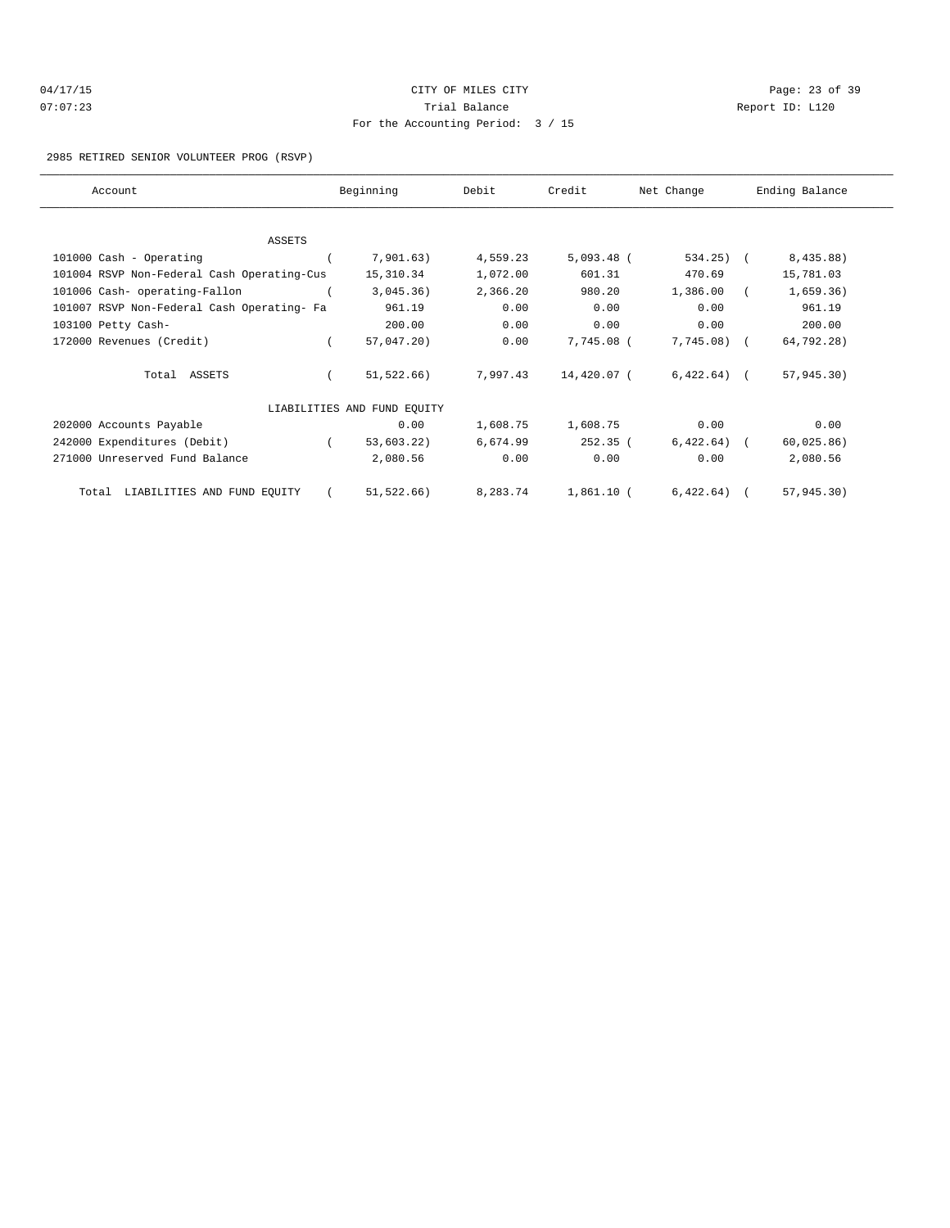| 04/17/15 | CITY OF MILES CITY                | Page: $23$ o    |
|----------|-----------------------------------|-----------------|
| 07:07:23 | Trial Balance                     | Report ID: L120 |
|          | For the Accounting Period: 3 / 15 |                 |

Page: 23 of 39

#### 2985 RETIRED SENIOR VOLUNTEER PROG (RSVP)

| Account                                    |            | Beginning                   | Debit    | Credit       | Net Change   | Ending Balance |  |
|--------------------------------------------|------------|-----------------------------|----------|--------------|--------------|----------------|--|
|                                            |            |                             |          |              |              |                |  |
| <b>ASSETS</b>                              |            |                             |          |              |              |                |  |
| 101000 Cash - Operating                    |            | 7,901.63)                   | 4,559.23 | $5,093.48$ ( | $534.25$ ) ( | 8,435.88)      |  |
| 101004 RSVP Non-Federal Cash Operating-Cus |            | 15,310.34                   | 1,072.00 | 601.31       | 470.69       | 15,781.03      |  |
| 101006 Cash- operating-Fallon              |            | 3,045.36)                   | 2,366.20 | 980.20       | 1,386.00     | 1,659.36)      |  |
| 101007 RSVP Non-Federal Cash Operating- Fa |            | 961.19                      | 0.00     | 0.00         | 0.00         | 961.19         |  |
| 103100 Petty Cash-                         |            | 200.00                      | 0.00     | 0.00         | 0.00         | 200.00         |  |
| 172000 Revenues (Credit)                   |            | 57,047.20)                  | 0.00     | 7,745.08 (   | $7,745.08$ ( | 64,792.28)     |  |
| Total ASSETS                               |            | 51,522.66)                  | 7,997.43 | 14,420.07 (  | $6,422.64$ ( | 57,945.30)     |  |
|                                            |            | LIABILITIES AND FUND EQUITY |          |              |              |                |  |
| 202000 Accounts Payable                    |            | 0.00                        | 1,608.75 | 1,608.75     | 0.00         | 0.00           |  |
| 242000 Expenditures (Debit)                | $\sqrt{2}$ | 53,603.22)                  | 6,674.99 | 252.35(      | $6,422.64$ ( | 60,025.86)     |  |
| 271000 Unreserved Fund Balance             |            | 2,080.56                    | 0.00     | 0.00         | 0.00         | 2,080.56       |  |
| LIABILITIES AND FUND EQUITY<br>Total       |            | 51, 522.66)                 | 8,283.74 | $1,861.10$ ( | 6,422.64)    | 57, 945.30)    |  |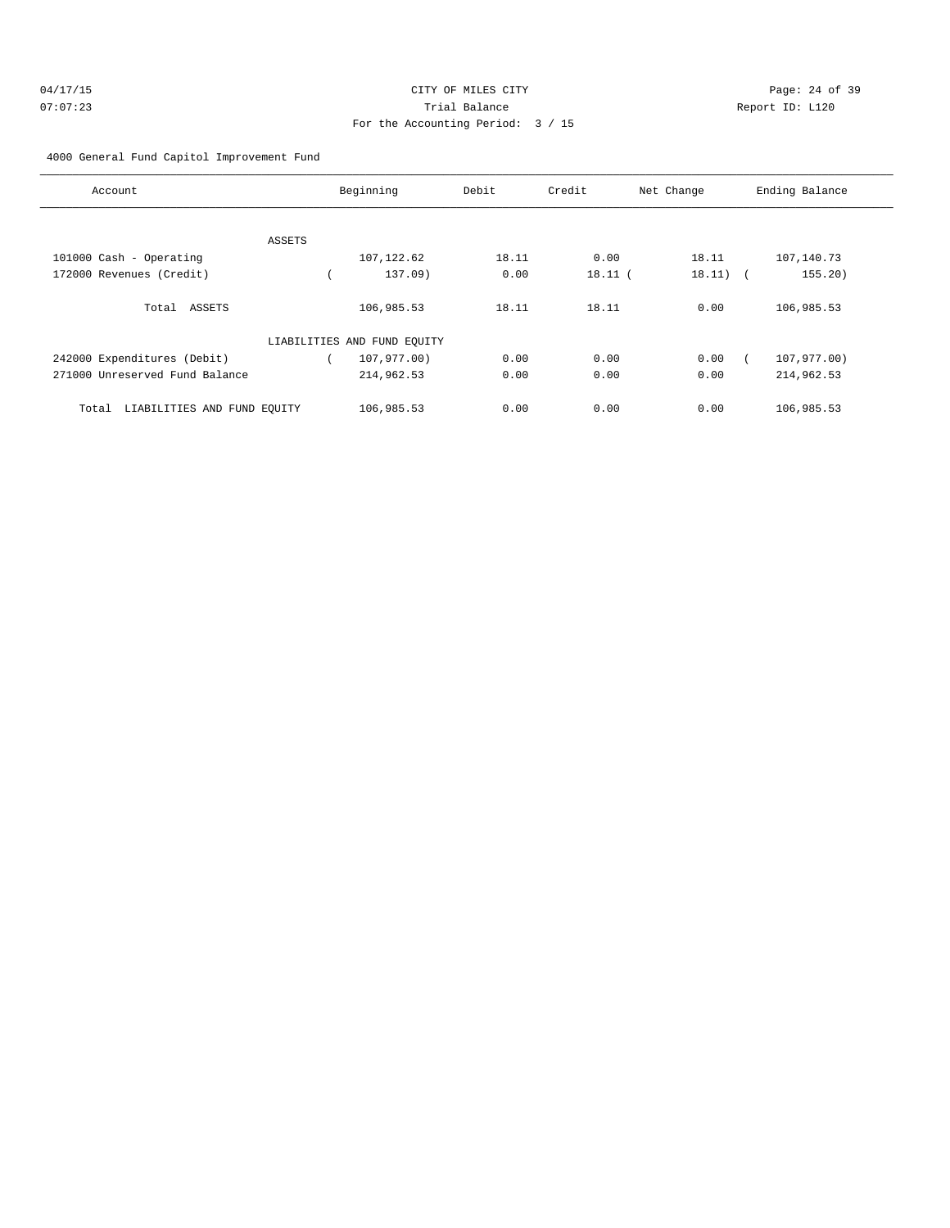| 04/17/15 | CITY OF MILES CITY                | Page: 24 of 39  |
|----------|-----------------------------------|-----------------|
| 07:07:23 | Trial Balance                     | Report ID: L120 |
|          | For the Accounting Period: 3 / 15 |                 |

4000 General Fund Capitol Improvement Fund

| Account                              |        | Beginning                   | Debit | Credit    | Net Change | Ending Balance |
|--------------------------------------|--------|-----------------------------|-------|-----------|------------|----------------|
|                                      |        |                             |       |           |            |                |
|                                      | ASSETS |                             |       |           |            |                |
| 101000 Cash - Operating              |        | 107, 122.62                 | 18.11 | 0.00      | 18.11      | 107,140.73     |
| 172000 Revenues (Credit)             |        | 137.09)                     | 0.00  | $18.11$ ( | $18.11)$ ( | 155.20)        |
| Total ASSETS                         |        | 106,985.53                  | 18.11 | 18.11     | 0.00       | 106,985.53     |
|                                      |        | LIABILITIES AND FUND EQUITY |       |           |            |                |
| 242000 Expenditures (Debit)          |        | 107,977.00)                 | 0.00  | 0.00      | 0.00       | 107,977.00)    |
| 271000 Unreserved Fund Balance       |        | 214,962.53                  | 0.00  | 0.00      | 0.00       | 214,962.53     |
| LIABILITIES AND FUND EOUITY<br>Total |        | 106,985.53                  | 0.00  | 0.00      | 0.00       | 106,985.53     |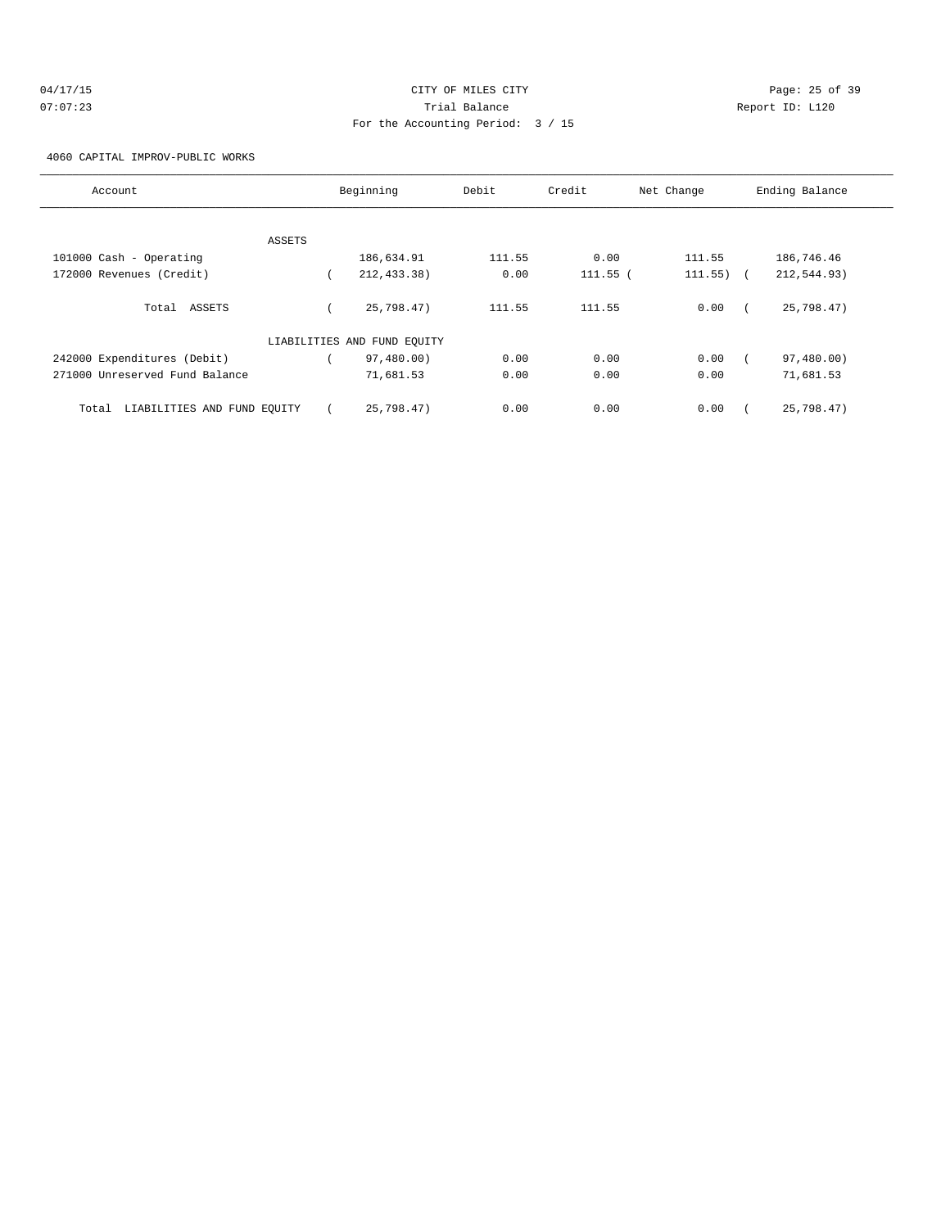| 04/17/15 | CITY OF MILES CITY                | Page: 25 of 39  |
|----------|-----------------------------------|-----------------|
| 07:07:23 | Trial Balance                     | Report ID: L120 |
|          | For the Accounting Period: 3 / 15 |                 |

4060 CAPITAL IMPROV-PUBLIC WORKS

| Account                              | Beginning                   | Debit  | Credit   | Net Change | Ending Balance |
|--------------------------------------|-----------------------------|--------|----------|------------|----------------|
|                                      |                             |        |          |            |                |
| ASSETS                               |                             |        |          |            |                |
| 101000 Cash - Operating              | 186,634.91                  | 111.55 | 0.00     | 111.55     | 186,746.46     |
| 172000 Revenues (Credit)             | 212, 433.38)                | 0.00   | 111.55 ( | 111.55)    | 212,544.93)    |
| Total ASSETS                         | 25,798.47)                  | 111.55 | 111.55   | 0.00       | 25,798.47)     |
|                                      | LIABILITIES AND FUND EQUITY |        |          |            |                |
| 242000 Expenditures (Debit)          | 97,480.00)                  | 0.00   | 0.00     | 0.00       | 97,480.00)     |
| 271000 Unreserved Fund Balance       | 71,681.53                   | 0.00   | 0.00     | 0.00       | 71,681.53      |
| LIABILITIES AND FUND EOUITY<br>Total | 25,798.47)                  | 0.00   | 0.00     | 0.00       | 25,798.47)     |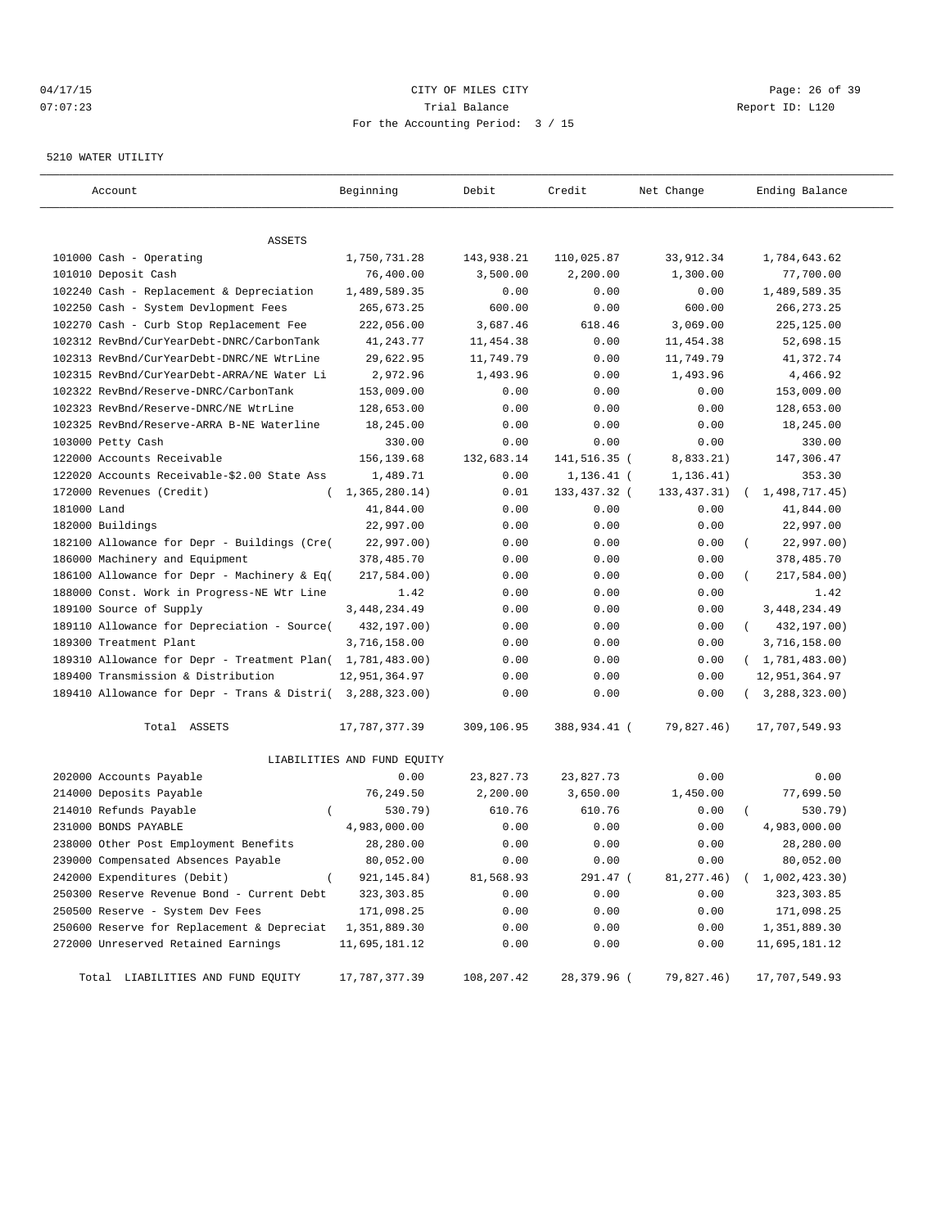# 04/17/15 Page: 26 of 39 07:07:23 Trial Balance Report ID: L120 For the Accounting Period: 3 / 15

#### 5210 WATER UTILITY

| Account                                                   | Beginning                   | Debit      | Credit        | Net Change    | Ending Balance              |
|-----------------------------------------------------------|-----------------------------|------------|---------------|---------------|-----------------------------|
|                                                           |                             |            |               |               |                             |
| ASSETS                                                    |                             |            |               |               |                             |
| 101000 Cash - Operating                                   | 1,750,731.28                | 143,938.21 | 110,025.87    | 33,912.34     | 1,784,643.62                |
| 101010 Deposit Cash                                       | 76,400.00                   | 3,500.00   | 2,200.00      | 1,300.00      | 77,700.00                   |
| 102240 Cash - Replacement & Depreciation                  | 1,489,589.35                | 0.00       | 0.00          | 0.00          | 1,489,589.35                |
| 102250 Cash - System Devlopment Fees                      | 265,673.25                  | 600.00     | 0.00          | 600.00        | 266, 273. 25                |
| 102270 Cash - Curb Stop Replacement Fee                   | 222,056.00                  | 3,687.46   | 618.46        | 3,069.00      | 225,125.00                  |
| 102312 RevBnd/CurYearDebt-DNRC/CarbonTank                 | 41, 243. 77                 | 11,454.38  | 0.00          | 11,454.38     | 52,698.15                   |
| 102313 RevBnd/CurYearDebt-DNRC/NE WtrLine                 | 29,622.95                   | 11,749.79  | 0.00          | 11,749.79     | 41,372.74                   |
| 102315 RevBnd/CurYearDebt-ARRA/NE Water Li                | 2,972.96                    | 1,493.96   | 0.00          | 1,493.96      | 4,466.92                    |
| 102322 RevBnd/Reserve-DNRC/CarbonTank                     | 153,009.00                  | 0.00       | 0.00          | 0.00          | 153,009.00                  |
| 102323 RevBnd/Reserve-DNRC/NE WtrLine                     | 128,653.00                  | 0.00       | 0.00          | 0.00          | 128,653.00                  |
| 102325 RevBnd/Reserve-ARRA B-NE Waterline                 | 18,245.00                   | 0.00       | 0.00          | 0.00          | 18,245.00                   |
| 103000 Petty Cash                                         | 330.00                      | 0.00       | 0.00          | 0.00          | 330.00                      |
| 122000 Accounts Receivable                                | 156,139.68                  | 132,683.14 | 141,516.35 (  | 8,833.21)     | 147,306.47                  |
| 122020 Accounts Receivable-\$2.00 State Ass               | 1,489.71                    | 0.00       | $1,136.41$ (  | 1, 136.41)    | 353.30                      |
| 172000 Revenues (Credit)                                  | 1, 365, 280.14)             | 0.01       | 133, 437.32 ( | 133, 437. 31) | 1,498,717.45)               |
| 181000 Land                                               | 41,844.00                   | 0.00       | 0.00          | 0.00          | 41,844.00                   |
| 182000 Buildings                                          | 22,997.00                   | 0.00       | 0.00          | 0.00          | 22,997.00                   |
| 182100 Allowance for Depr - Buildings (Cre(               | 22,997.00)                  | 0.00       | 0.00          | 0.00          | 22,997.00)                  |
| 186000 Machinery and Equipment                            | 378,485.70                  | 0.00       | 0.00          | 0.00          | 378,485.70                  |
| 186100 Allowance for Depr - Machinery & Eq(               | 217,584.00)                 | 0.00       | 0.00          | 0.00          | 217,584.00)                 |
| 188000 Const. Work in Progress-NE Wtr Line                | 1.42                        | 0.00       | 0.00          | 0.00          | 1.42                        |
| 189100 Source of Supply                                   | 3, 448, 234.49              | 0.00       | 0.00          | 0.00          | 3, 448, 234.49              |
| 189110 Allowance for Depreciation - Source(               | 432,197.00)                 | 0.00       | 0.00          | 0.00          | 432,197.00)<br>$\left($     |
| 189300 Treatment Plant                                    | 3,716,158.00                | 0.00       | 0.00          | 0.00          | 3,716,158.00                |
| 189310 Allowance for Depr - Treatment Plan( 1,781,483.00) |                             | 0.00       | 0.00          | 0.00          | (1, 781, 483.00)            |
| 189400 Transmission & Distribution                        | 12,951,364.97               | 0.00       | 0.00          | 0.00          | 12,951,364.97               |
| 189410 Allowance for Depr - Trans & Distri( 3,288,323.00) |                             | 0.00       | 0.00          | 0.00          | (3, 288, 323.00)            |
| Total ASSETS                                              | 17,787,377.39               | 309,106.95 | 388,934.41 (  | 79,827.46)    | 17,707,549.93               |
|                                                           | LIABILITIES AND FUND EQUITY |            |               |               |                             |
| 202000 Accounts Payable                                   | 0.00                        | 23,827.73  | 23,827.73     | 0.00          | 0.00                        |
| 214000 Deposits Payable                                   | 76,249.50                   | 2,200.00   | 3,650.00      | 1,450.00      | 77,699.50                   |
| 214010 Refunds Payable<br>$\left($                        | 530.79)                     | 610.76     | 610.76        | 0.00          | 530.79)                     |
| 231000 BONDS PAYABLE                                      | 4,983,000.00                | 0.00       | 0.00          | 0.00          | 4,983,000.00                |
| 238000 Other Post Employment Benefits                     | 28,280.00                   | 0.00       | 0.00          | 0.00          | 28,280.00                   |
| 239000 Compensated Absences Payable                       | 80,052.00                   | 0.00       | 0.00          | 0.00          | 80,052.00                   |
| 242000 Expenditures (Debit)<br>$\left($                   | 921, 145.84)                | 81,568.93  | 291.47 (      | 81,277.46)    | 1,002,423.30)<br>$\sqrt{2}$ |
| 250300 Reserve Revenue Bond - Current Debt                | 323, 303.85                 | 0.00       | 0.00          | 0.00          | 323,303.85                  |
| 250500 Reserve - System Dev Fees                          | 171,098.25                  | 0.00       | 0.00          | 0.00          | 171,098.25                  |
| 250600 Reserve for Replacement & Depreciat                | 1,351,889.30                | 0.00       | 0.00          | 0.00          | 1,351,889.30                |
| 272000 Unreserved Retained Earnings                       | 11,695,181.12               | 0.00       | 0.00          | 0.00          | 11,695,181.12               |
| Total LIABILITIES AND FUND EQUITY                         | 17,787,377.39               | 108,207.42 | 28,379.96 (   | 79,827.46)    | 17,707,549.93               |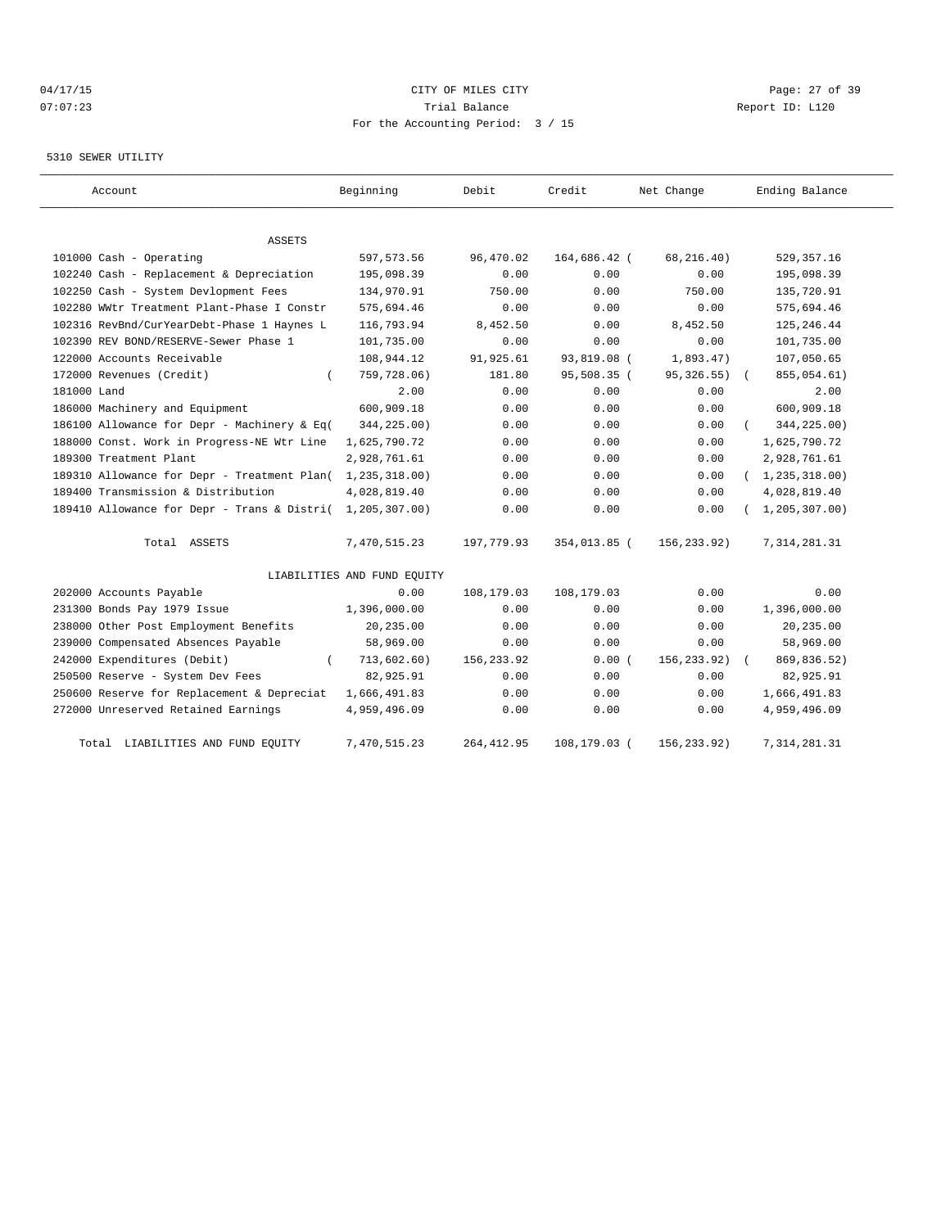# 04/17/15 Page: 27 of 39 07:07:23 Trial Balance Report ID: L120 For the Accounting Period: 3 / 15

#### 5310 SEWER UTILITY

| Account                                     | Beginning                   | Debit       | Credit       | Net Change   | Ending Balance   |
|---------------------------------------------|-----------------------------|-------------|--------------|--------------|------------------|
|                                             |                             |             |              |              |                  |
| ASSETS                                      |                             |             |              |              |                  |
| 101000 Cash - Operating                     | 597, 573.56                 | 96,470.02   | 164,686.42 ( | 68, 216.40)  | 529,357.16       |
| 102240 Cash - Replacement & Depreciation    | 195,098.39                  | 0.00        | 0.00         | 0.00         | 195,098.39       |
| 102250 Cash - System Devlopment Fees        | 134,970.91                  | 750.00      | 0.00         | 750.00       | 135,720.91       |
| 102280 WWtr Treatment Plant-Phase I Constr  | 575,694.46                  | 0.00        | 0.00         | 0.00         | 575,694.46       |
| 102316 RevBnd/CurYearDebt-Phase 1 Haynes L  | 116,793.94                  | 8,452.50    | 0.00         | 8,452.50     | 125, 246.44      |
| 102390 REV BOND/RESERVE-Sewer Phase 1       | 101,735.00                  | 0.00        | 0.00         | 0.00         | 101,735.00       |
| 122000 Accounts Receivable                  | 108,944.12                  | 91,925.61   | 93,819.08 (  | 1,893.47)    | 107,050.65       |
| 172000 Revenues (Credit)                    | 759,728.06)                 | 181.80      | 95,508.35 (  | 95, 326.55)  | 855,054.61)      |
| 181000 Land                                 | 2.00                        | 0.00        | 0.00         | 0.00         | 2.00             |
| 186000 Machinery and Equipment              | 600,909.18                  | 0.00        | 0.00         | 0.00         | 600,909.18       |
| 186100 Allowance for Depr - Machinery & Eq( | 344,225.00)                 | 0.00        | 0.00         | 0.00         | 344,225.00)      |
| 188000 Const. Work in Progress-NE Wtr Line  | 1,625,790.72                | 0.00        | 0.00         | 0.00         | 1,625,790.72     |
| 189300 Treatment Plant                      | 2,928,761.61                | 0.00        | 0.00         | 0.00         | 2,928,761.61     |
| 189310 Allowance for Depr - Treatment Plan( | 1,235,318.00)               | 0.00        | 0.00         | 0.00         | (1, 235, 318.00) |
| 189400 Transmission & Distribution          | 4,028,819.40                | 0.00        | 0.00         | 0.00         | 4,028,819.40     |
| 189410 Allowance for Depr - Trans & Distri( | 1,205,307.00)               | 0.00        | 0.00         | 0.00         | 1, 205, 307.00   |
| Total ASSETS                                | 7,470,515.23                | 197,779.93  | 354,013.85 ( | 156,233.92)  | 7, 314, 281.31   |
|                                             | LIABILITIES AND FUND EQUITY |             |              |              |                  |
| 202000 Accounts Payable                     | 0.00                        | 108,179.03  | 108,179.03   | 0.00         | 0.00             |
| 231300 Bonds Pay 1979 Issue                 | 1,396,000.00                | 0.00        | 0.00         | 0.00         | 1,396,000.00     |
| 238000 Other Post Employment Benefits       | 20,235.00                   | 0.00        | 0.00         | 0.00         | 20,235.00        |
| 239000 Compensated Absences Payable         | 58,969.00                   | 0.00        | 0.00         | 0.00         | 58,969.00        |
| 242000 Expenditures (Debit)                 | 713,602.60)                 | 156,233.92  | 0.00(        | 156, 233.92) | 869,836.52)      |
| 250500 Reserve - System Dev Fees            | 82,925.91                   | 0.00        | 0.00         | 0.00         | 82,925.91        |
| 250600 Reserve for Replacement & Depreciat  | 1,666,491.83                | 0.00        | 0.00         | 0.00         | 1,666,491.83     |
| 272000 Unreserved Retained Earnings         | 4,959,496.09                | 0.00        | 0.00         | 0.00         | 4,959,496.09     |
| LIABILITIES AND FUND EQUITY<br>Total        | 7,470,515.23                | 264, 412.95 | 108,179.03 ( | 156,233.92)  | 7, 314, 281.31   |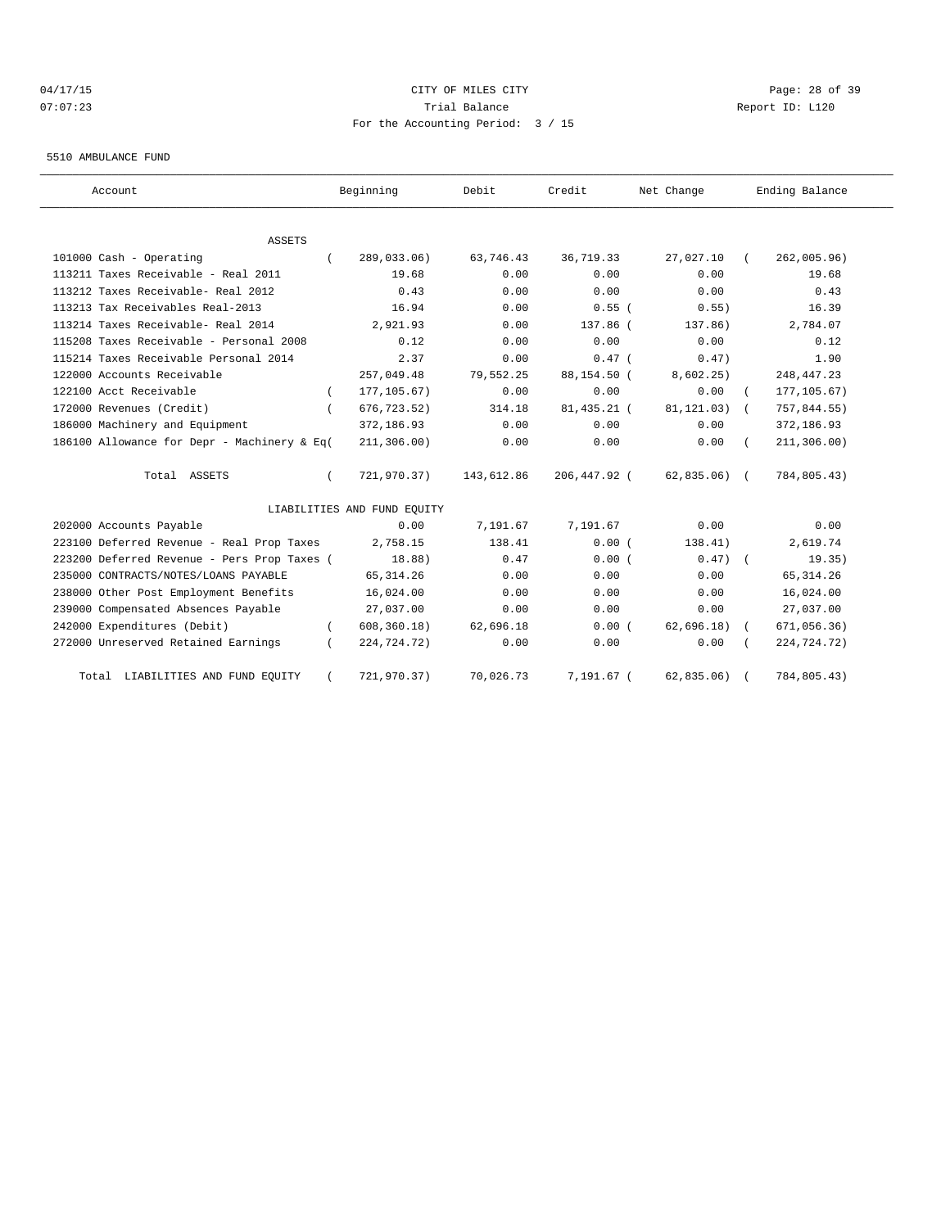#### 04/17/15 Page: 28 of 39 07:07:23 Trial Balance Report ID: L120 For the Accounting Period: 3 / 15

#### 5510 AMBULANCE FUND

| Account                                     | Beginning                   | Debit      | Credit       | Net Change     | Ending Balance            |
|---------------------------------------------|-----------------------------|------------|--------------|----------------|---------------------------|
| ASSETS                                      |                             |            |              |                |                           |
| 101000 Cash - Operating<br>$\left($         | 289,033.06)                 | 63,746.43  | 36,719.33    | 27,027.10      | 262,005.96)<br>$\sqrt{2}$ |
| 113211 Taxes Receivable - Real 2011         | 19.68                       | 0.00       | 0.00         | 0.00           | 19.68                     |
| 113212 Taxes Receivable- Real 2012          | 0.43                        | 0.00       | 0.00         | 0.00           | 0.43                      |
| 113213 Tax Receivables Real-2013            | 16.94                       | 0.00       | $0.55$ (     | 0.55)          | 16.39                     |
| 113214 Taxes Receivable- Real 2014          | 2,921.93                    | 0.00       | 137.86 (     | 137.86)        | 2,784.07                  |
| 115208 Taxes Receivable - Personal 2008     | 0.12                        | 0.00       | 0.00         | 0.00           | 0.12                      |
| 115214 Taxes Receivable Personal 2014       | 2.37                        | 0.00       | $0.47$ (     | 0.47)          | 1.90                      |
| 122000 Accounts Receivable                  | 257,049.48                  | 79,552.25  | 88,154.50 (  | 8,602.25)      | 248, 447.23               |
| 122100 Acct Receivable                      | 177, 105.67)                | 0.00       | 0.00         | 0.00           | 177, 105.67)              |
| 172000 Revenues (Credit)                    | 676, 723.52)                | 314.18     | 81,435.21 (  | $81, 121.03$ ( | 757,844.55)               |
| 186000 Machinery and Equipment              | 372,186.93                  | 0.00       | 0.00         | 0.00           | 372,186.93                |
| 186100 Allowance for Depr - Machinery & Eq( | 211, 306.00)                | 0.00       | 0.00         | 0.00           | 211, 306.00)              |
| Total ASSETS                                | 721,970.37)                 | 143,612.86 | 206,447.92 ( | $62,835.06$ (  | 784,805.43)               |
|                                             | LIABILITIES AND FUND EQUITY |            |              |                |                           |
| 202000 Accounts Payable                     | 0.00                        | 7,191.67   | 7,191.67     | 0.00           | 0.00                      |
| 223100 Deferred Revenue - Real Prop Taxes   | 2,758.15                    | 138.41     | 0.00(        | 138.41)        | 2,619.74                  |
| 223200 Deferred Revenue - Pers Prop Taxes ( | 18.88)                      | 0.47       | 0.00(        | $0.47$ $($     | 19.35)                    |
| 235000 CONTRACTS/NOTES/LOANS PAYABLE        | 65, 314.26                  | 0.00       | 0.00         | 0.00           | 65, 314.26                |
| 238000 Other Post Employment Benefits       | 16,024.00                   | 0.00       | 0.00         | 0.00           | 16,024.00                 |
| 239000 Compensated Absences Payable         | 27,037.00                   | 0.00       | 0.00         | 0.00           | 27,037.00                 |
| 242000 Expenditures (Debit)                 | 608, 360.18)                | 62,696.18  | 0.00(        | $62,696.18$ (  | 671,056.36)               |
| 272000 Unreserved Retained Earnings         | 224,724.72)                 | 0.00       | 0.00         | 0.00           | 224,724.72)               |
| Total LIABILITIES AND FUND EQUITY           | 721,970.37)                 | 70,026.73  | 7,191.67 (   | 62,835.06)     | 784,805.43)               |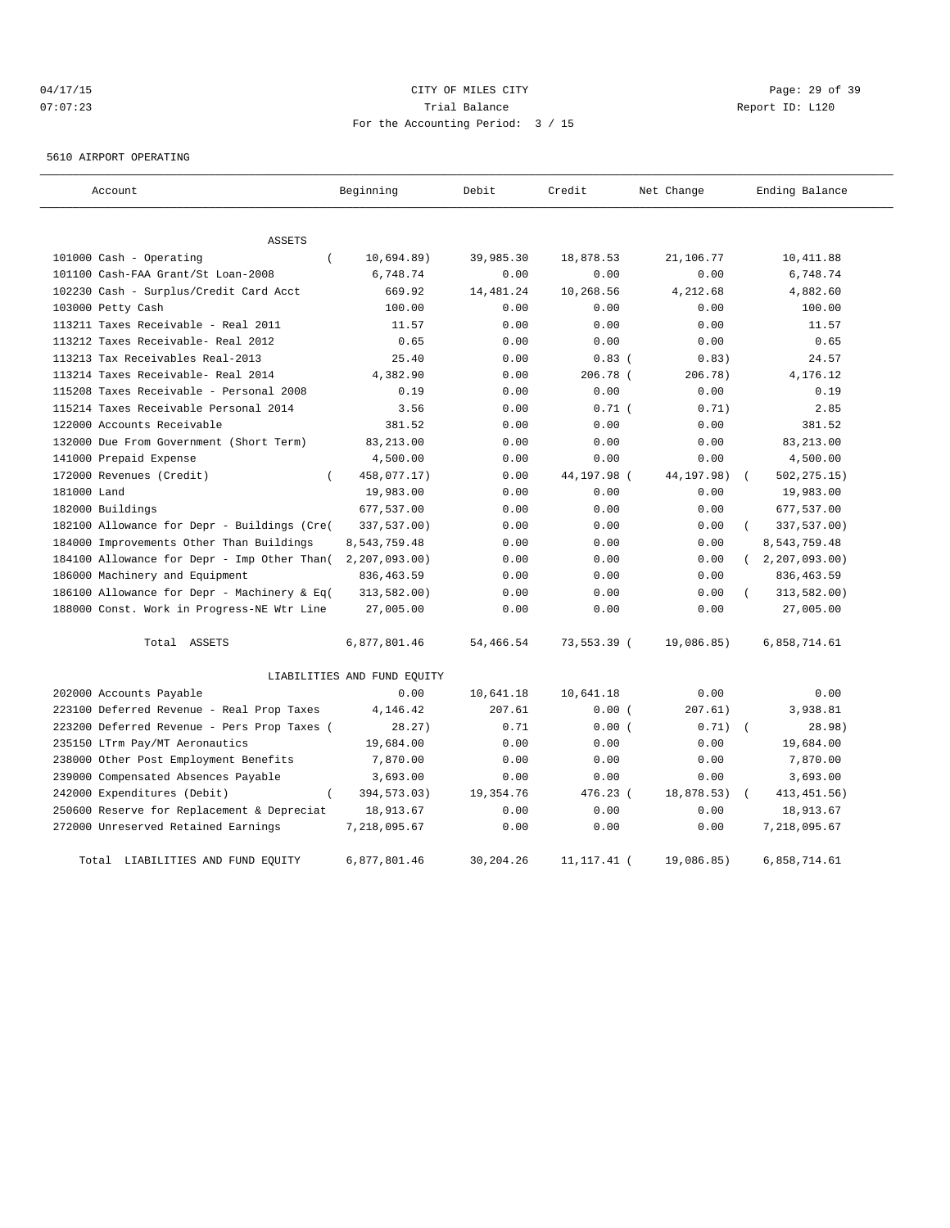# 04/17/15 Page: 29 of 39 07:07:23 Trial Balance Report ID: L120 For the Accounting Period: 3 / 15

5610 AIRPORT OPERATING

| Account                                      | Beginning                   | Debit     | Credit        | Net Change | Ending Balance   |
|----------------------------------------------|-----------------------------|-----------|---------------|------------|------------------|
| <b>ASSETS</b>                                |                             |           |               |            |                  |
| 101000 Cash - Operating<br>$\left($          | 10,694.89)                  | 39,985.30 | 18,878.53     | 21,106.77  | 10,411.88        |
| 101100 Cash-FAA Grant/St Loan-2008           | 6,748.74                    | 0.00      | 0.00          | 0.00       | 6,748.74         |
| 102230 Cash - Surplus/Credit Card Acct       | 669.92                      | 14,481.24 | 10,268.56     | 4,212.68   | 4,882.60         |
| 103000 Petty Cash                            | 100.00                      | 0.00      | 0.00          | 0.00       | 100.00           |
| 113211 Taxes Receivable - Real 2011          | 11.57                       | 0.00      | 0.00          | 0.00       | 11.57            |
| 113212 Taxes Receivable- Real 2012           | 0.65                        | 0.00      | 0.00          | 0.00       | 0.65             |
| 113213 Tax Receivables Real-2013             | 25.40                       | 0.00      | 0.83(         | 0.83)      | 24.57            |
| 113214 Taxes Receivable- Real 2014           | 4,382.90                    | 0.00      | 206.78 (      | 206.78)    | 4,176.12         |
| 115208 Taxes Receivable - Personal 2008      | 0.19                        | 0.00      | 0.00          | 0.00       | 0.19             |
| 115214 Taxes Receivable Personal 2014        | 3.56                        | 0.00      | $0.71$ (      | 0.71)      | 2.85             |
| 122000 Accounts Receivable                   | 381.52                      | 0.00      | 0.00          | 0.00       | 381.52           |
| 132000 Due From Government (Short Term)      | 83, 213.00                  | 0.00      | 0.00          | 0.00       | 83, 213.00       |
| 141000 Prepaid Expense                       | 4,500.00                    | 0.00      | 0.00          | 0.00       | 4,500.00         |
| 172000 Revenues (Credit)<br>$\left($         | 458,077.17)                 | 0.00      | 44,197.98 (   | 44,197.98) | 502,275.15)      |
| 181000 Land                                  | 19,983.00                   | 0.00      | 0.00          | 0.00       | 19,983.00        |
| 182000 Buildings                             | 677,537.00                  | 0.00      | 0.00          | 0.00       | 677,537.00       |
| 182100 Allowance for Depr - Buildings (Cre(  | 337,537.00)                 | 0.00      | 0.00          | 0.00       | 337,537.00)      |
| 184000 Improvements Other Than Buildings     | 8,543,759.48                | 0.00      | 0.00          | 0.00       | 8,543,759.48     |
| 184100 Allowance for Depr - Imp Other Than ( | 2, 207, 093.00              | 0.00      | 0.00          | 0.00       | 2, 207, 093, 00) |
| 186000 Machinery and Equipment               | 836, 463.59                 | 0.00      | 0.00          | 0.00       | 836, 463.59      |
| 186100 Allowance for Depr - Machinery & Eq(  | 313,582.00)                 | 0.00      | 0.00          | 0.00       | 313,582.00)      |
| 188000 Const. Work in Progress-NE Wtr Line   | 27,005.00                   | 0.00      | 0.00          | 0.00       | 27,005.00        |
| Total ASSETS                                 | 6,877,801.46                | 54,466.54 | 73,553.39 (   | 19,086.85) | 6,858,714.61     |
|                                              | LIABILITIES AND FUND EQUITY |           |               |            |                  |
| 202000 Accounts Payable                      | 0.00                        | 10,641.18 | 10,641.18     | 0.00       | 0.00             |
| 223100 Deferred Revenue - Real Prop Taxes    | 4,146.42                    | 207.61    | 0.00(         | 207.61)    | 3,938.81         |
| 223200 Deferred Revenue - Pers Prop Taxes (  | 28.27)                      | 0.71      | 0.00(         | 0.71)      | 28.98)           |
| 235150 LTrm Pay/MT Aeronautics               | 19,684.00                   | 0.00      | 0.00          | 0.00       | 19,684.00        |
| 238000 Other Post Employment Benefits        | 7,870.00                    | 0.00      | 0.00          | 0.00       | 7,870.00         |
| 239000 Compensated Absences Payable          | 3,693.00                    | 0.00      | 0.00          | 0.00       | 3,693.00         |
| 242000 Expenditures (Debit)<br>$\left($      | 394,573.03)                 | 19,354.76 | 476.23 (      | 18,878.53) | 413, 451.56)     |
| 250600 Reserve for Replacement & Depreciat   | 18,913.67                   | 0.00      | 0.00          | 0.00       | 18,913.67        |
| 272000 Unreserved Retained Earnings          | 7,218,095.67                | 0.00      | 0.00          | 0.00       | 7,218,095.67     |
| Total LIABILITIES AND FUND EQUITY            | 6,877,801.46                | 30,204.26 | 11, 117. 41 ( | 19,086.85) | 6,858,714.61     |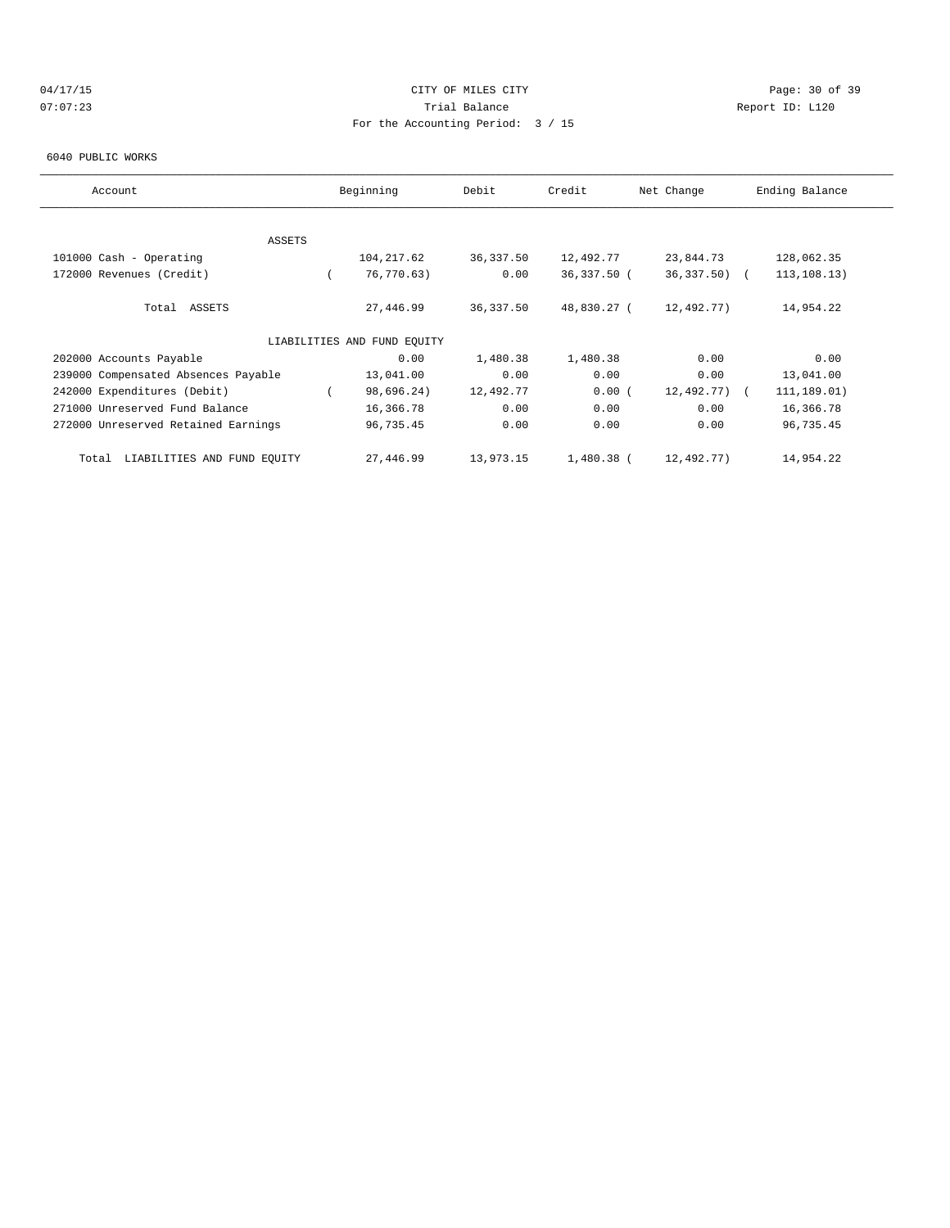# 04/17/15 Page: 30 of 39 07:07:23 Trial Balance Report ID: L120 For the Accounting Period: 3 / 15

#### 6040 PUBLIC WORKS

| Account                              | Beginning                   | Debit     | Credit       | Net Change      | Ending Balance |  |
|--------------------------------------|-----------------------------|-----------|--------------|-----------------|----------------|--|
|                                      |                             |           |              |                 |                |  |
|                                      |                             |           |              |                 |                |  |
| <b>ASSETS</b>                        |                             |           |              |                 |                |  |
| 101000 Cash - Operating              | 104, 217.62                 | 36,337.50 | 12,492.77    | 23,844.73       | 128,062.35     |  |
| 172000 Revenues (Credit)             | 76,770.63)                  | 0.00      | 36,337.50 (  | $36,337.50$ (   | 113, 108.13)   |  |
| Total ASSETS                         | 27,446.99                   | 36,337.50 | 48,830.27 (  | 12,492.77)      | 14,954.22      |  |
|                                      | LIABILITIES AND FUND EOUITY |           |              |                 |                |  |
| 202000 Accounts Payable              | 0.00                        | 1,480.38  | 1,480.38     | 0.00            | 0.00           |  |
| 239000 Compensated Absences Payable  | 13,041.00                   | 0.00      | 0.00         | 0.00            | 13,041.00      |  |
| 242000 Expenditures (Debit)          | 98,696.24)                  | 12,492.77 | 0.00(        | $12,492,77$ ) ( | 111,189.01)    |  |
| 271000 Unreserved Fund Balance       | 16,366.78                   | 0.00      | 0.00         | 0.00            | 16,366.78      |  |
| 272000 Unreserved Retained Earnings  | 96,735.45                   | 0.00      | 0.00         | 0.00            | 96,735.45      |  |
| LIABILITIES AND FUND EOUITY<br>Total | 27,446.99                   | 13,973.15 | $1,480.38$ ( | 12,492.77)      | 14,954.22      |  |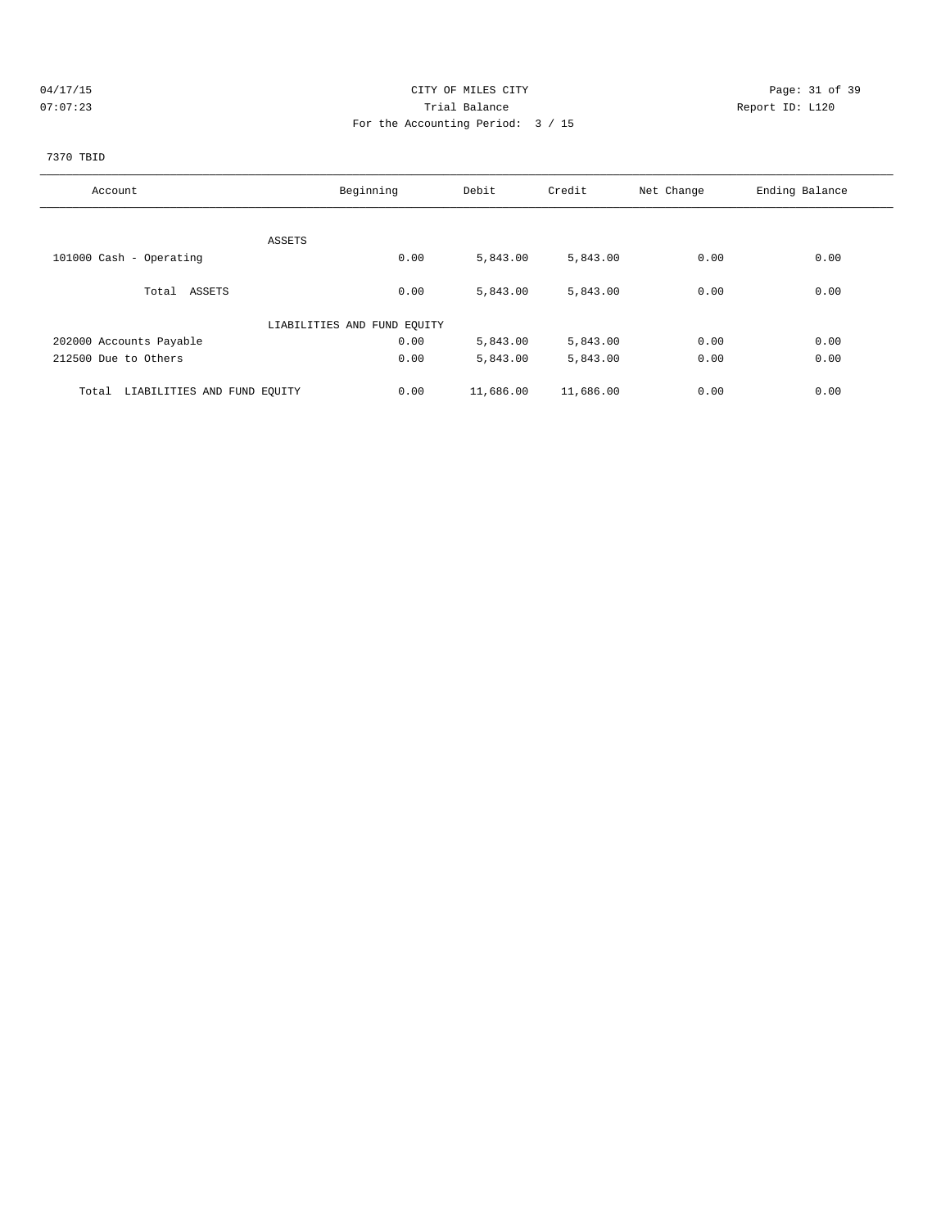# 04/17/15 Page: 31 of 39 07:07:23 Trial Balance Report ID: L120 For the Accounting Period: 3 / 15

# 7370 TBID

| Account                              | Beginning                   | Debit     | Credit    | Net Change | Ending Balance |
|--------------------------------------|-----------------------------|-----------|-----------|------------|----------------|
|                                      |                             |           |           |            |                |
| ASSETS                               |                             |           |           |            |                |
| 101000 Cash - Operating              | 0.00                        | 5,843.00  | 5,843.00  | 0.00       | 0.00           |
|                                      |                             |           |           |            |                |
| Total ASSETS                         | 0.00                        | 5,843.00  | 5,843.00  | 0.00       | 0.00           |
|                                      | LIABILITIES AND FUND EQUITY |           |           |            |                |
| 202000 Accounts Payable              | 0.00                        | 5,843.00  | 5,843.00  | 0.00       | 0.00           |
| 212500 Due to Others                 | 0.00                        | 5,843.00  | 5,843.00  | 0.00       | 0.00           |
| LIABILITIES AND FUND EQUITY<br>Total | 0.00                        | 11,686.00 | 11,686.00 | 0.00       | 0.00           |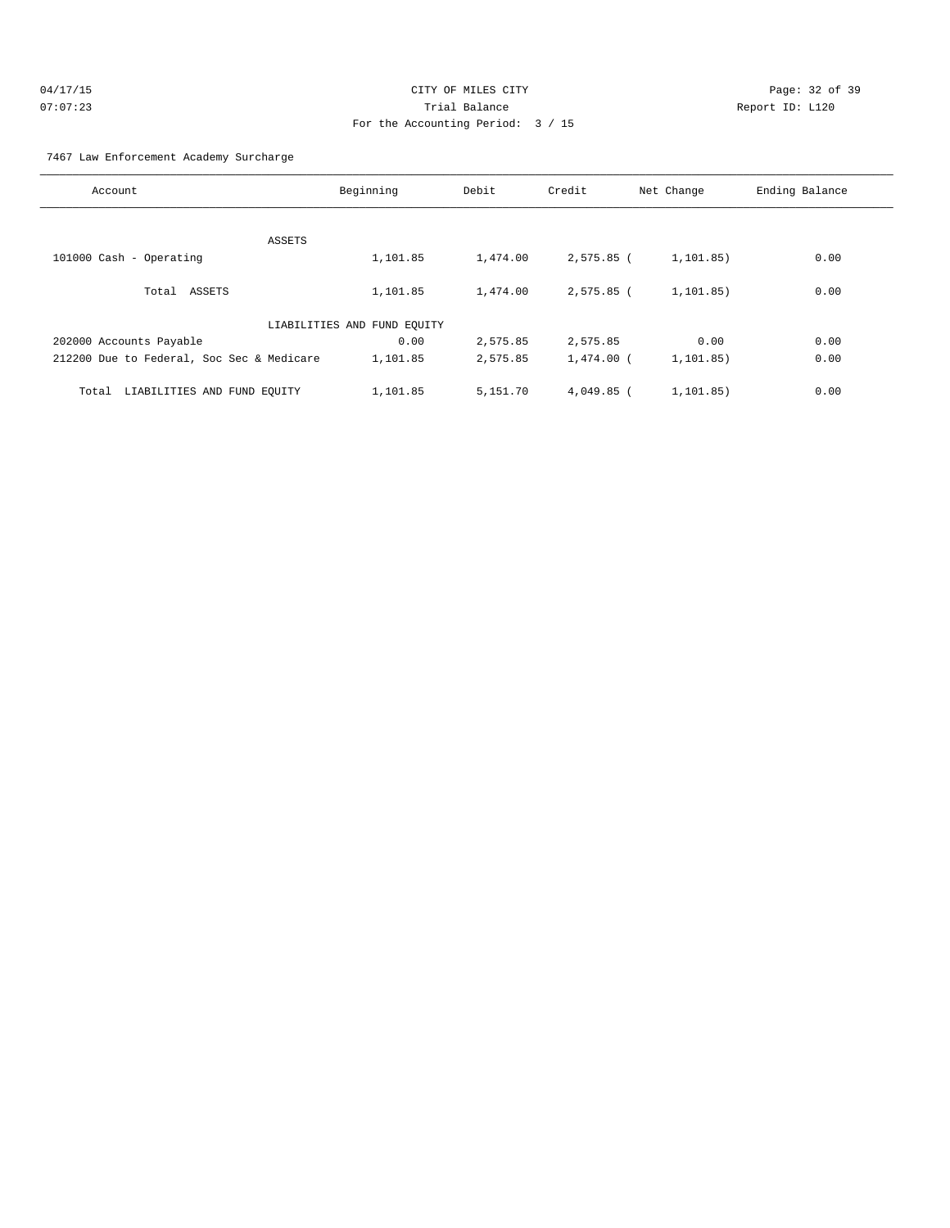| 04/17/15 | CITY OF MILES CITY                | Page: 32 of     |
|----------|-----------------------------------|-----------------|
| 07:07:23 | Trial Balance                     | Report ID: L120 |
|          | For the Accounting Period: 3 / 15 |                 |

7467 Law Enforcement Academy Surcharge

| Account                                   | Beginning                   | Debit    | Credit       | Net Change  | Ending Balance |
|-------------------------------------------|-----------------------------|----------|--------------|-------------|----------------|
|                                           |                             |          |              |             |                |
| ASSETS                                    |                             |          |              |             |                |
| 101000 Cash - Operating                   | 1,101.85                    | 1,474.00 | 2,575.85 (   | 1, 101.85)  | 0.00           |
| Total ASSETS                              | 1,101.85                    | 1,474.00 | $2.575.85$ ( | 1, 101, 85) | 0.00           |
|                                           | LIABILITIES AND FUND EQUITY |          |              |             |                |
| 202000 Accounts Payable                   | 0.00                        | 2,575.85 | 2,575.85     | 0.00        | 0.00           |
| 212200 Due to Federal, Soc Sec & Medicare | 1,101.85                    | 2,575.85 | $1.474.00$ ( | 1, 101.85)  | 0.00           |
| LIABILITIES AND FUND EQUITY<br>Total      | 1,101.85                    | 5,151.70 | $4,049.85$ ( | 1,101.85)   | 0.00           |

Page: 32 of 39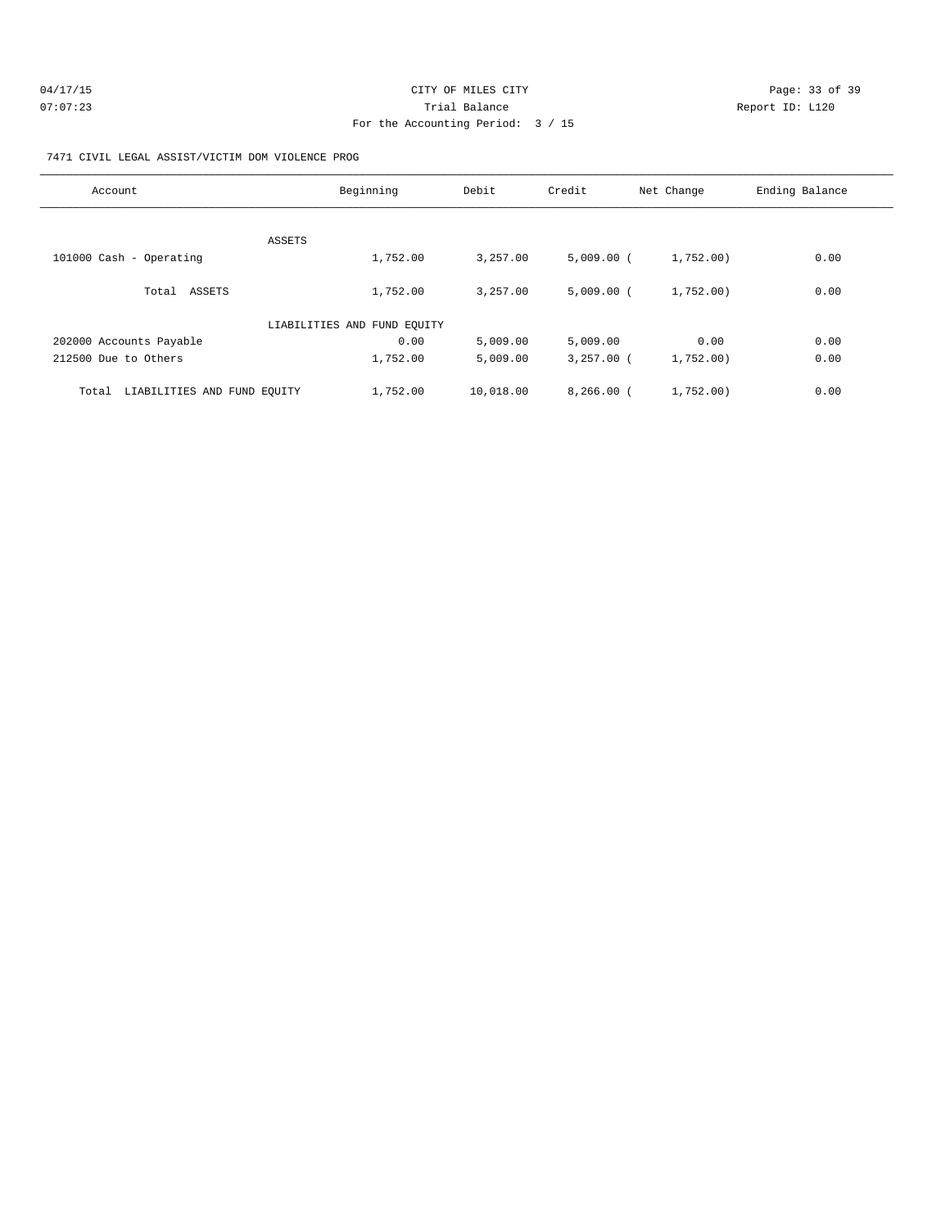| 04/17/15 | CITY OF MILES CITY                | Page: 33 of 39  |
|----------|-----------------------------------|-----------------|
| 07:07:23 | Trial Balance                     | Report ID: L120 |
|          | For the Accounting Period: 3 / 15 |                 |

#### 7471 CIVIL LEGAL ASSIST/VICTIM DOM VIOLENCE PROG

| Account                              | Beginning                   | Debit     | Credit       | Net Change | Ending Balance |
|--------------------------------------|-----------------------------|-----------|--------------|------------|----------------|
| ASSETS                               |                             |           |              |            |                |
| 101000 Cash - Operating              | 1,752.00                    | 3,257.00  | $5,009.00$ ( | 1,752.00)  | 0.00           |
| Total ASSETS                         | 1,752.00                    | 3,257.00  | $5,009.00$ ( | 1,752.00)  | 0.00           |
|                                      | LIABILITIES AND FUND EQUITY |           |              |            |                |
| 202000 Accounts Payable              | 0.00                        | 5,009.00  | 5,009.00     | 0.00       | 0.00           |
| 212500 Due to Others                 | 1,752.00                    | 5,009.00  | $3,257.00$ ( | 1,752.00)  | 0.00           |
| LIABILITIES AND FUND EQUITY<br>Total | 1,752.00                    | 10,018.00 | $8,266.00$ ( | 1,752.00)  | 0.00           |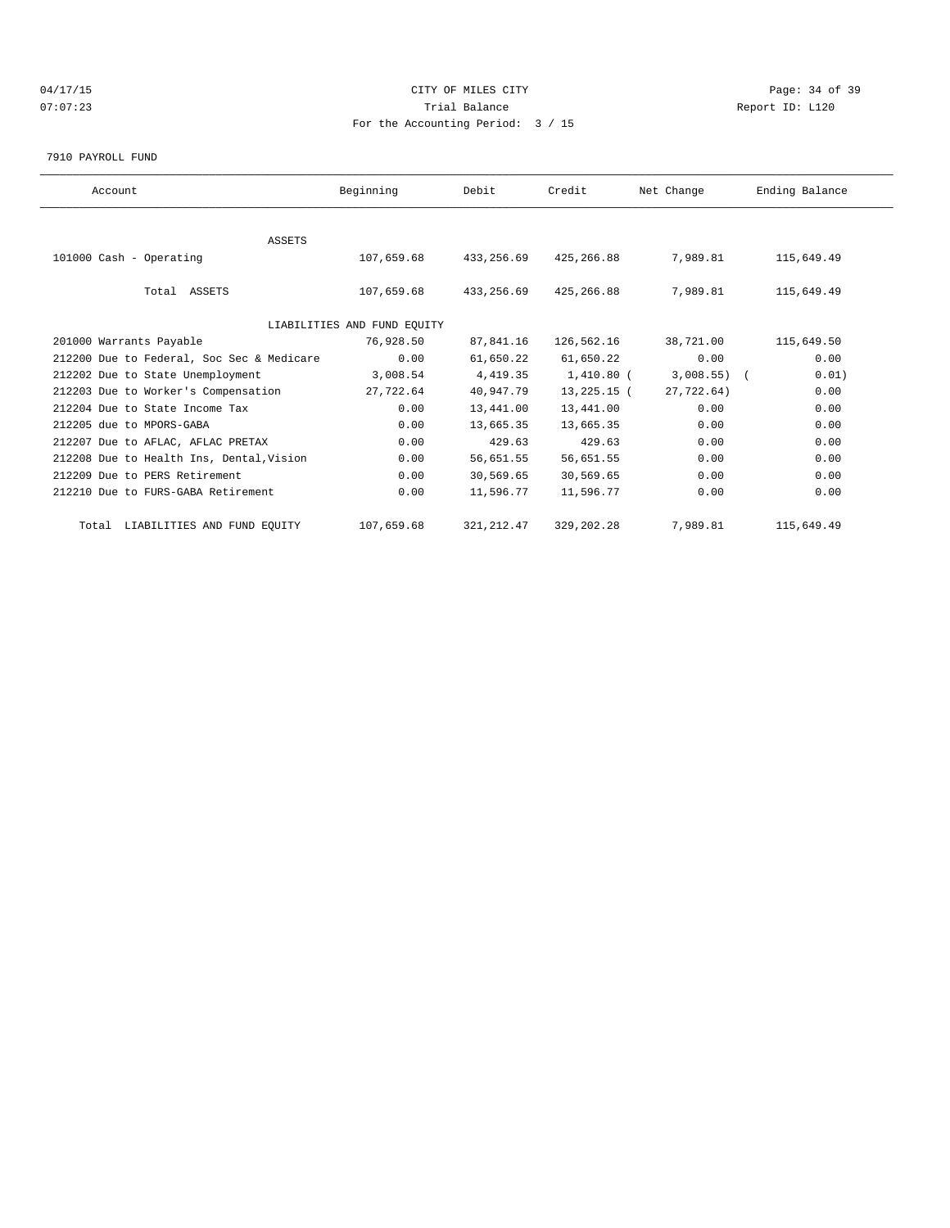# 04/17/15 Page: 34 of 39 07:07:23 Trial Balance Report ID: L120 For the Accounting Period: 3 / 15

#### 7910 PAYROLL FUND

| Account                                   | Beginning                   | Debit       | Credit       | Net Change     | Ending Balance |  |
|-------------------------------------------|-----------------------------|-------------|--------------|----------------|----------------|--|
|                                           |                             |             |              |                |                |  |
| <b>ASSETS</b>                             |                             |             |              |                |                |  |
| 101000 Cash - Operating                   | 107,659.68                  | 433,256.69  | 425,266.88   | 7,989.81       | 115,649.49     |  |
|                                           |                             |             |              |                |                |  |
| Total ASSETS                              | 107,659.68                  | 433,256.69  | 425,266.88   | 7,989.81       | 115,649.49     |  |
|                                           |                             |             |              |                |                |  |
|                                           | LIABILITIES AND FUND EQUITY |             |              |                |                |  |
| 201000 Warrants Payable                   | 76,928.50                   | 87,841.16   | 126,562.16   | 38,721.00      | 115,649.50     |  |
| 212200 Due to Federal, Soc Sec & Medicare | 0.00                        | 61,650.22   | 61,650.22    | 0.00           | 0.00           |  |
| 212202 Due to State Unemployment          | 3,008.54                    | 4,419.35    | 1,410.80 (   | $3,008.55$ ) ( | 0.01)          |  |
| 212203 Due to Worker's Compensation       | 27,722.64                   | 40,947.79   | 13,225.15 (  | 27.722.64)     | 0.00           |  |
| 212204 Due to State Income Tax            | 0.00                        | 13,441.00   | 13,441.00    | 0.00           | 0.00           |  |
| 212205 due to MPORS-GABA                  | 0.00                        | 13,665.35   | 13,665.35    | 0.00           | 0.00           |  |
| 212207 Due to AFLAC, AFLAC PRETAX         | 0.00                        | 429.63      | 429.63       | 0.00           | 0.00           |  |
| 212208 Due to Health Ins, Dental, Vision  | 0.00                        | 56,651.55   | 56,651.55    | 0.00           | 0.00           |  |
| 212209 Due to PERS Retirement             | 0.00                        | 30,569.65   | 30,569.65    | 0.00           | 0.00           |  |
| 212210 Due to FURS-GABA Retirement        | 0.00                        | 11,596.77   | 11,596.77    | 0.00           | 0.00           |  |
| Total LIABILITIES AND FUND EQUITY         | 107,659.68                  | 321, 212.47 | 329, 202. 28 | 7,989.81       | 115,649.49     |  |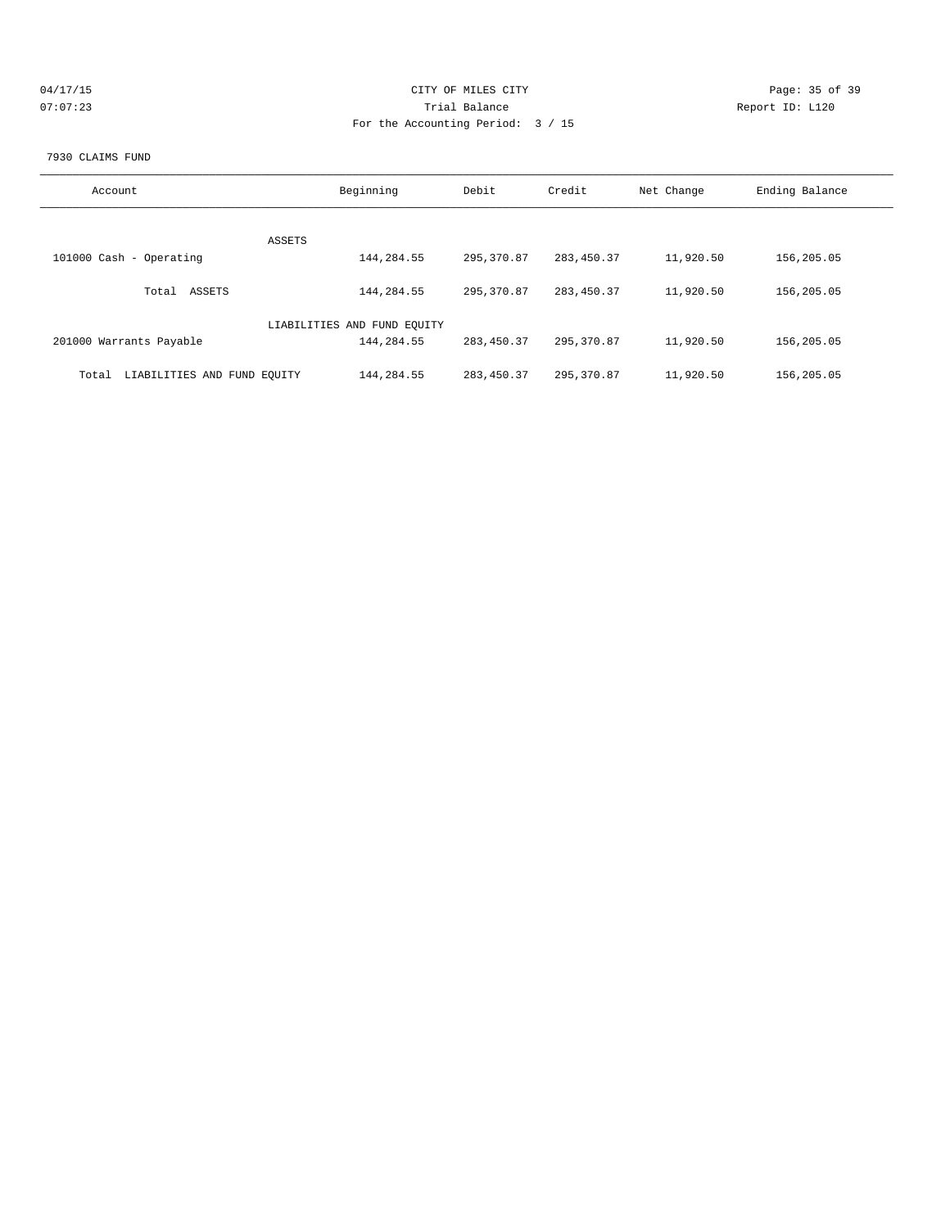| 04/17/15 | CITY OF MILES CITY                | Page: 35 of 39  |
|----------|-----------------------------------|-----------------|
| 07:07:23 | Trial Balance                     | Report ID: L120 |
|          | For the Accounting Period: 3 / 15 |                 |
|          |                                   |                 |

#### 7930 CLAIMS FUND

| Account                              | Beginning                   | Debit       | Credit      | Net Change | Ending Balance |
|--------------------------------------|-----------------------------|-------------|-------------|------------|----------------|
| ASSETS                               |                             |             |             |            |                |
| 101000 Cash - Operating              | 144,284.55                  | 295,370.87  | 283, 450.37 | 11,920.50  | 156,205.05     |
| ASSETS<br>Total                      | 144,284.55                  | 295, 370.87 | 283, 450.37 | 11,920.50  | 156,205.05     |
|                                      | LIABILITIES AND FUND EOUITY |             |             |            |                |
| 201000 Warrants Payable              | 144,284.55                  | 283,450.37  | 295, 370.87 | 11,920.50  | 156,205.05     |
| LIABILITIES AND FUND EQUITY<br>Total | 144,284.55                  | 283, 450.37 | 295, 370.87 | 11,920.50  | 156,205.05     |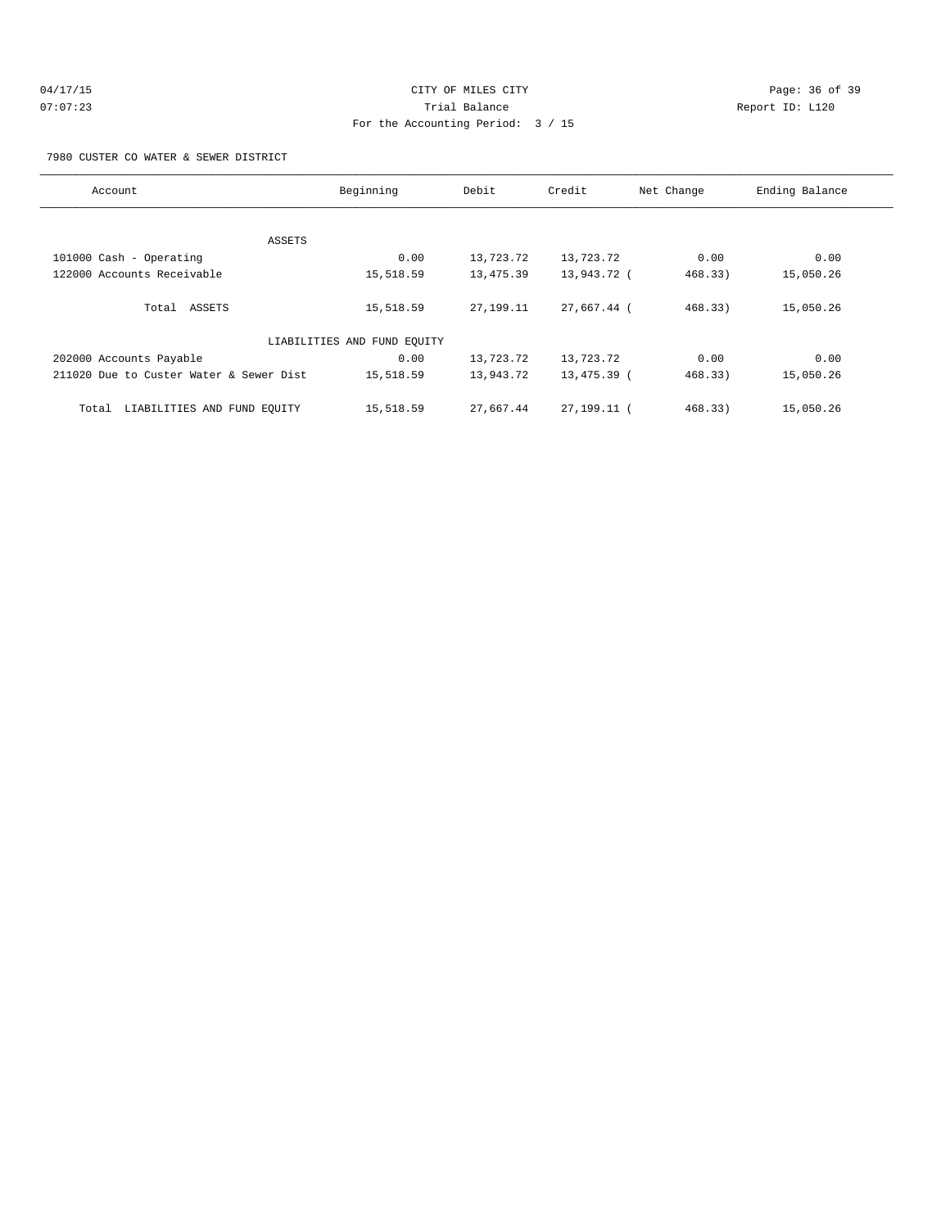| 04/17/15 | CITY OF MILES CITY                | Page: $36o$     |
|----------|-----------------------------------|-----------------|
| 07:07:23 | Trial Balance                     | Report ID: L120 |
|          | For the Accounting Period: 3 / 15 |                 |

Page: 36 of 39

#### 7980 CUSTER CO WATER & SEWER DISTRICT

| Account                                 | Beginning                   | Debit       | Credit        | Net Change | Ending Balance |
|-----------------------------------------|-----------------------------|-------------|---------------|------------|----------------|
|                                         |                             |             |               |            |                |
|                                         | ASSETS                      |             |               |            |                |
| 101000 Cash - Operating                 | 0.00                        | 13,723.72   | 13,723.72     | 0.00       | 0.00           |
| 122000 Accounts Receivable              | 15,518.59                   | 13,475.39   | 13,943.72 (   | 468.33)    | 15,050.26      |
| Total ASSETS                            | 15,518.59                   | 27, 199, 11 | 27,667.44 (   | 468.33)    | 15,050.26      |
|                                         | LIABILITIES AND FUND EQUITY |             |               |            |                |
| 202000 Accounts Payable                 | 0.00                        | 13,723.72   | 13,723.72     | 0.00       | 0.00           |
| 211020 Due to Custer Water & Sewer Dist | 15,518.59                   | 13,943.72   | 13,475.39 (   | 468.33)    | 15,050.26      |
| LIABILITIES AND FUND EQUITY<br>Total    | 15,518.59                   | 27,667.44   | 27, 199. 11 ( | 468.33)    | 15,050.26      |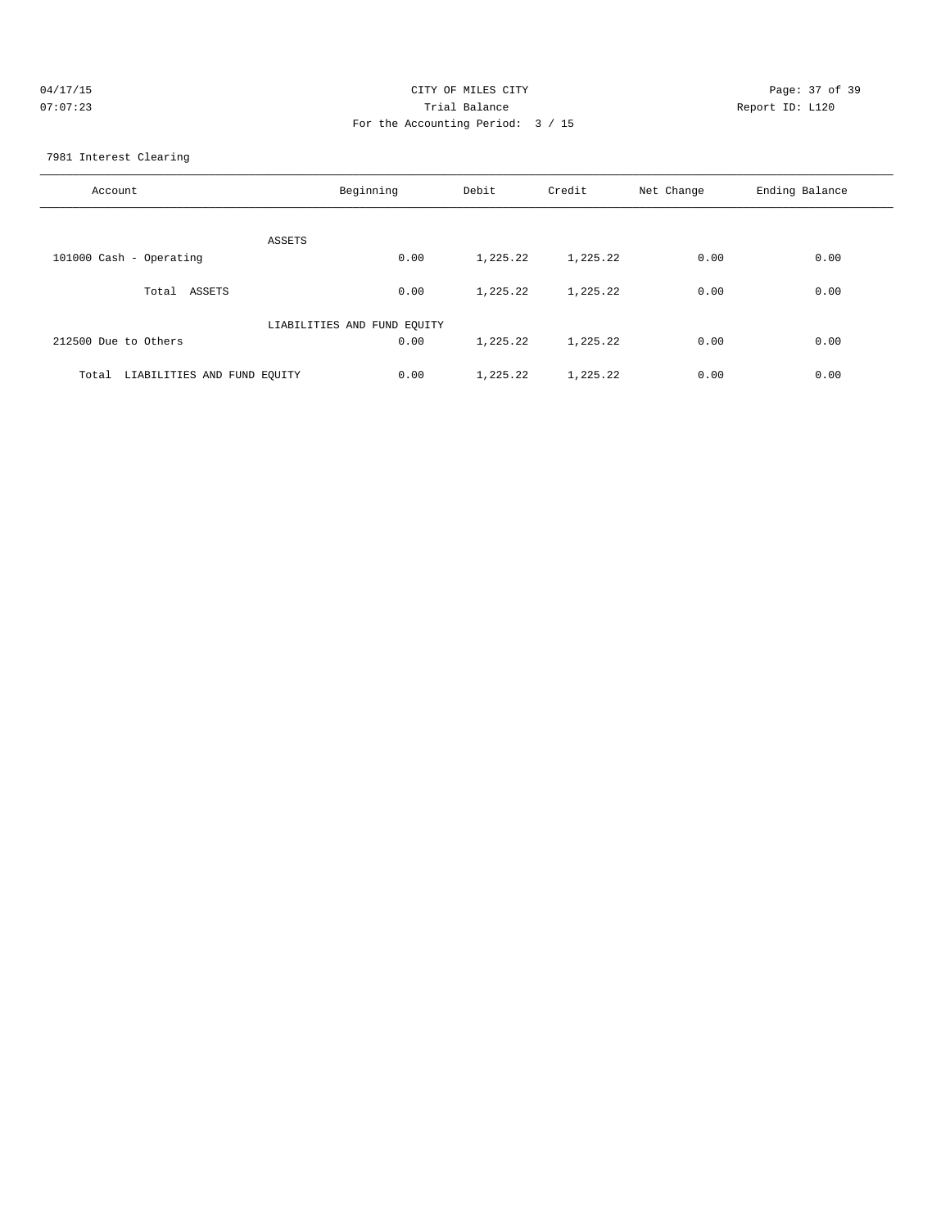| 04/17/15 | CITY OF MILES CITY                | Page: 37 of 39  |
|----------|-----------------------------------|-----------------|
| 07:07:23 | Trial Balance                     | Report ID: L120 |
|          | For the Accounting Period: 3 / 15 |                 |

7981 Interest Clearing

| Account                              | Beginning | Debit    | Credit   | Net Change | Ending Balance |
|--------------------------------------|-----------|----------|----------|------------|----------------|
| ASSETS                               |           |          |          |            |                |
| 101000 Cash - Operating              | 0.00      | 1,225.22 | 1,225.22 | 0.00       | 0.00           |
| ASSETS<br>Total                      | 0.00      | 1,225.22 | 1,225.22 | 0.00       | 0.00           |
| LIABILITIES AND FUND EQUITY          |           |          |          |            |                |
| 212500 Due to Others                 | 0.00      | 1,225.22 | 1,225.22 | 0.00       | 0.00           |
| LIABILITIES AND FUND EQUITY<br>Total | 0.00      | 1,225.22 | 1,225.22 | 0.00       | 0.00           |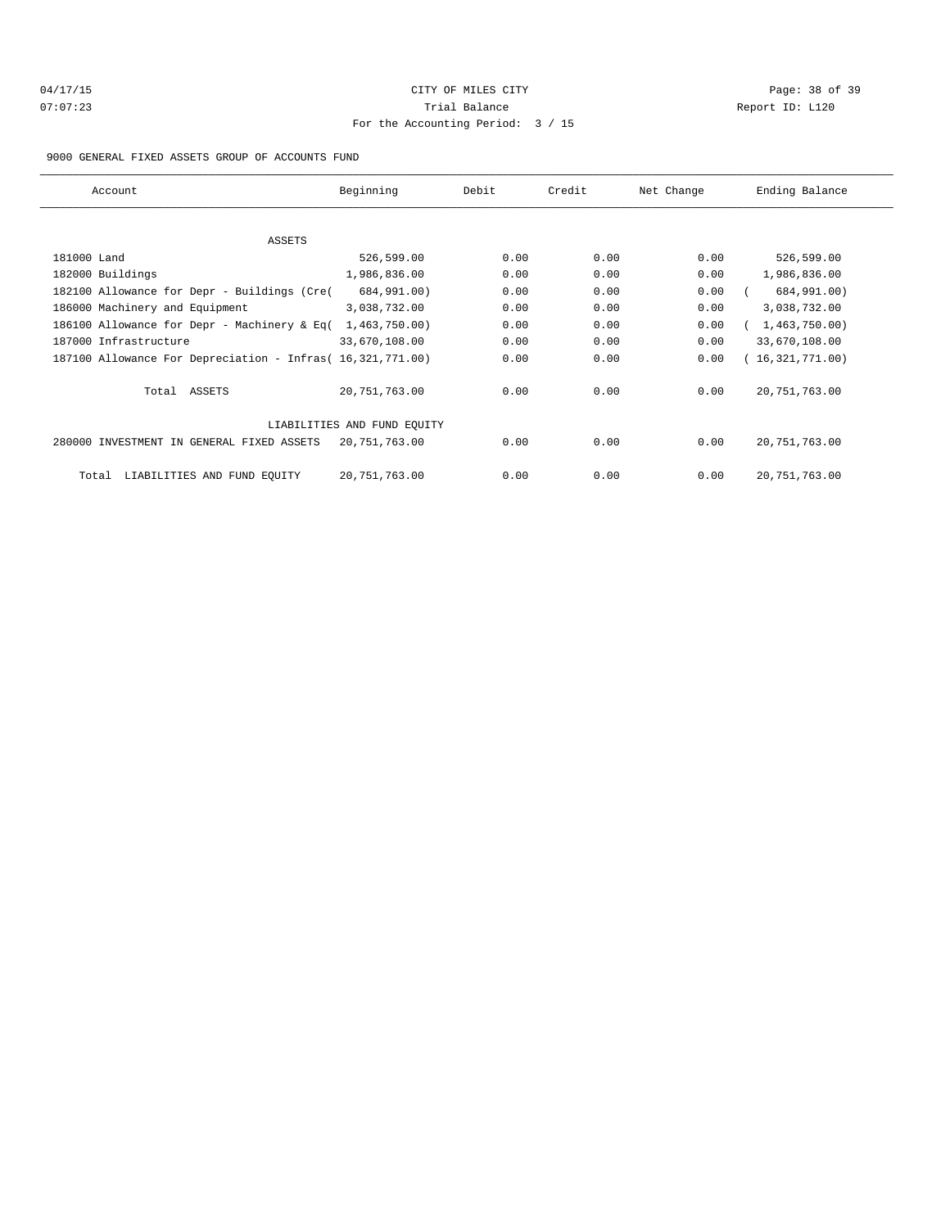# 04/17/15 Page: 38 of 39 07:07:23 Trial Balance Report ID: L120 For the Accounting Period: 3 / 15

#### 9000 GENERAL FIXED ASSETS GROUP OF ACCOUNTS FUND

| Account                                                    | Beginning                   | Debit | Credit | Net Change | Ending Balance  |
|------------------------------------------------------------|-----------------------------|-------|--------|------------|-----------------|
|                                                            |                             |       |        |            |                 |
| ASSETS                                                     |                             |       |        |            |                 |
| 181000 Land                                                | 526,599.00                  | 0.00  | 0.00   | 0.00       | 526,599.00      |
| 182000 Buildings                                           | 1,986,836.00                | 0.00  | 0.00   | 0.00       | 1,986,836.00    |
| 182100 Allowance for Depr - Buildings (Cre(                | 684,991.00)                 | 0.00  | 0.00   | 0.00       | 684,991.00)     |
| 186000 Machinery and Equipment                             | 3,038,732.00                | 0.00  | 0.00   | 0.00       | 3,038,732.00    |
| 186100 Allowance for Depr - Machinery & Eq(                | 1,463,750.00)               | 0.00  | 0.00   | 0.00       | 1,463,750.00)   |
| 187000 Infrastructure                                      | 33,670,108.00               | 0.00  | 0.00   | 0.00       | 33,670,108.00   |
| 187100 Allowance For Depreciation - Infras( 16,321,771.00) |                             | 0.00  | 0.00   | 0.00       | (16,321,771.00) |
| Total ASSETS                                               | 20,751,763.00               | 0.00  | 0.00   | 0.00       | 20, 751, 763.00 |
|                                                            | LIABILITIES AND FUND EQUITY |       |        |            |                 |
| 280000 INVESTMENT IN GENERAL FIXED ASSETS                  | 20,751,763.00               | 0.00  | 0.00   | 0.00       | 20, 751, 763.00 |
| LIABILITIES AND FUND EQUITY<br>Total                       | 20,751,763.00               | 0.00  | 0.00   | 0.00       | 20, 751, 763.00 |